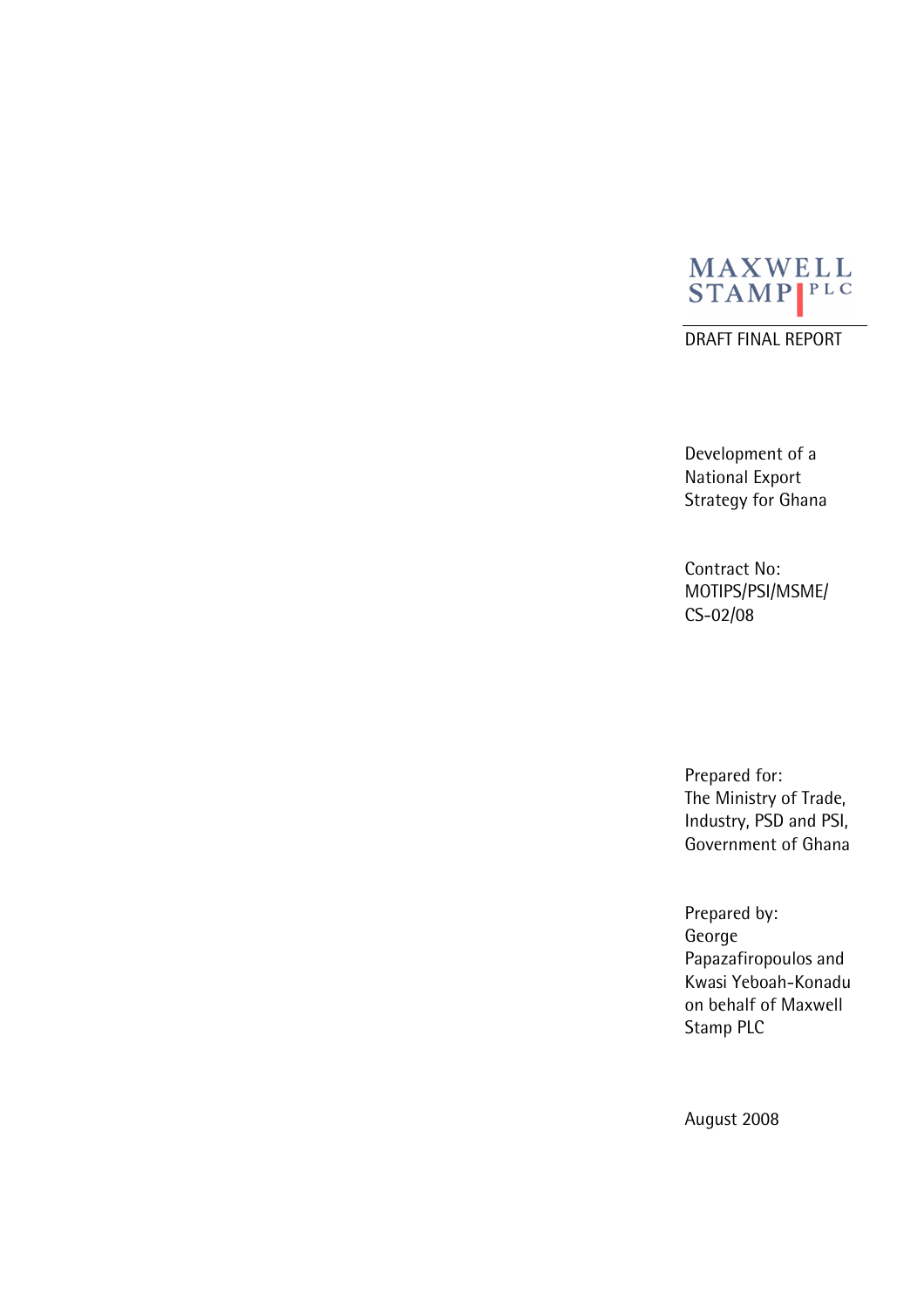

DRAFT FINAL REPORT

Development of a National Export Strategy for Ghana

Contract No: MOTIPS/PSI/MSME/ CS-02/08

Prepared for: The Ministry of Trade, Industry, PSD and PSI, Government of Ghana

Prepared by: George Papazafiropoulos and Kwasi Yeboah-Konadu on behalf of Maxwell Stamp PLC

August 2008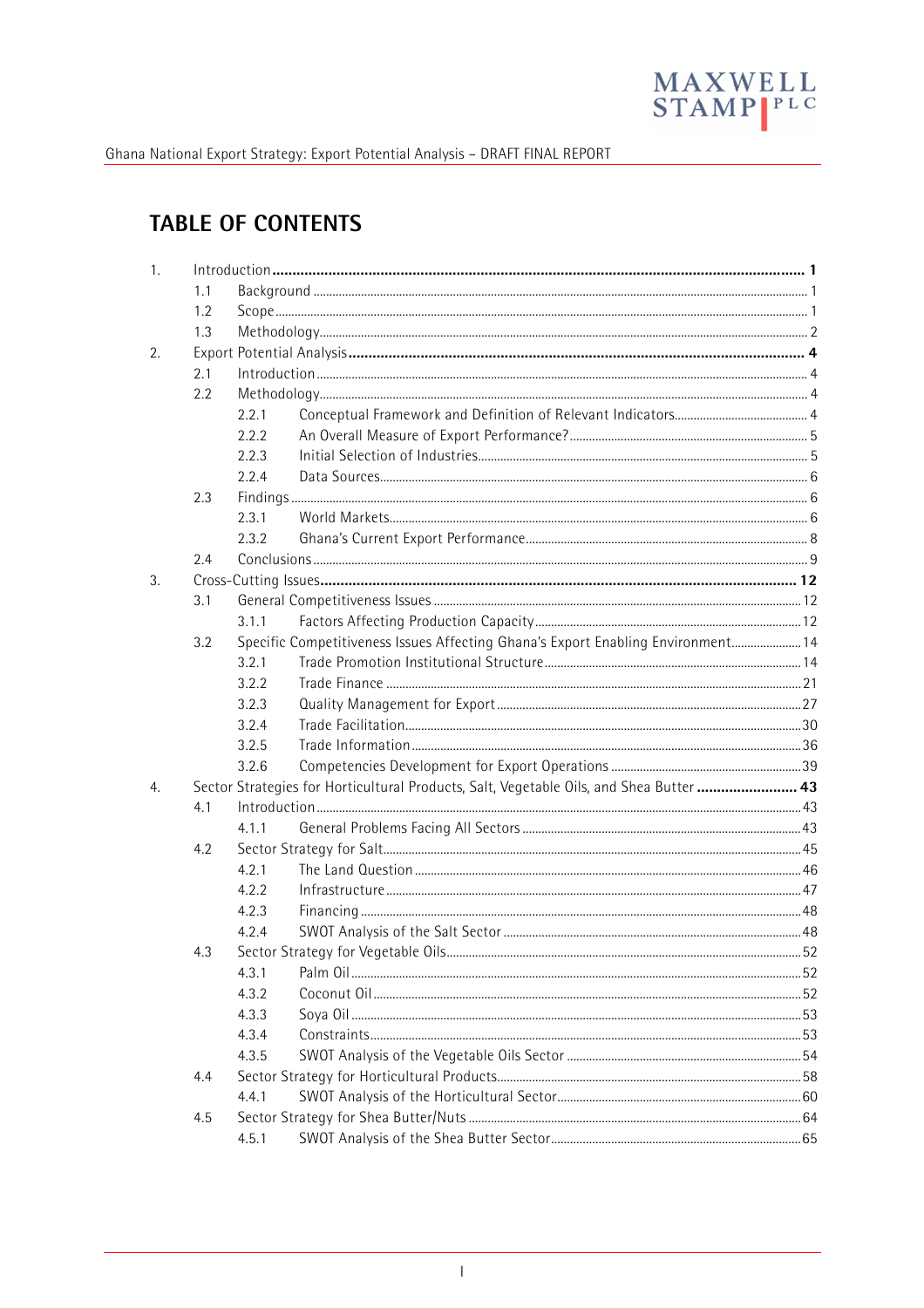

# **TABLE OF CONTENTS**

| 1. |     |       |                                                                                         |  |
|----|-----|-------|-----------------------------------------------------------------------------------------|--|
|    | 1.1 |       |                                                                                         |  |
|    | 1.2 |       |                                                                                         |  |
|    | 1.3 |       |                                                                                         |  |
| 2. |     |       |                                                                                         |  |
|    | 2.1 |       |                                                                                         |  |
|    | 2.2 |       |                                                                                         |  |
|    |     | 2.2.1 |                                                                                         |  |
|    |     | 2.2.2 |                                                                                         |  |
|    |     | 2.2.3 |                                                                                         |  |
|    |     | 2.2.4 |                                                                                         |  |
|    | 2.3 |       |                                                                                         |  |
|    |     | 2.3.1 |                                                                                         |  |
|    |     | 2.3.2 |                                                                                         |  |
|    | 2.4 |       |                                                                                         |  |
| 3. |     |       |                                                                                         |  |
|    | 3.1 |       |                                                                                         |  |
|    |     | 3.1.1 |                                                                                         |  |
|    | 3.2 |       | Specific Competitiveness Issues Affecting Ghana's Export Enabling Environment 14        |  |
|    |     | 3.2.1 |                                                                                         |  |
|    |     | 3.2.2 |                                                                                         |  |
|    |     | 3.2.3 |                                                                                         |  |
|    |     | 3.2.4 |                                                                                         |  |
|    |     | 3.2.5 |                                                                                         |  |
|    |     | 3.2.6 |                                                                                         |  |
| 4. |     |       | Sector Strategies for Horticultural Products, Salt, Vegetable Oils, and Shea Butter  43 |  |
|    | 4.1 |       |                                                                                         |  |
|    |     | 4.1.1 |                                                                                         |  |
|    | 4.2 |       |                                                                                         |  |
|    |     | 4.2.1 |                                                                                         |  |
|    |     | 4.2.2 |                                                                                         |  |
|    |     | 4.2.3 |                                                                                         |  |
|    |     | 4.2.4 |                                                                                         |  |
|    | 4.3 |       |                                                                                         |  |
|    |     | 4.3.1 |                                                                                         |  |
|    |     | 4.3.2 |                                                                                         |  |
|    |     | 4.3.3 |                                                                                         |  |
|    |     | 4.3.4 |                                                                                         |  |
|    |     | 4.3.5 |                                                                                         |  |
|    | 4.4 |       |                                                                                         |  |
|    |     | 4.4.1 |                                                                                         |  |
|    | 4.5 |       |                                                                                         |  |
|    |     | 4.5.1 |                                                                                         |  |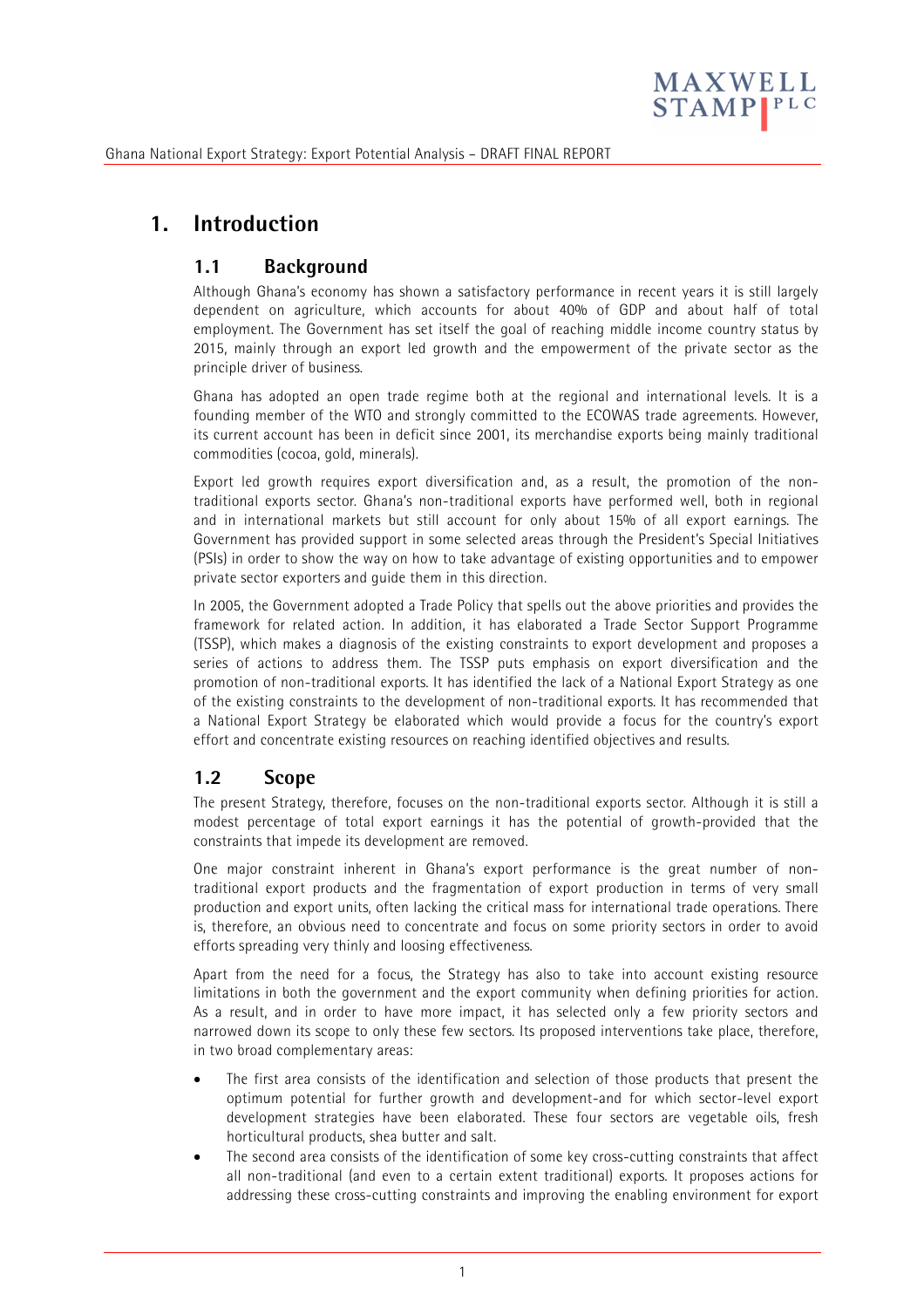

# **1. Introduction**

# **1.1 Background**

Although Ghana's economy has shown a satisfactory performance in recent years it is still largely dependent on agriculture, which accounts for about 40% of GDP and about half of total employment. The Government has set itself the goal of reaching middle income country status by 2015, mainly through an export led growth and the empowerment of the private sector as the principle driver of business.

Ghana has adopted an open trade regime both at the regional and international levels. It is a founding member of the WTO and strongly committed to the ECOWAS trade agreements. However, its current account has been in deficit since 2001, its merchandise exports being mainly traditional commodities (cocoa, gold, minerals).

Export led growth requires export diversification and, as a result, the promotion of the nontraditional exports sector. Ghana's non-traditional exports have performed well, both in regional and in international markets but still account for only about 15% of all export earnings. The Government has provided support in some selected areas through the President's Special Initiatives (PSIs) in order to show the way on how to take advantage of existing opportunities and to empower private sector exporters and guide them in this direction.

In 2005, the Government adopted a Trade Policy that spells out the above priorities and provides the framework for related action. In addition, it has elaborated a Trade Sector Support Programme (TSSP), which makes a diagnosis of the existing constraints to export development and proposes a series of actions to address them. The TSSP puts emphasis on export diversification and the promotion of non-traditional exports. It has identified the lack of a National Export Strategy as one of the existing constraints to the development of non-traditional exports. It has recommended that a National Export Strategy be elaborated which would provide a focus for the country's export effort and concentrate existing resources on reaching identified objectives and results.

# **1.2 Scope**

The present Strategy, therefore, focuses on the non-traditional exports sector. Although it is still a modest percentage of total export earnings it has the potential of growth-provided that the constraints that impede its development are removed.

One major constraint inherent in Ghana's export performance is the great number of nontraditional export products and the fragmentation of export production in terms of very small production and export units, often lacking the critical mass for international trade operations. There is, therefore, an obvious need to concentrate and focus on some priority sectors in order to avoid efforts spreading very thinly and loosing effectiveness.

Apart from the need for a focus, the Strategy has also to take into account existing resource limitations in both the government and the export community when defining priorities for action. As a result, and in order to have more impact, it has selected only a few priority sectors and narrowed down its scope to only these few sectors. Its proposed interventions take place, therefore, in two broad complementary areas:

- The first area consists of the identification and selection of those products that present the optimum potential for further growth and development-and for which sector-level export development strategies have been elaborated. These four sectors are vegetable oils, fresh horticultural products, shea butter and salt.
- The second area consists of the identification of some key cross-cutting constraints that affect all non-traditional (and even to a certain extent traditional) exports. It proposes actions for addressing these cross-cutting constraints and improving the enabling environment for export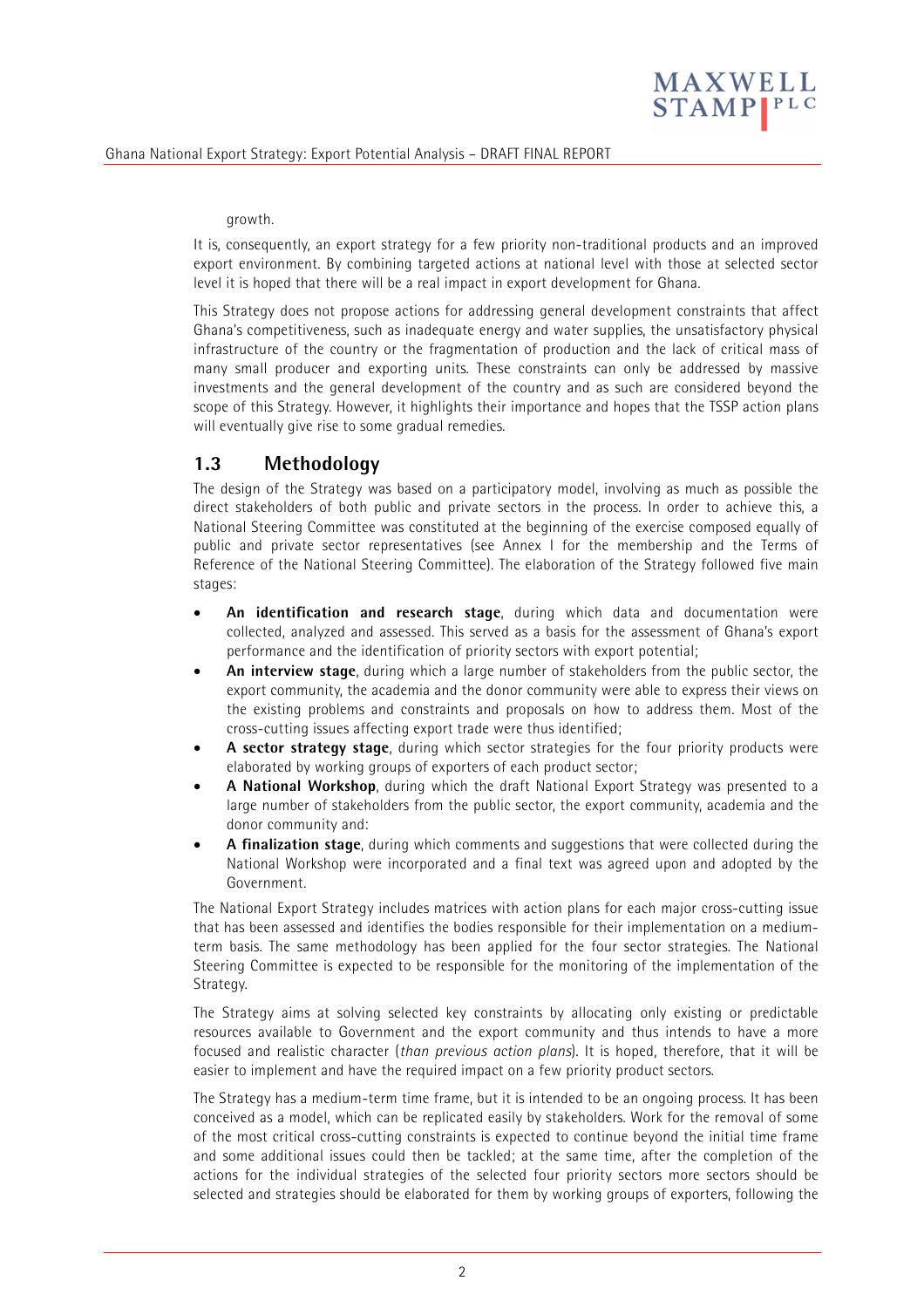

#### growth.

It is, consequently, an export strategy for a few priority non-traditional products and an improved export environment. By combining targeted actions at national level with those at selected sector level it is hoped that there will be a real impact in export development for Ghana.

This Strategy does not propose actions for addressing general development constraints that affect Ghana's competitiveness, such as inadequate energy and water supplies, the unsatisfactory physical infrastructure of the country or the fragmentation of production and the lack of critical mass of many small producer and exporting units. These constraints can only be addressed by massive investments and the general development of the country and as such are considered beyond the scope of this Strategy. However, it highlights their importance and hopes that the TSSP action plans will eventually give rise to some gradual remedies.

# **1.3 Methodology**

The design of the Strategy was based on a participatory model, involving as much as possible the direct stakeholders of both public and private sectors in the process. In order to achieve this, a National Steering Committee was constituted at the beginning of the exercise composed equally of public and private sector representatives (see Annex I for the membership and the Terms of Reference of the National Steering Committee). The elaboration of the Strategy followed five main stages:

- **An identification and research stage**, during which data and documentation were collected, analyzed and assessed. This served as a basis for the assessment of Ghana's export performance and the identification of priority sectors with export potential;
- **An interview stage**, during which a large number of stakeholders from the public sector, the export community, the academia and the donor community were able to express their views on the existing problems and constraints and proposals on how to address them. Most of the cross-cutting issues affecting export trade were thus identified;
- **A sector strategy stage**, during which sector strategies for the four priority products were elaborated by working groups of exporters of each product sector;
- **A National Workshop**, during which the draft National Export Strategy was presented to a large number of stakeholders from the public sector, the export community, academia and the donor community and:
- **A finalization stage**, during which comments and suggestions that were collected during the National Workshop were incorporated and a final text was agreed upon and adopted by the Government.

The National Export Strategy includes matrices with action plans for each major cross-cutting issue that has been assessed and identifies the bodies responsible for their implementation on a mediumterm basis. The same methodology has been applied for the four sector strategies. The National Steering Committee is expected to be responsible for the monitoring of the implementation of the Strategy.

The Strategy aims at solving selected key constraints by allocating only existing or predictable resources available to Government and the export community and thus intends to have a more focused and realistic character (*than previous action plans*). It is hoped, therefore, that it will be easier to implement and have the required impact on a few priority product sectors.

The Strategy has a medium-term time frame, but it is intended to be an ongoing process. It has been conceived as a model, which can be replicated easily by stakeholders. Work for the removal of some of the most critical cross-cutting constraints is expected to continue beyond the initial time frame and some additional issues could then be tackled; at the same time, after the completion of the actions for the individual strategies of the selected four priority sectors more sectors should be selected and strategies should be elaborated for them by working groups of exporters, following the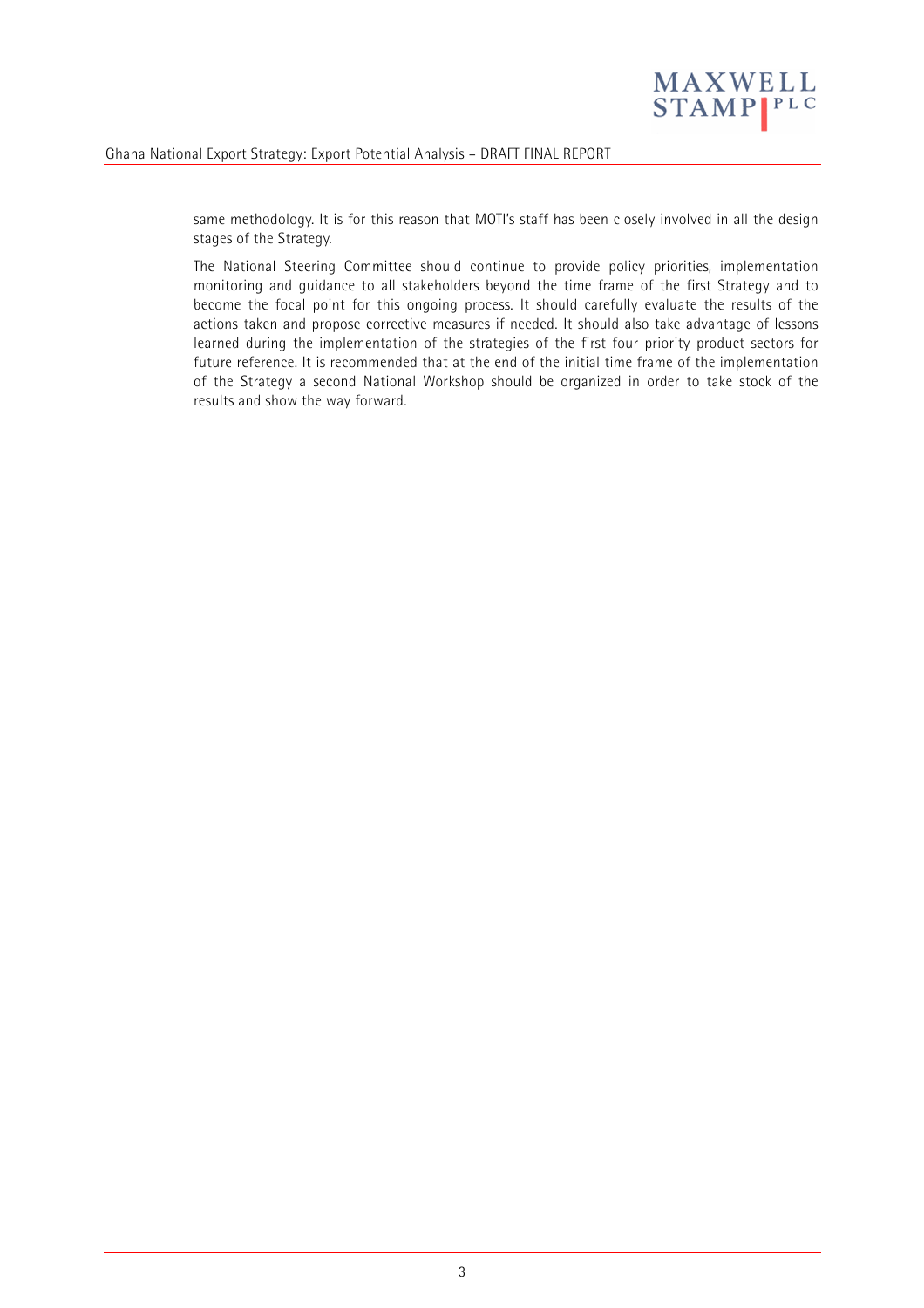

same methodology. It is for this reason that MOTI's staff has been closely involved in all the design stages of the Strategy.

The National Steering Committee should continue to provide policy priorities, implementation monitoring and guidance to all stakeholders beyond the time frame of the first Strategy and to become the focal point for this ongoing process. It should carefully evaluate the results of the actions taken and propose corrective measures if needed. It should also take advantage of lessons learned during the implementation of the strategies of the first four priority product sectors for future reference. It is recommended that at the end of the initial time frame of the implementation of the Strategy a second National Workshop should be organized in order to take stock of the results and show the way forward.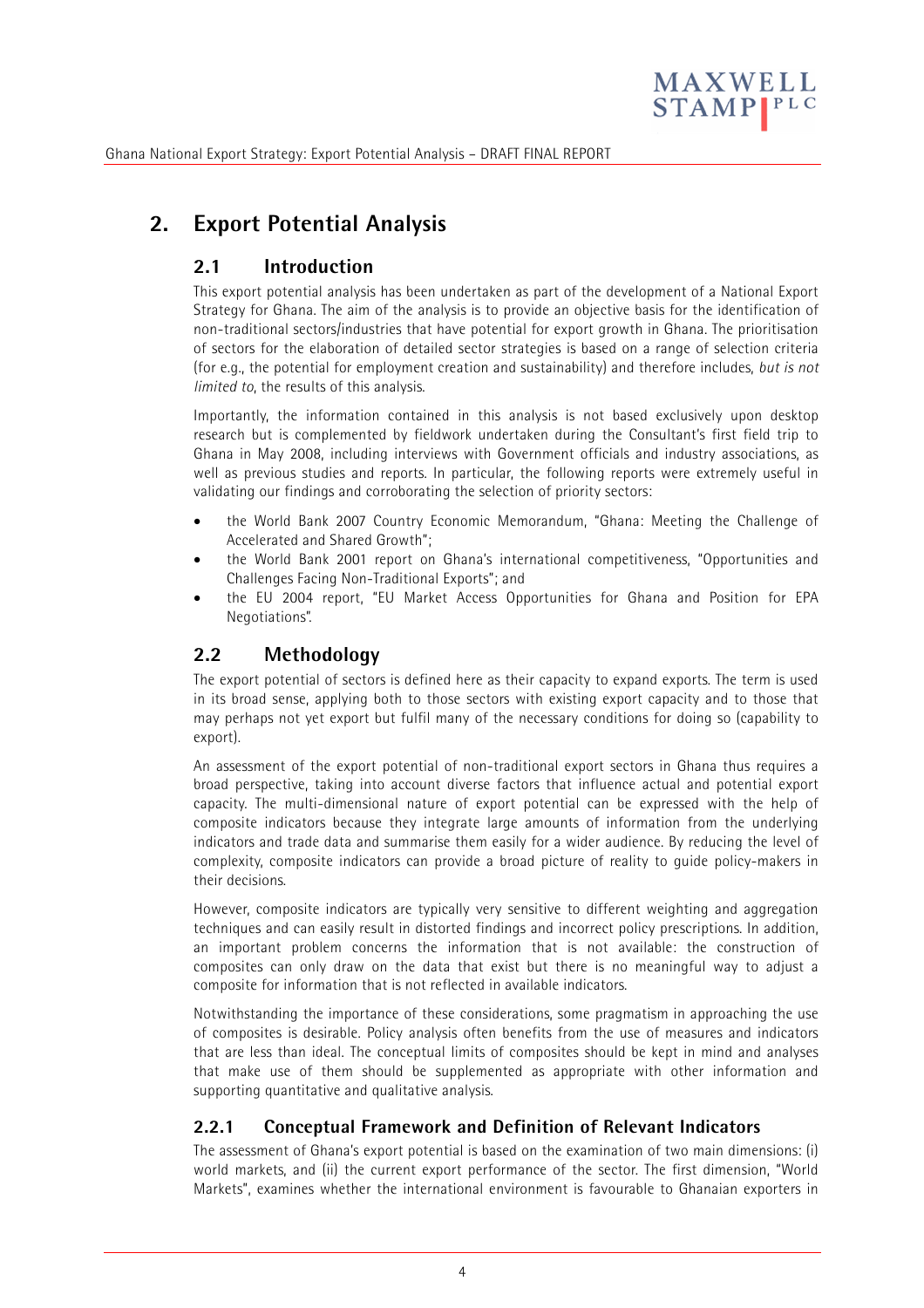

# **2. Export Potential Analysis**

# **2.1 Introduction**

This export potential analysis has been undertaken as part of the development of a National Export Strategy for Ghana. The aim of the analysis is to provide an objective basis for the identification of non-traditional sectors/industries that have potential for export growth in Ghana. The prioritisation of sectors for the elaboration of detailed sector strategies is based on a range of selection criteria (for e.g., the potential for employment creation and sustainability) and therefore includes, *but is not limited to*, the results of this analysis.

Importantly, the information contained in this analysis is not based exclusively upon desktop research but is complemented by fieldwork undertaken during the Consultant's first field trip to Ghana in May 2008, including interviews with Government officials and industry associations, as well as previous studies and reports. In particular, the following reports were extremely useful in validating our findings and corroborating the selection of priority sectors:

- the World Bank 2007 Country Economic Memorandum, "Ghana: Meeting the Challenge of Accelerated and Shared Growth";
- the World Bank 2001 report on Ghana's international competitiveness, "Opportunities and Challenges Facing Non-Traditional Exports"; and
- the EU 2004 report, "EU Market Access Opportunities for Ghana and Position for EPA Negotiations".

# **2.2 Methodology**

The export potential of sectors is defined here as their capacity to expand exports. The term is used in its broad sense, applying both to those sectors with existing export capacity and to those that may perhaps not yet export but fulfil many of the necessary conditions for doing so (capability to export).

An assessment of the export potential of non-traditional export sectors in Ghana thus requires a broad perspective, taking into account diverse factors that influence actual and potential export capacity. The multi-dimensional nature of export potential can be expressed with the help of composite indicators because they integrate large amounts of information from the underlying indicators and trade data and summarise them easily for a wider audience. By reducing the level of complexity, composite indicators can provide a broad picture of reality to guide policy-makers in their decisions.

However, composite indicators are typically very sensitive to different weighting and aggregation techniques and can easily result in distorted findings and incorrect policy prescriptions. In addition, an important problem concerns the information that is not available: the construction of composites can only draw on the data that exist but there is no meaningful way to adjust a composite for information that is not reflected in available indicators.

Notwithstanding the importance of these considerations, some pragmatism in approaching the use of composites is desirable. Policy analysis often benefits from the use of measures and indicators that are less than ideal. The conceptual limits of composites should be kept in mind and analyses that make use of them should be supplemented as appropriate with other information and supporting quantitative and qualitative analysis.

# **2.2.1 Conceptual Framework and Definition of Relevant Indicators**

The assessment of Ghana's export potential is based on the examination of two main dimensions: (i) world markets, and (ii) the current export performance of the sector. The first dimension, "World Markets", examines whether the international environment is favourable to Ghanaian exporters in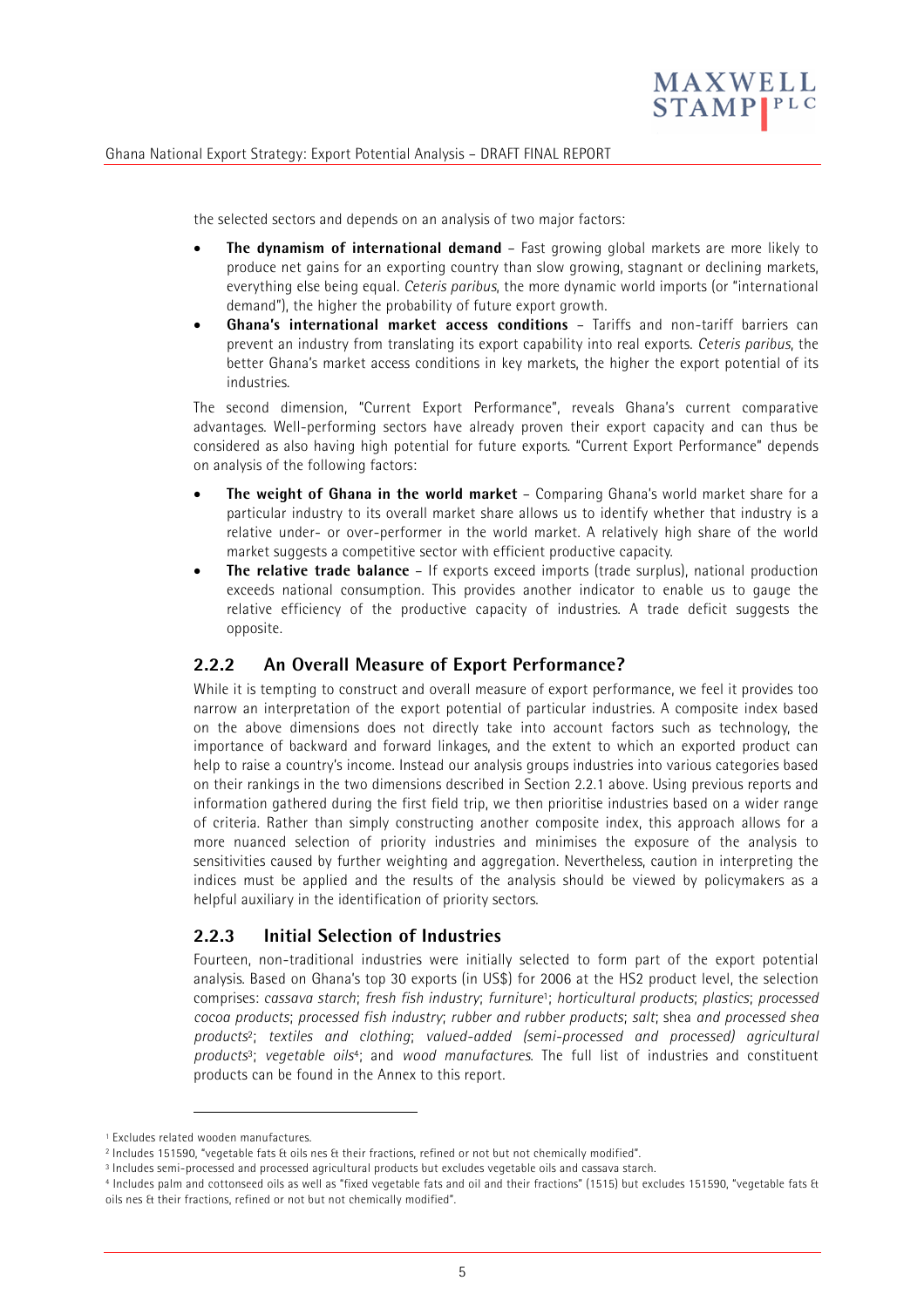

the selected sectors and depends on an analysis of two major factors:

- **The dynamism of international demand** Fast growing global markets are more likely to produce net gains for an exporting country than slow growing, stagnant or declining markets, everything else being equal. *Ceteris paribus*, the more dynamic world imports (or "international demand"), the higher the probability of future export growth.
- **Ghana's international market access conditions** Tariffs and non-tariff barriers can prevent an industry from translating its export capability into real exports. *Ceteris paribus*, the better Ghana's market access conditions in key markets, the higher the export potential of its industries.

The second dimension, "Current Export Performance", reveals Ghana's current comparative advantages. Well-performing sectors have already proven their export capacity and can thus be considered as also having high potential for future exports. "Current Export Performance" depends on analysis of the following factors:

- **The weight of Ghana in the world market** Comparing Ghana's world market share for a particular industry to its overall market share allows us to identify whether that industry is a relative under- or over-performer in the world market. A relatively high share of the world market suggests a competitive sector with efficient productive capacity.
- **The relative trade balance** If exports exceed imports (trade surplus), national production exceeds national consumption. This provides another indicator to enable us to gauge the relative efficiency of the productive capacity of industries. A trade deficit suggests the opposite.

# **2.2.2 An Overall Measure of Export Performance?**

While it is tempting to construct and overall measure of export performance, we feel it provides too narrow an interpretation of the export potential of particular industries. A composite index based on the above dimensions does not directly take into account factors such as technology, the importance of backward and forward linkages, and the extent to which an exported product can help to raise a country's income. Instead our analysis groups industries into various categories based on their rankings in the two dimensions described in Section 2.2.1 above. Using previous reports and information gathered during the first field trip, we then prioritise industries based on a wider range of criteria. Rather than simply constructing another composite index, this approach allows for a more nuanced selection of priority industries and minimises the exposure of the analysis to sensitivities caused by further weighting and aggregation. Nevertheless, caution in interpreting the indices must be applied and the results of the analysis should be viewed by policymakers as a helpful auxiliary in the identification of priority sectors.

### **2.2.3 Initial Selection of Industries**

Fourteen, non-traditional industries were initially selected to form part of the export potential analysis. Based on Ghana's top 30 exports (in US\$) for 2006 at the HS2 product level, the selection comprises: *cassava starch*; *fresh fish industry*; *furniture*1; *horticultural products*; *plastics*; *processed cocoa products*; *processed fish industry*; *rubber and rubber products*; *salt*; shea *and processed shea products*2; *textiles and clothing*; *valued-added (semi-processed and processed) agricultural products*3; *vegetable oils*4; and *wood manufactures*. The full list of industries and constituent products can be found in the Annex to this report.

-

<sup>1</sup> Excludes related wooden manufactures.

<sup>2</sup> Includes 151590, "vegetable fats & oils nes & their fractions, refined or not but not chemically modified".

<sup>3</sup> Includes semi-processed and processed agricultural products but excludes vegetable oils and cassava starch.

<sup>4</sup> Includes palm and cottonseed oils as well as "fixed vegetable fats and oil and their fractions" (1515) but excludes 151590, "vegetable fats & oils nes & their fractions, refined or not but not chemically modified".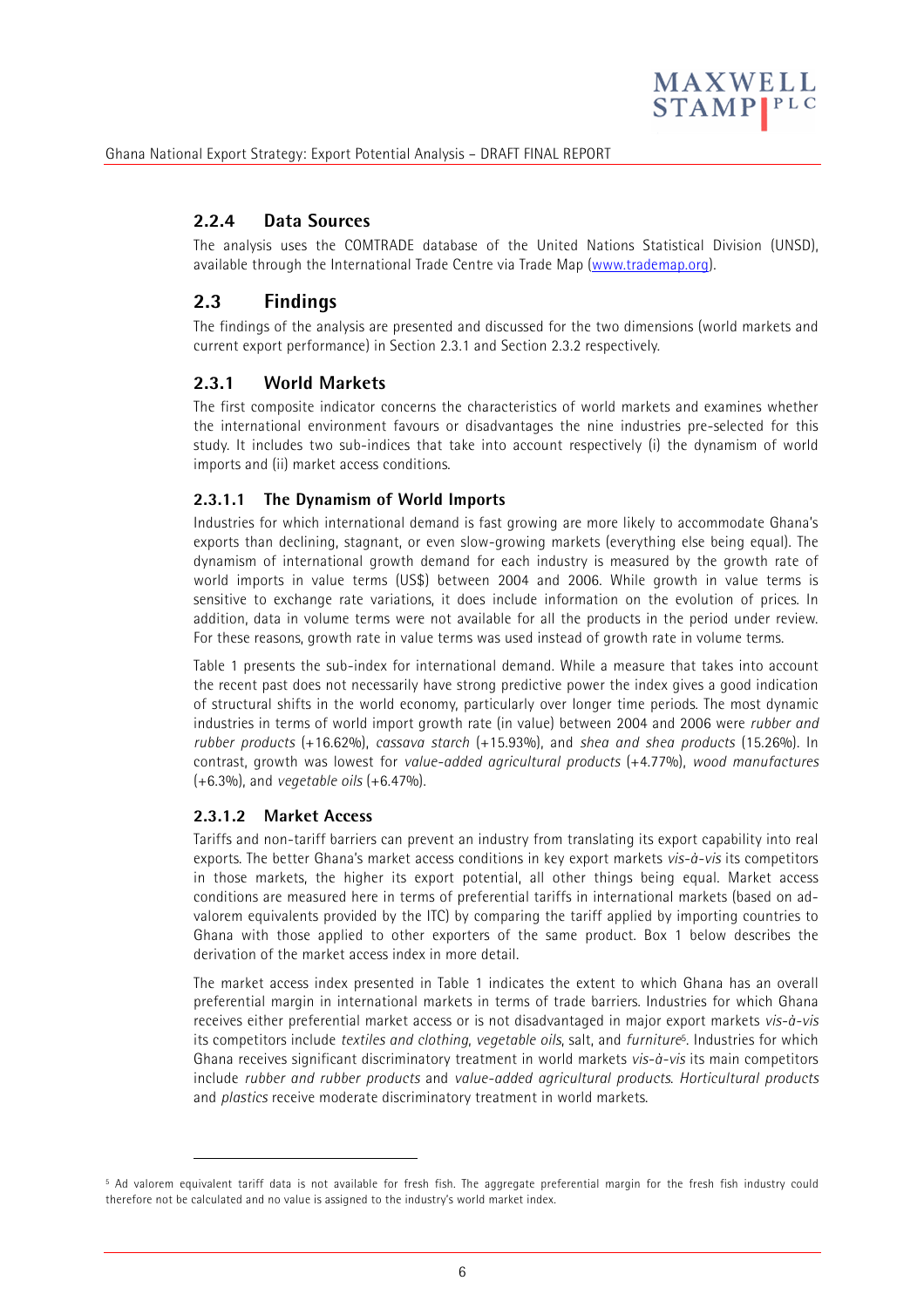

# **2.2.4 Data Sources**

The analysis uses the COMTRADE database of the United Nations Statistical Division (UNSD), available through the International Trade Centre via Trade Map (www.trademap.org).

# **2.3 Findings**

The findings of the analysis are presented and discussed for the two dimensions (world markets and current export performance) in Section 2.3.1 and Section 2.3.2 respectively.

# **2.3.1 World Markets**

The first composite indicator concerns the characteristics of world markets and examines whether the international environment favours or disadvantages the nine industries pre-selected for this study. It includes two sub-indices that take into account respectively (i) the dynamism of world imports and (ii) market access conditions.

### **2.3.1.1 The Dynamism of World Imports**

Industries for which international demand is fast growing are more likely to accommodate Ghana's exports than declining, stagnant, or even slow-growing markets (everything else being equal). The dynamism of international growth demand for each industry is measured by the growth rate of world imports in value terms (US\$) between 2004 and 2006. While growth in value terms is sensitive to exchange rate variations, it does include information on the evolution of prices. In addition, data in volume terms were not available for all the products in the period under review. For these reasons, growth rate in value terms was used instead of growth rate in volume terms.

Table 1 presents the sub-index for international demand. While a measure that takes into account the recent past does not necessarily have strong predictive power the index gives a good indication of structural shifts in the world economy, particularly over longer time periods. The most dynamic industries in terms of world import growth rate (in value) between 2004 and 2006 were *rubber and rubber products* (+16.62%), *cassava starch* (+15.93%), and *shea and shea products* (15.26%). In contrast, growth was lowest for *value-added agricultural products* (+4.77%), *wood manufactures* (+6.3%), and *vegetable oils* (+6.47%).

### **2.3.1.2 Market Access**

j

Tariffs and non-tariff barriers can prevent an industry from translating its export capability into real exports. The better Ghana's market access conditions in key export markets *vis-à-vis* its competitors in those markets, the higher its export potential, all other things being equal. Market access conditions are measured here in terms of preferential tariffs in international markets (based on advalorem equivalents provided by the ITC) by comparing the tariff applied by importing countries to Ghana with those applied to other exporters of the same product. Box 1 below describes the derivation of the market access index in more detail.

The market access index presented in Table 1 indicates the extent to which Ghana has an overall preferential margin in international markets in terms of trade barriers. Industries for which Ghana receives either preferential market access or is not disadvantaged in major export markets *vis-à-vis* its competitors include *textiles and clothing*, *vegetable oils*, salt, and *furniture*5. Industries for which Ghana receives significant discriminatory treatment in world markets *vis-à-vis* its main competitors include *rubber and rubber products* and *value-added agricultural products*. *Horticultural products* and *plastics* receive moderate discriminatory treatment in world markets.

<sup>5</sup> Ad valorem equivalent tariff data is not available for fresh fish. The aggregate preferential margin for the fresh fish industry could therefore not be calculated and no value is assigned to the industry's world market index.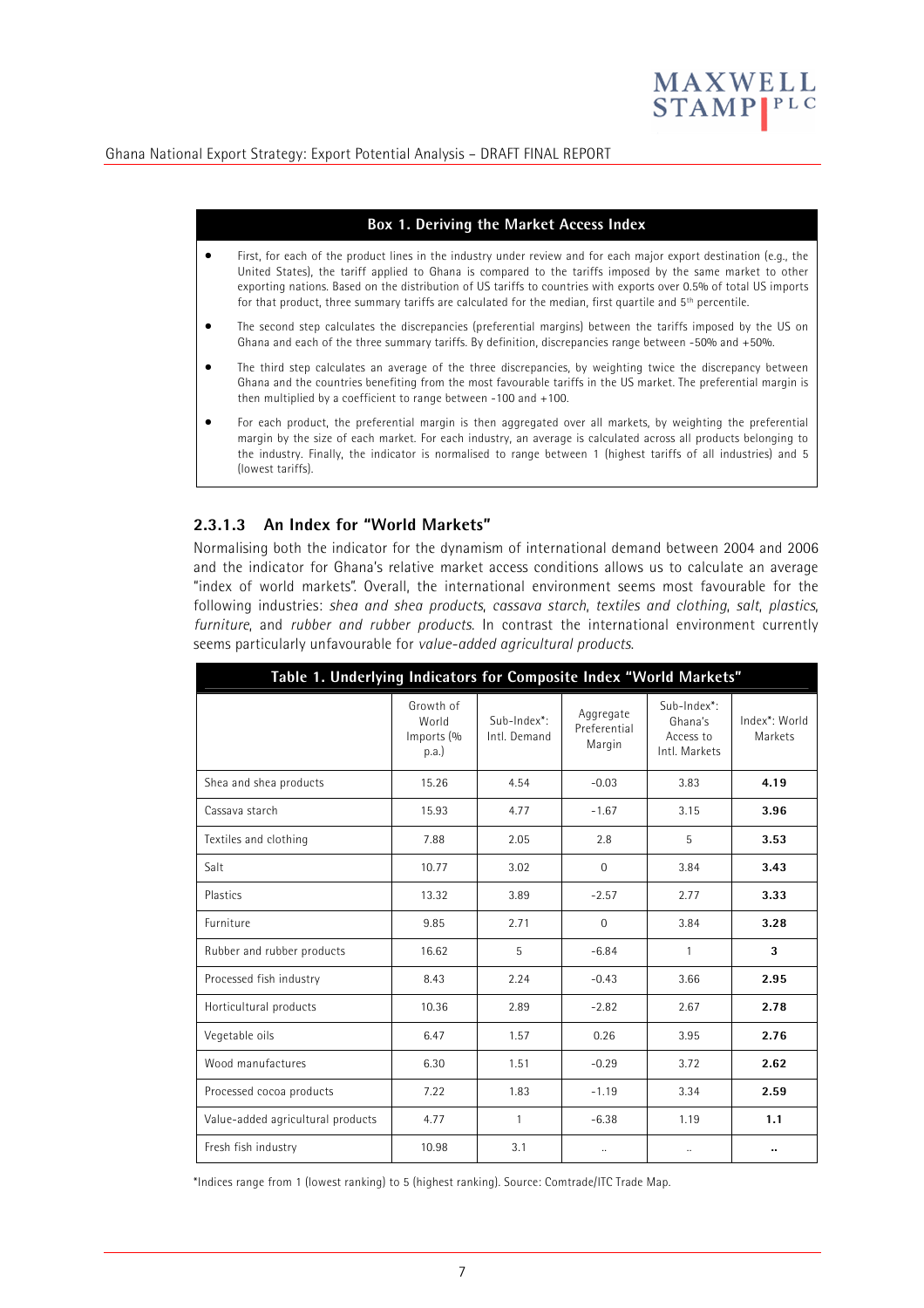

#### **Box 1. Deriving the Market Access Index**

- First, for each of the product lines in the industry under review and for each major export destination (e.g., the United States), the tariff applied to Ghana is compared to the tariffs imposed by the same market to other exporting nations. Based on the distribution of US tariffs to countries with exports over 0.5% of total US imports for that product, three summary tariffs are calculated for the median, first quartile and 5<sup>th</sup> percentile.
- The second step calculates the discrepancies (preferential margins) between the tariffs imposed by the US on Ghana and each of the three summary tariffs. By definition, discrepancies range between -50% and +50%.
- The third step calculates an average of the three discrepancies, by weighting twice the discrepancy between Ghana and the countries benefiting from the most favourable tariffs in the US market. The preferential margin is then multiplied by a coefficient to range between -100 and +100.
- For each product, the preferential margin is then aggregated over all markets, by weighting the preferential margin by the size of each market. For each industry, an average is calculated across all products belonging to the industry. Finally, the indicator is normalised to range between 1 (highest tariffs of all industries) and 5 (lowest tariffs).

#### **2.3.1.3 An Index for "World Markets"**

Normalising both the indicator for the dynamism of international demand between 2004 and 2006 and the indicator for Ghana's relative market access conditions allows us to calculate an average "index of world markets". Overall, the international environment seems most favourable for the following industries: *shea and shea products*, *cassava starch*, *textiles and clothing*, *salt*, *plastics*, *furniture*, and *rubber and rubber products*. In contrast the international environment currently seems particularly unfavourable for *value-added agricultural products*.

| Table 1. Underlying Indicators for Composite Index "World Markets" |                                          |                             |                                     |                                                      |                          |  |  |
|--------------------------------------------------------------------|------------------------------------------|-----------------------------|-------------------------------------|------------------------------------------------------|--------------------------|--|--|
|                                                                    | Growth of<br>World<br>Imports (%<br>p.a. | Sub-Index*:<br>Intl. Demand | Aggregate<br>Preferential<br>Margin | Sub-Index*:<br>Ghana's<br>Access to<br>Intl. Markets | Index*: World<br>Markets |  |  |
| Shea and shea products                                             | 15.26                                    | 4.54                        | $-0.03$                             | 3.83                                                 | 4.19                     |  |  |
| Cassava starch                                                     | 15.93                                    | 4.77                        | $-1.67$                             | 3.15                                                 | 3.96                     |  |  |
| Textiles and clothing                                              | 7.88                                     | 2.05                        | 2.8                                 | 5                                                    | 3.53                     |  |  |
| Salt                                                               | 10.77                                    | 3.02                        | $\Omega$                            | 3.84                                                 | 3.43                     |  |  |
| Plastics                                                           | 13.32                                    | 3.89                        | $-2.57$                             | 2.77                                                 | 3.33                     |  |  |
| Furniture                                                          | 9.85                                     | 2.71                        | $\Omega$                            | 3.84                                                 | 3.28                     |  |  |
| Rubber and rubber products                                         | 16.62                                    | 5                           | $-6.84$                             | $\mathbf{1}$                                         | 3                        |  |  |
| Processed fish industry                                            | 8.43                                     | 2.24                        | $-0.43$                             | 3.66                                                 | 2.95                     |  |  |
| Horticultural products                                             | 10.36                                    | 2.89                        | $-2.82$                             | 2.67                                                 | 2.78                     |  |  |
| Vegetable oils                                                     | 6.47                                     | 1.57                        | 0.26                                | 3.95                                                 | 2.76                     |  |  |
| Wood manufactures                                                  | 6.30                                     | 1.51                        | $-0.29$                             | 3.72                                                 | 2.62                     |  |  |
| Processed cocoa products                                           | 7.22                                     | 1.83                        | $-1.19$                             | 3.34                                                 | 2.59                     |  |  |
| Value-added agricultural products                                  | 4.77                                     | 1                           | $-6.38$                             | 1.19                                                 | 1.1                      |  |  |
| Fresh fish industry                                                | 10.98                                    | 3.1                         | $\ddotsc$                           | $\ddotsc$                                            | ٠.                       |  |  |

\*Indices range from 1 (lowest ranking) to 5 (highest ranking). Source: Comtrade/ITC Trade Map.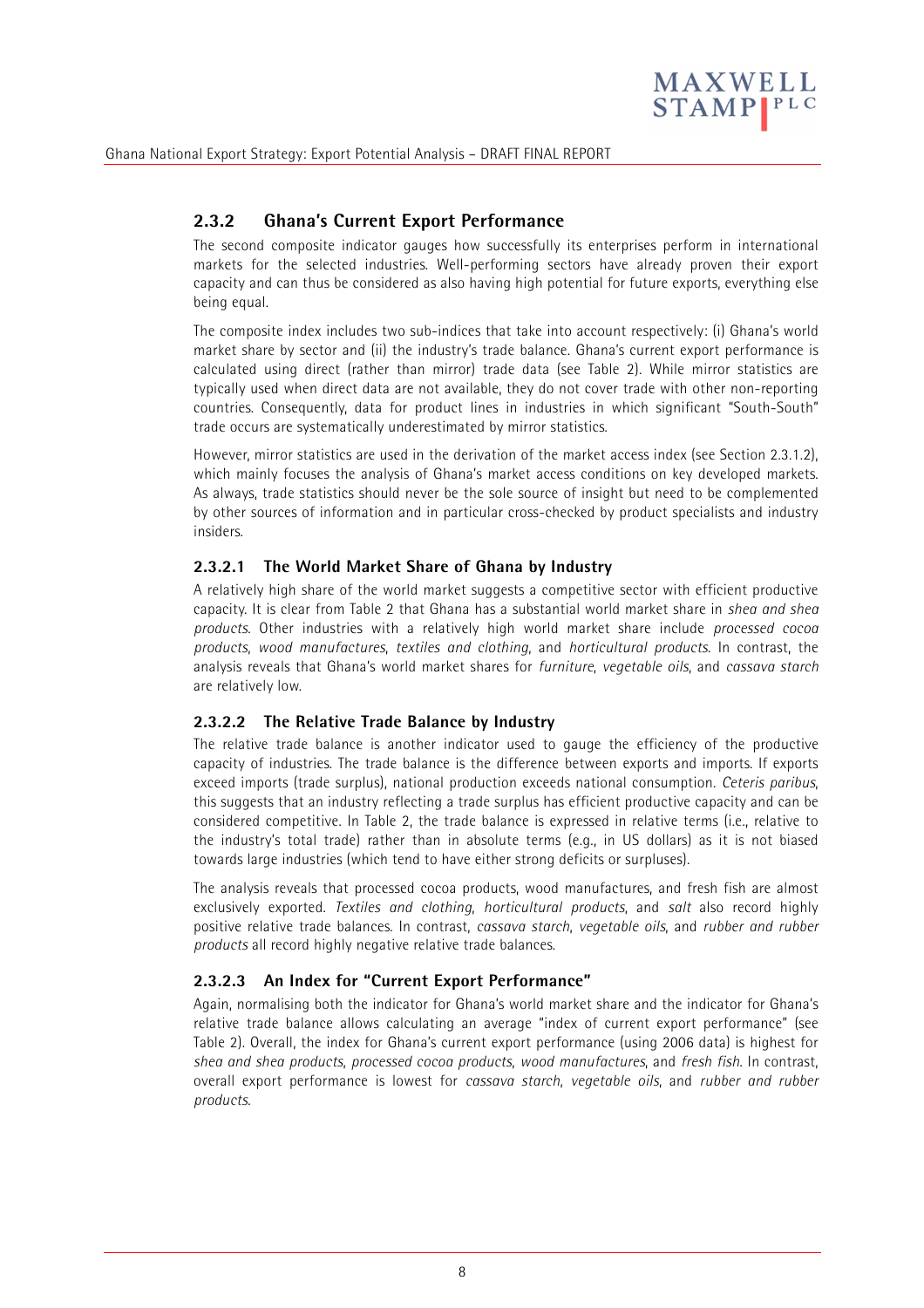

# **2.3.2 Ghana's Current Export Performance**

The second composite indicator gauges how successfully its enterprises perform in international markets for the selected industries. Well-performing sectors have already proven their export capacity and can thus be considered as also having high potential for future exports, everything else being equal.

The composite index includes two sub-indices that take into account respectively: (i) Ghana's world market share by sector and (ii) the industry's trade balance. Ghana's current export performance is calculated using direct (rather than mirror) trade data (see Table 2). While mirror statistics are typically used when direct data are not available, they do not cover trade with other non-reporting countries. Consequently, data for product lines in industries in which significant "South-South" trade occurs are systematically underestimated by mirror statistics.

However, mirror statistics are used in the derivation of the market access index (see Section 2.3.1.2), which mainly focuses the analysis of Ghana's market access conditions on key developed markets. As always, trade statistics should never be the sole source of insight but need to be complemented by other sources of information and in particular cross-checked by product specialists and industry insiders.

#### **2.3.2.1 The World Market Share of Ghana by Industry**

A relatively high share of the world market suggests a competitive sector with efficient productive capacity. It is clear from Table 2 that Ghana has a substantial world market share in *shea and shea products*. Other industries with a relatively high world market share include *processed cocoa products*, *wood manufactures*, *textiles and clothing*, and *horticultural products*. In contrast, the analysis reveals that Ghana's world market shares for *furniture*, *vegetable oils*, and *cassava starch* are relatively low.

#### **2.3.2.2 The Relative Trade Balance by Industry**

The relative trade balance is another indicator used to gauge the efficiency of the productive capacity of industries. The trade balance is the difference between exports and imports. If exports exceed imports (trade surplus), national production exceeds national consumption. *Ceteris paribus*, this suggests that an industry reflecting a trade surplus has efficient productive capacity and can be considered competitive. In Table 2, the trade balance is expressed in relative terms (i.e., relative to the industry's total trade) rather than in absolute terms (e.g., in US dollars) as it is not biased towards large industries (which tend to have either strong deficits or surpluses).

The analysis reveals that processed cocoa products, wood manufactures, and fresh fish are almost exclusively exported. *Textiles and clothing*, *horticultural products*, and *salt* also record highly positive relative trade balances. In contrast, *cassava starch*, *vegetable oils*, and *rubber and rubber products* all record highly negative relative trade balances.

### **2.3.2.3 An Index for "Current Export Performance"**

Again, normalising both the indicator for Ghana's world market share and the indicator for Ghana's relative trade balance allows calculating an average "index of current export performance" (see Table 2). Overall, the index for Ghana's current export performance (using 2006 data) is highest for *shea and shea products*, *processed cocoa products*, *wood manufactures*, and *fresh fish*. In contrast, overall export performance is lowest for *cassava starch*, *vegetable oils*, and *rubber and rubber products*.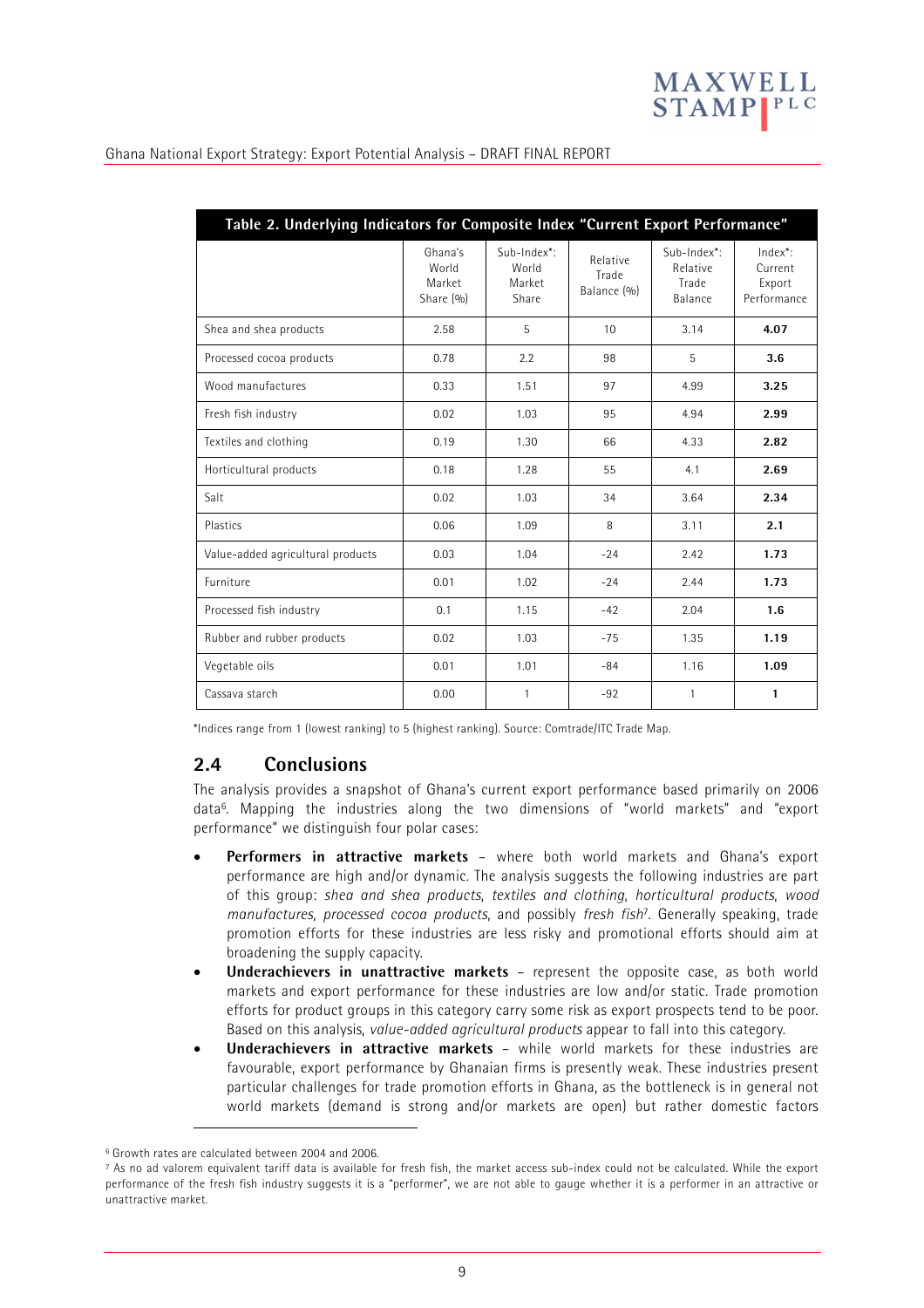

| Table 2. Underlying Indicators for Composite Index "Current Export Performance" |                                         |                                         |                                  |                                             |                                             |  |  |
|---------------------------------------------------------------------------------|-----------------------------------------|-----------------------------------------|----------------------------------|---------------------------------------------|---------------------------------------------|--|--|
|                                                                                 | Ghana's<br>World<br>Market<br>Share (%) | Sub-Index*:<br>World<br>Market<br>Share | Relative<br>Trade<br>Balance (%) | Sub-Index*:<br>Relative<br>Trade<br>Balance | Index*:<br>Current<br>Export<br>Performance |  |  |
| Shea and shea products                                                          | 2.58                                    | 5                                       | 10                               | 3.14                                        | 4.07                                        |  |  |
| Processed cocoa products                                                        | 0.78                                    | 2.2                                     | 98                               | 5                                           | 3.6                                         |  |  |
| Wood manufactures                                                               | 0.33                                    | 1.51                                    | 97                               | 4.99                                        | 3.25                                        |  |  |
| Fresh fish industry                                                             | 0.02                                    | 1.03                                    | 95                               | 4.94                                        | 2.99                                        |  |  |
| Textiles and clothing                                                           | 0.19                                    | 1.30                                    | 66                               | 4.33                                        | 2.82                                        |  |  |
| Horticultural products                                                          | 0.18                                    | 1.28                                    | 55                               | 4.1                                         | 2.69                                        |  |  |
| Salt                                                                            | 0.02                                    | 1.03                                    | 34                               | 3.64                                        | 2.34                                        |  |  |
| Plastics                                                                        | 0.06                                    | 1.09                                    | 8                                | 3.11                                        | 2.1                                         |  |  |
| Value-added agricultural products                                               | 0.03                                    | 1.04                                    | $-24$                            | 2.42                                        | 1.73                                        |  |  |
| Furniture                                                                       | 0.01                                    | 1.02                                    | $-24$                            | 2.44                                        | 1.73                                        |  |  |
| Processed fish industry                                                         | 0.1                                     | 1.15                                    | $-42$                            | 2.04                                        | 1.6                                         |  |  |
| Rubber and rubber products                                                      | 0.02                                    | 1.03                                    | $-75$                            | 1.35                                        | 1.19                                        |  |  |
| Vegetable oils                                                                  | 0.01                                    | 1.01                                    | $-84$                            | 1.16                                        | 1.09                                        |  |  |
| Cassava starch                                                                  | 0.00                                    | $\mathbf{1}$                            | $-92$                            | $\mathbf{1}$                                | $\mathbf{1}$                                |  |  |

\*Indices range from 1 (lowest ranking) to 5 (highest ranking). Source: Comtrade/ITC Trade Map.

### **2.4 Conclusions**

The analysis provides a snapshot of Ghana's current export performance based primarily on 2006 data6. Mapping the industries along the two dimensions of "world markets" and "export performance" we distinguish four polar cases:

- **Performers in attractive markets** where both world markets and Ghana's export performance are high and/or dynamic. The analysis suggests the following industries are part of this group: *shea and shea products*, *textiles and clothing*, *horticultural products*, *wood manufactures*, *processed cocoa products*, and possibly *fresh fish*7. Generally speaking, trade promotion efforts for these industries are less risky and promotional efforts should aim at broadening the supply capacity.
- **Underachievers in unattractive markets** represent the opposite case, as both world markets and export performance for these industries are low and/or static. Trade promotion efforts for product groups in this category carry some risk as export prospects tend to be poor. Based on this analysis, *value-added agricultural products* appear to fall into this category.
- **Underachievers in attractive markets** while world markets for these industries are favourable, export performance by Ghanaian firms is presently weak. These industries present particular challenges for trade promotion efforts in Ghana, as the bottleneck is in general not world markets (demand is strong and/or markets are open) but rather domestic factors

-

<sup>6</sup> Growth rates are calculated between 2004 and 2006.

<sup>7</sup> As no ad valorem equivalent tariff data is available for fresh fish, the market access sub-index could not be calculated. While the export performance of the fresh fish industry suggests it is a "performer", we are not able to gauge whether it is a performer in an attractive or unattractive market.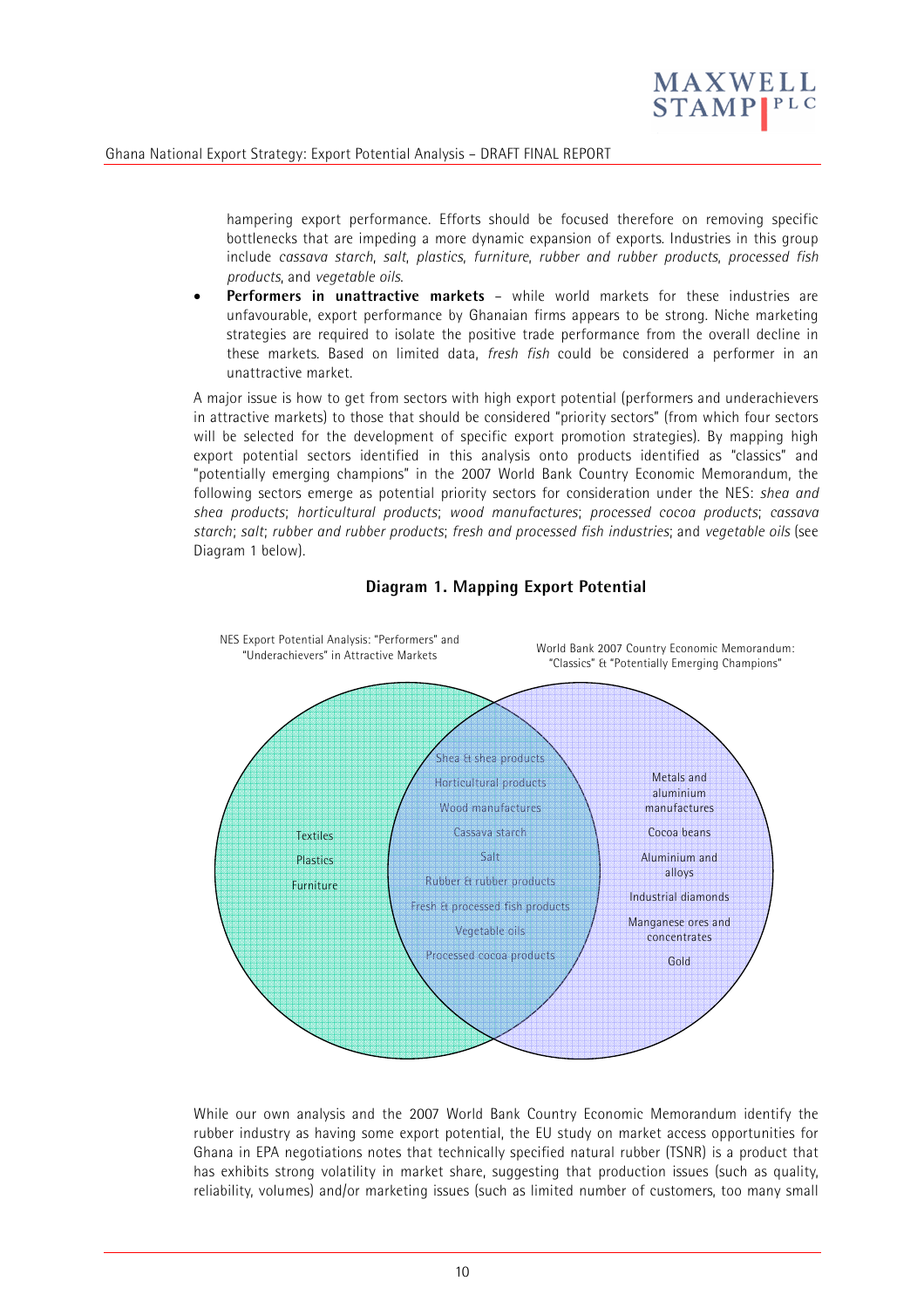

hampering export performance. Efforts should be focused therefore on removing specific bottlenecks that are impeding a more dynamic expansion of exports. Industries in this group include *cassava starch*, *salt*, *plastics*, *furniture*, *rubber and rubber products*, *processed fish products*, and *vegetable oils*.

• **Performers in unattractive markets** – while world markets for these industries are unfavourable, export performance by Ghanaian firms appears to be strong. Niche marketing strategies are required to isolate the positive trade performance from the overall decline in these markets. Based on limited data, *fresh fish* could be considered a performer in an unattractive market.

A major issue is how to get from sectors with high export potential (performers and underachievers in attractive markets) to those that should be considered "priority sectors" (from which four sectors will be selected for the development of specific export promotion strategies). By mapping high export potential sectors identified in this analysis onto products identified as "classics" and "potentially emerging champions" in the 2007 World Bank Country Economic Memorandum, the following sectors emerge as potential priority sectors for consideration under the NES: *shea and shea products*; *horticultural products*; *wood manufactures*; *processed cocoa products*; *cassava starch*; *salt*; *rubber and rubber products*; *fresh and processed fish industries*; and *vegetable oils* (see Diagram 1 below).



### **Diagram 1. Mapping Export Potential**

While our own analysis and the 2007 World Bank Country Economic Memorandum identify the rubber industry as having some export potential, the EU study on market access opportunities for Ghana in EPA negotiations notes that technically specified natural rubber (TSNR) is a product that has exhibits strong volatility in market share, suggesting that production issues (such as quality, reliability, volumes) and/or marketing issues (such as limited number of customers, too many small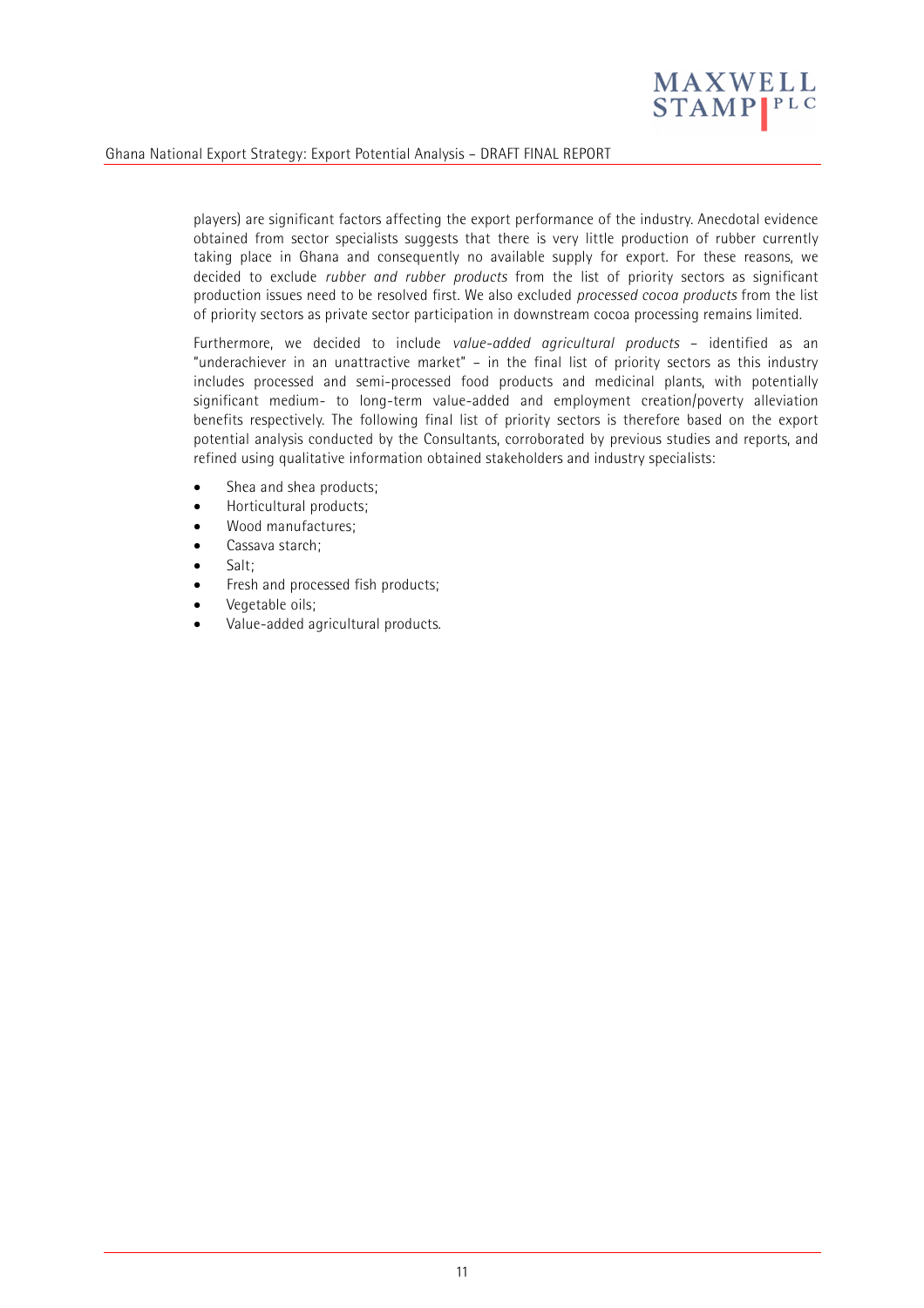

players) are significant factors affecting the export performance of the industry. Anecdotal evidence obtained from sector specialists suggests that there is very little production of rubber currently taking place in Ghana and consequently no available supply for export. For these reasons, we decided to exclude *rubber and rubber products* from the list of priority sectors as significant production issues need to be resolved first. We also excluded *processed cocoa products* from the list of priority sectors as private sector participation in downstream cocoa processing remains limited.

Furthermore, we decided to include *value-added agricultural products* – identified as an "underachiever in an unattractive market" – in the final list of priority sectors as this industry includes processed and semi-processed food products and medicinal plants, with potentially significant medium- to long-term value-added and employment creation/poverty alleviation benefits respectively. The following final list of priority sectors is therefore based on the export potential analysis conducted by the Consultants, corroborated by previous studies and reports, and refined using qualitative information obtained stakeholders and industry specialists:

- Shea and shea products:
- Horticultural products;
- Wood manufactures;
- Cassava starch:
- Salt:
- Fresh and processed fish products;
- Vegetable oils;
- Value-added agricultural products.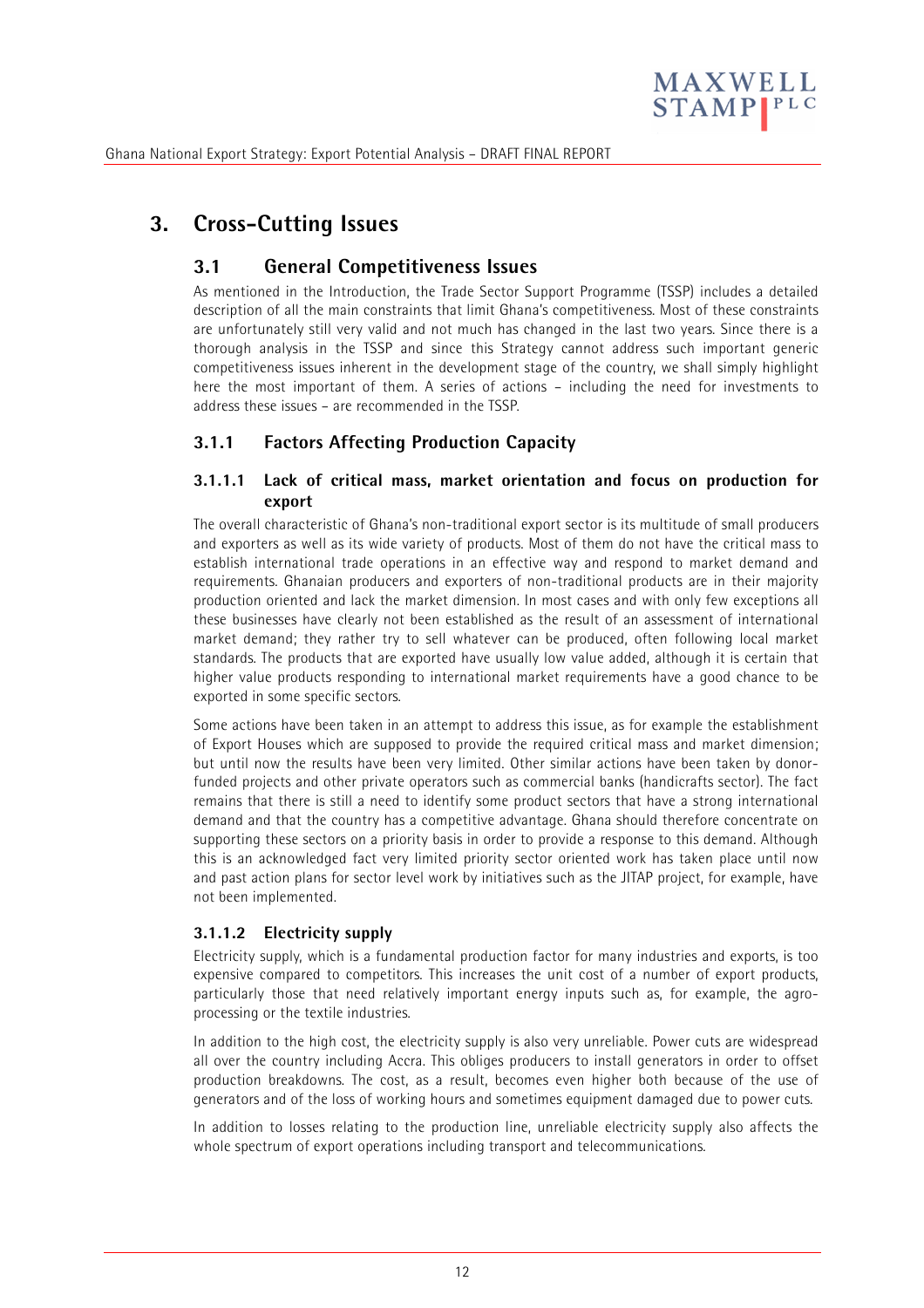

# **3. Cross-Cutting Issues**

# **3.1 General Competitiveness Issues**

As mentioned in the Introduction, the Trade Sector Support Programme (TSSP) includes a detailed description of all the main constraints that limit Ghana's competitiveness. Most of these constraints are unfortunately still very valid and not much has changed in the last two years. Since there is a thorough analysis in the TSSP and since this Strategy cannot address such important generic competitiveness issues inherent in the development stage of the country, we shall simply highlight here the most important of them. A series of actions – including the need for investments to address these issues – are recommended in the TSSP.

# **3.1.1 Factors Affecting Production Capacity**

### **3.1.1.1 Lack of critical mass, market orientation and focus on production for export**

The overall characteristic of Ghana's non-traditional export sector is its multitude of small producers and exporters as well as its wide variety of products. Most of them do not have the critical mass to establish international trade operations in an effective way and respond to market demand and requirements. Ghanaian producers and exporters of non-traditional products are in their majority production oriented and lack the market dimension. In most cases and with only few exceptions all these businesses have clearly not been established as the result of an assessment of international market demand; they rather try to sell whatever can be produced, often following local market standards. The products that are exported have usually low value added, although it is certain that higher value products responding to international market requirements have a good chance to be exported in some specific sectors.

Some actions have been taken in an attempt to address this issue, as for example the establishment of Export Houses which are supposed to provide the required critical mass and market dimension; but until now the results have been very limited. Other similar actions have been taken by donorfunded projects and other private operators such as commercial banks (handicrafts sector). The fact remains that there is still a need to identify some product sectors that have a strong international demand and that the country has a competitive advantage. Ghana should therefore concentrate on supporting these sectors on a priority basis in order to provide a response to this demand. Although this is an acknowledged fact very limited priority sector oriented work has taken place until now and past action plans for sector level work by initiatives such as the JITAP project, for example, have not been implemented.

#### **3.1.1.2 Electricity supply**

Electricity supply, which is a fundamental production factor for many industries and exports, is too expensive compared to competitors. This increases the unit cost of a number of export products, particularly those that need relatively important energy inputs such as, for example, the agroprocessing or the textile industries.

In addition to the high cost, the electricity supply is also very unreliable. Power cuts are widespread all over the country including Accra. This obliges producers to install generators in order to offset production breakdowns. The cost, as a result, becomes even higher both because of the use of generators and of the loss of working hours and sometimes equipment damaged due to power cuts.

In addition to losses relating to the production line, unreliable electricity supply also affects the whole spectrum of export operations including transport and telecommunications.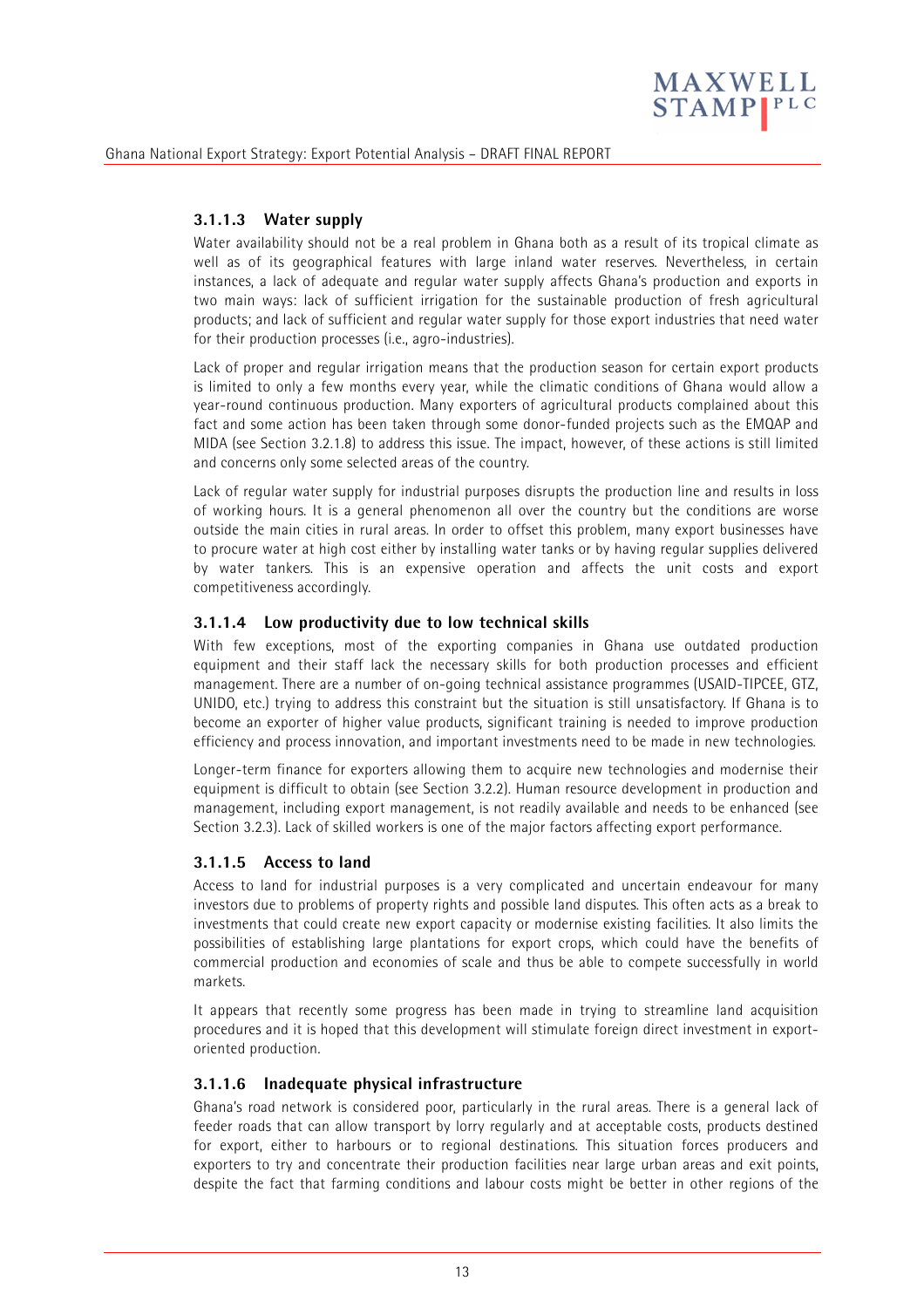

### **3.1.1.3 Water supply**

Water availability should not be a real problem in Ghana both as a result of its tropical climate as well as of its geographical features with large inland water reserves. Nevertheless, in certain instances, a lack of adequate and regular water supply affects Ghana's production and exports in two main ways: lack of sufficient irrigation for the sustainable production of fresh agricultural products; and lack of sufficient and regular water supply for those export industries that need water for their production processes (i.e., agro-industries).

Lack of proper and regular irrigation means that the production season for certain export products is limited to only a few months every year, while the climatic conditions of Ghana would allow a year-round continuous production. Many exporters of agricultural products complained about this fact and some action has been taken through some donor-funded projects such as the EMQAP and MIDA (see Section 3.2.1.8) to address this issue. The impact, however, of these actions is still limited and concerns only some selected areas of the country.

Lack of regular water supply for industrial purposes disrupts the production line and results in loss of working hours. It is a general phenomenon all over the country but the conditions are worse outside the main cities in rural areas. In order to offset this problem, many export businesses have to procure water at high cost either by installing water tanks or by having regular supplies delivered by water tankers. This is an expensive operation and affects the unit costs and export competitiveness accordingly.

#### **3.1.1.4 Low productivity due to low technical skills**

With few exceptions, most of the exporting companies in Ghana use outdated production equipment and their staff lack the necessary skills for both production processes and efficient management. There are a number of on-going technical assistance programmes (USAID-TIPCEE, GTZ, UNIDO, etc.) trying to address this constraint but the situation is still unsatisfactory. If Ghana is to become an exporter of higher value products, significant training is needed to improve production efficiency and process innovation, and important investments need to be made in new technologies.

Longer-term finance for exporters allowing them to acquire new technologies and modernise their equipment is difficult to obtain (see Section 3.2.2). Human resource development in production and management, including export management, is not readily available and needs to be enhanced (see Section 3.2.3). Lack of skilled workers is one of the major factors affecting export performance.

#### **3.1.1.5 Access to land**

Access to land for industrial purposes is a very complicated and uncertain endeavour for many investors due to problems of property rights and possible land disputes. This often acts as a break to investments that could create new export capacity or modernise existing facilities. It also limits the possibilities of establishing large plantations for export crops, which could have the benefits of commercial production and economies of scale and thus be able to compete successfully in world markets.

It appears that recently some progress has been made in trying to streamline land acquisition procedures and it is hoped that this development will stimulate foreign direct investment in exportoriented production.

#### **3.1.1.6 Inadequate physical infrastructure**

Ghana's road network is considered poor, particularly in the rural areas. There is a general lack of feeder roads that can allow transport by lorry regularly and at acceptable costs, products destined for export, either to harbours or to regional destinations. This situation forces producers and exporters to try and concentrate their production facilities near large urban areas and exit points, despite the fact that farming conditions and labour costs might be better in other regions of the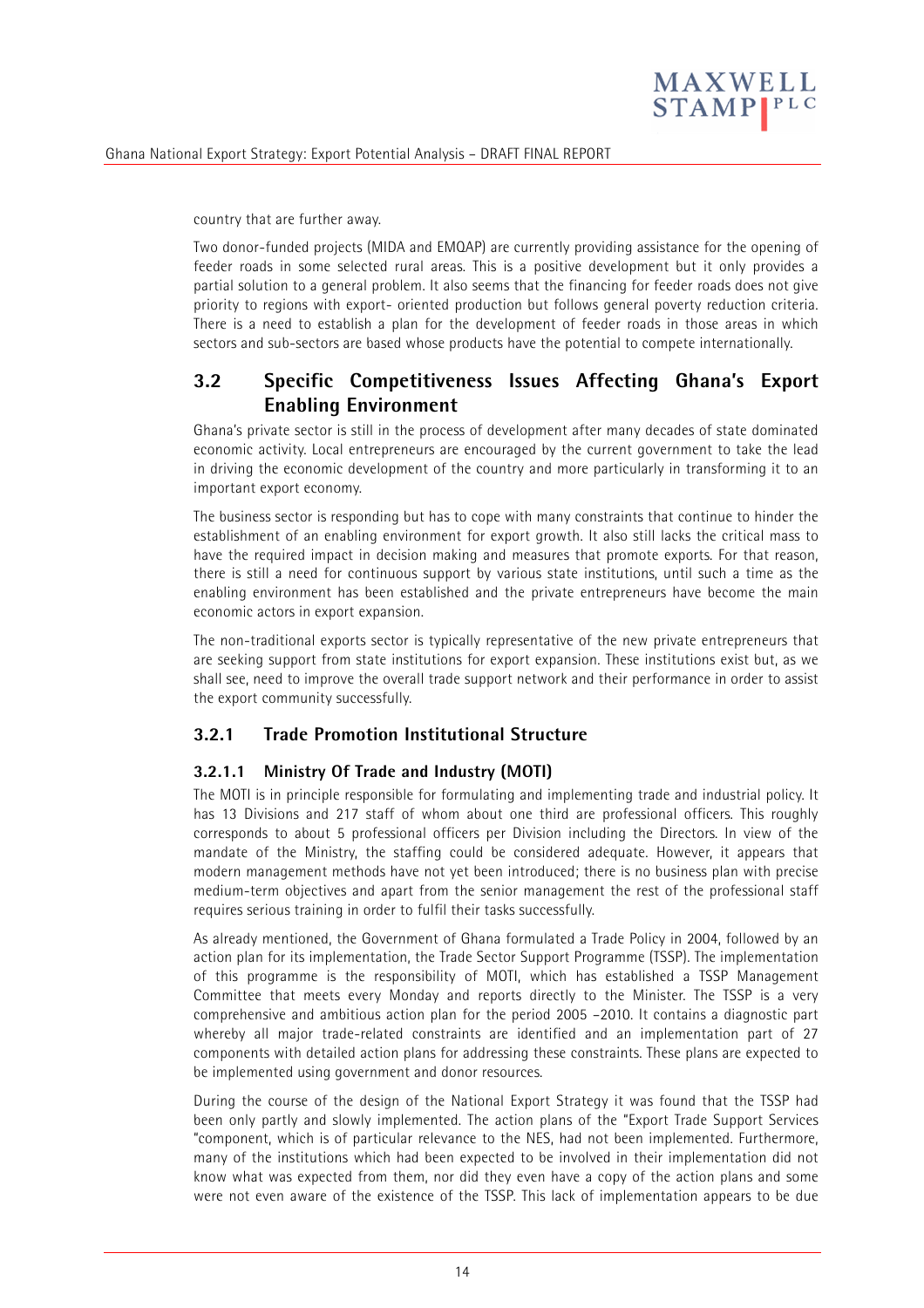

country that are further away.

Two donor-funded projects (MIDA and EMQAP) are currently providing assistance for the opening of feeder roads in some selected rural areas. This is a positive development but it only provides a partial solution to a general problem. It also seems that the financing for feeder roads does not give priority to regions with export- oriented production but follows general poverty reduction criteria. There is a need to establish a plan for the development of feeder roads in those areas in which sectors and sub-sectors are based whose products have the potential to compete internationally.

# **3.2 Specific Competitiveness Issues Affecting Ghana's Export Enabling Environment**

Ghana's private sector is still in the process of development after many decades of state dominated economic activity. Local entrepreneurs are encouraged by the current government to take the lead in driving the economic development of the country and more particularly in transforming it to an important export economy.

The business sector is responding but has to cope with many constraints that continue to hinder the establishment of an enabling environment for export growth. It also still lacks the critical mass to have the required impact in decision making and measures that promote exports. For that reason, there is still a need for continuous support by various state institutions, until such a time as the enabling environment has been established and the private entrepreneurs have become the main economic actors in export expansion.

The non-traditional exports sector is typically representative of the new private entrepreneurs that are seeking support from state institutions for export expansion. These institutions exist but, as we shall see, need to improve the overall trade support network and their performance in order to assist the export community successfully.

# **3.2.1 Trade Promotion Institutional Structure**

### **3.2.1.1 Ministry Of Trade and Industry (MOTI)**

The MOTI is in principle responsible for formulating and implementing trade and industrial policy. It has 13 Divisions and 217 staff of whom about one third are professional officers. This roughly corresponds to about 5 professional officers per Division including the Directors. In view of the mandate of the Ministry, the staffing could be considered adequate. However, it appears that modern management methods have not yet been introduced; there is no business plan with precise medium-term objectives and apart from the senior management the rest of the professional staff requires serious training in order to fulfil their tasks successfully.

As already mentioned, the Government of Ghana formulated a Trade Policy in 2004, followed by an action plan for its implementation, the Trade Sector Support Programme (TSSP). The implementation of this programme is the responsibility of MOTI, which has established a TSSP Management Committee that meets every Monday and reports directly to the Minister. The TSSP is a very comprehensive and ambitious action plan for the period 2005 –2010. It contains a diagnostic part whereby all major trade-related constraints are identified and an implementation part of 27 components with detailed action plans for addressing these constraints. These plans are expected to be implemented using government and donor resources.

During the course of the design of the National Export Strategy it was found that the TSSP had been only partly and slowly implemented. The action plans of the "Export Trade Support Services "component, which is of particular relevance to the NES, had not been implemented. Furthermore, many of the institutions which had been expected to be involved in their implementation did not know what was expected from them, nor did they even have a copy of the action plans and some were not even aware of the existence of the TSSP. This lack of implementation appears to be due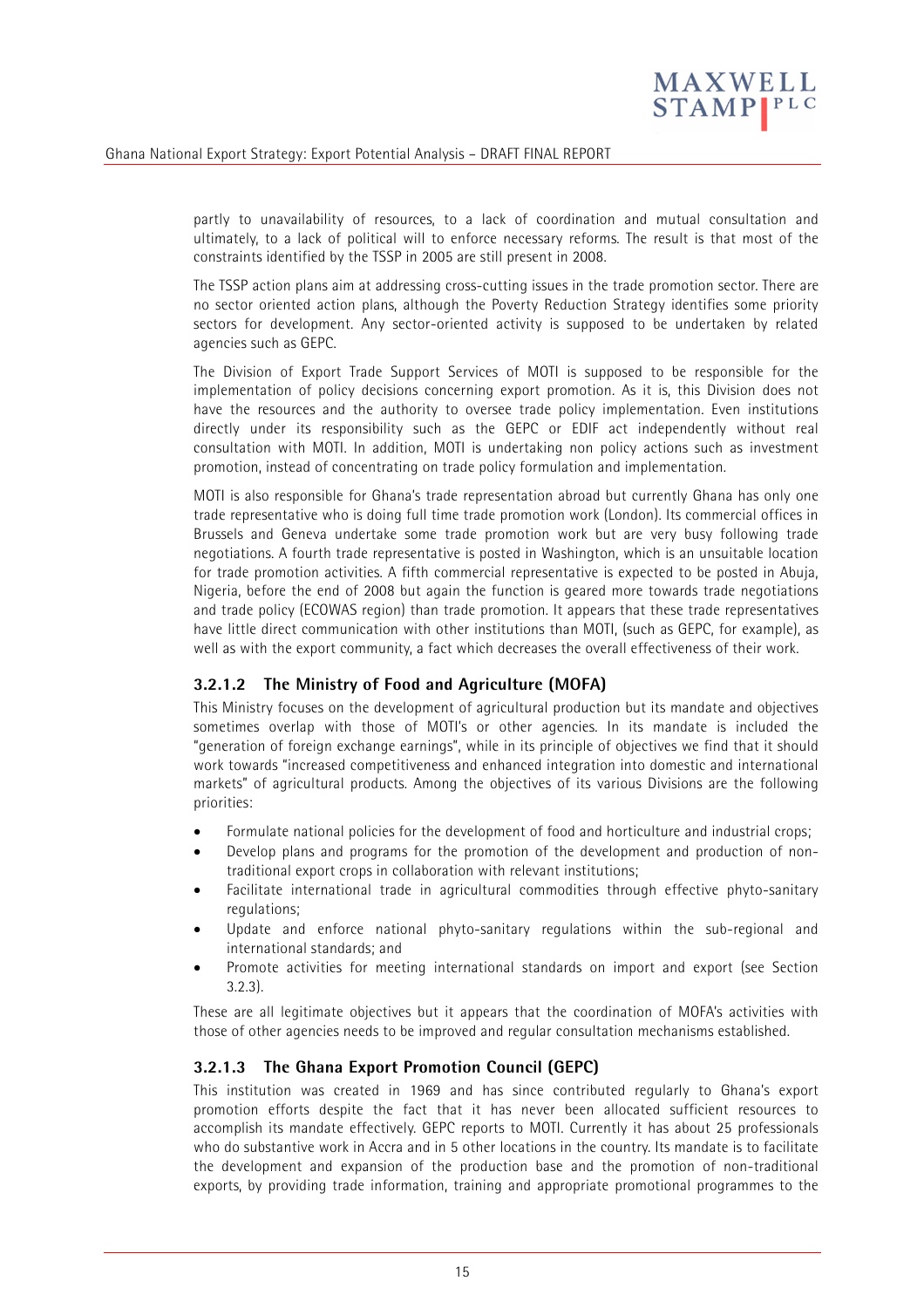

partly to unavailability of resources, to a lack of coordination and mutual consultation and ultimately, to a lack of political will to enforce necessary reforms. The result is that most of the constraints identified by the TSSP in 2005 are still present in 2008.

The TSSP action plans aim at addressing cross-cutting issues in the trade promotion sector. There are no sector oriented action plans, although the Poverty Reduction Strategy identifies some priority sectors for development. Any sector-oriented activity is supposed to be undertaken by related agencies such as GEPC.

The Division of Export Trade Support Services of MOTI is supposed to be responsible for the implementation of policy decisions concerning export promotion. As it is, this Division does not have the resources and the authority to oversee trade policy implementation. Even institutions directly under its responsibility such as the GEPC or EDIF act independently without real consultation with MOTI. In addition, MOTI is undertaking non policy actions such as investment promotion, instead of concentrating on trade policy formulation and implementation.

MOTI is also responsible for Ghana's trade representation abroad but currently Ghana has only one trade representative who is doing full time trade promotion work (London). Its commercial offices in Brussels and Geneva undertake some trade promotion work but are very busy following trade negotiations. A fourth trade representative is posted in Washington, which is an unsuitable location for trade promotion activities. A fifth commercial representative is expected to be posted in Abuja, Nigeria, before the end of 2008 but again the function is geared more towards trade negotiations and trade policy (ECOWAS region) than trade promotion. It appears that these trade representatives have little direct communication with other institutions than MOTI, (such as GEPC, for example), as well as with the export community, a fact which decreases the overall effectiveness of their work.

### **3.2.1.2 The Ministry of Food and Agriculture (MOFA)**

This Ministry focuses on the development of agricultural production but its mandate and objectives sometimes overlap with those of MOTI's or other agencies. In its mandate is included the "generation of foreign exchange earnings", while in its principle of objectives we find that it should work towards "increased competitiveness and enhanced integration into domestic and international markets" of agricultural products. Among the objectives of its various Divisions are the following priorities:

- Formulate national policies for the development of food and horticulture and industrial crops;
- Develop plans and programs for the promotion of the development and production of nontraditional export crops in collaboration with relevant institutions;
- Facilitate international trade in agricultural commodities through effective phyto-sanitary regulations;
- Update and enforce national phyto-sanitary regulations within the sub-regional and international standards; and
- Promote activities for meeting international standards on import and export (see Section 3.2.3).

These are all legitimate objectives but it appears that the coordination of MOFA's activities with those of other agencies needs to be improved and regular consultation mechanisms established.

#### **3.2.1.3 The Ghana Export Promotion Council (GEPC)**

This institution was created in 1969 and has since contributed regularly to Ghana's export promotion efforts despite the fact that it has never been allocated sufficient resources to accomplish its mandate effectively. GEPC reports to MOTI. Currently it has about 25 professionals who do substantive work in Accra and in 5 other locations in the country. Its mandate is to facilitate the development and expansion of the production base and the promotion of non-traditional exports, by providing trade information, training and appropriate promotional programmes to the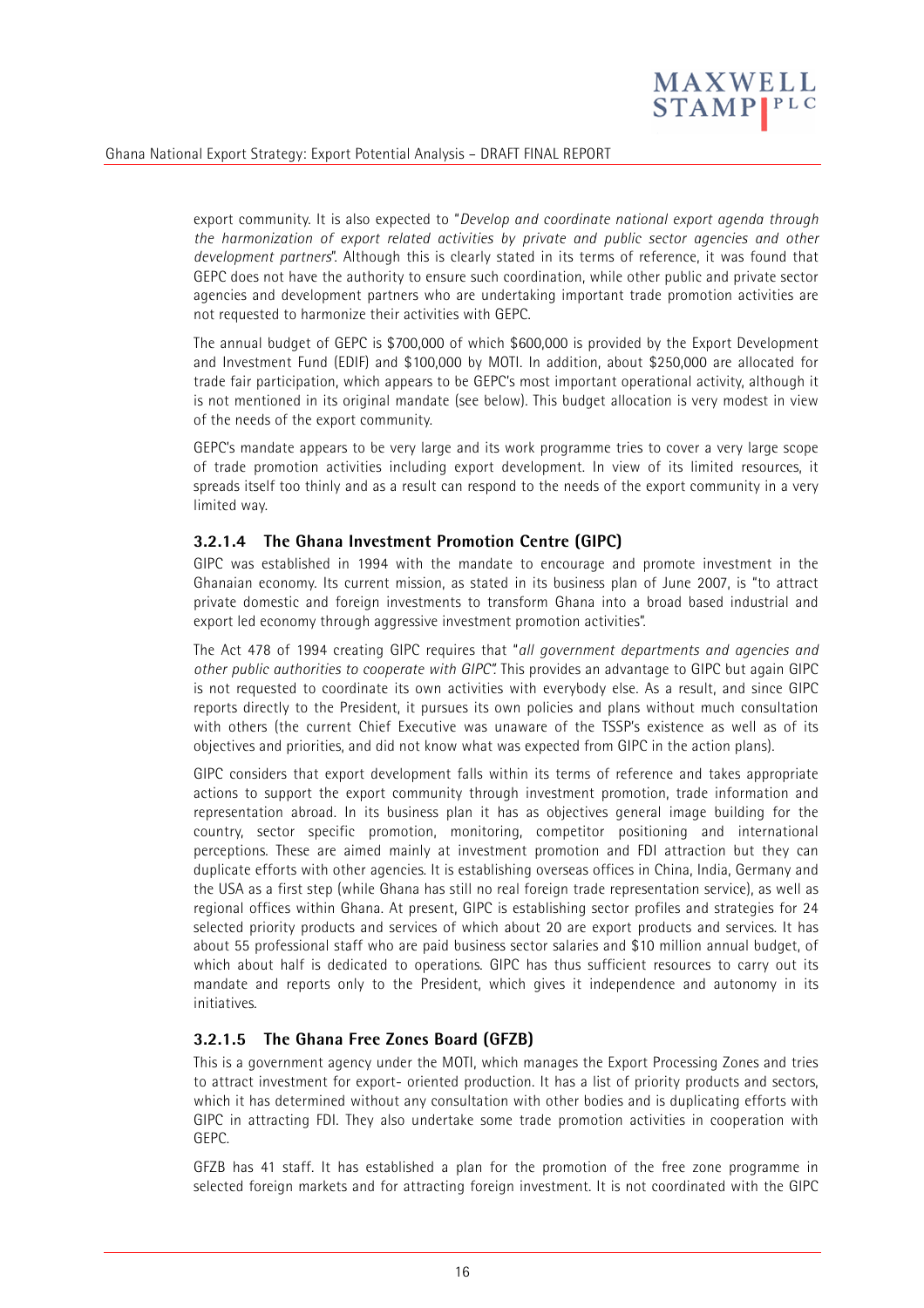

export community. It is also expected to "*Develop and coordinate national export agenda through the harmonization of export related activities by private and public sector agencies and other development partners*". Although this is clearly stated in its terms of reference, it was found that GEPC does not have the authority to ensure such coordination, while other public and private sector agencies and development partners who are undertaking important trade promotion activities are not requested to harmonize their activities with GEPC.

The annual budget of GEPC is \$700,000 of which \$600,000 is provided by the Export Development and Investment Fund (EDIF) and \$100,000 by MOTI. In addition, about \$250,000 are allocated for trade fair participation, which appears to be GEPC's most important operational activity, although it is not mentioned in its original mandate (see below). This budget allocation is very modest in view of the needs of the export community.

GEPC's mandate appears to be very large and its work programme tries to cover a very large scope of trade promotion activities including export development. In view of its limited resources, it spreads itself too thinly and as a result can respond to the needs of the export community in a very limited way.

#### **3.2.1.4 The Ghana Investment Promotion Centre (GIPC)**

GIPC was established in 1994 with the mandate to encourage and promote investment in the Ghanaian economy. Its current mission, as stated in its business plan of June 2007, is "to attract private domestic and foreign investments to transform Ghana into a broad based industrial and export led economy through aggressive investment promotion activities".

The Act 478 of 1994 creating GIPC requires that "*all government departments and agencies and other public authorities to cooperate with GIPC".* This provides an advantage to GIPC but again GIPC is not requested to coordinate its own activities with everybody else. As a result, and since GIPC reports directly to the President, it pursues its own policies and plans without much consultation with others (the current Chief Executive was unaware of the TSSP's existence as well as of its objectives and priorities, and did not know what was expected from GIPC in the action plans).

GIPC considers that export development falls within its terms of reference and takes appropriate actions to support the export community through investment promotion, trade information and representation abroad. In its business plan it has as objectives general image building for the country, sector specific promotion, monitoring, competitor positioning and international perceptions. These are aimed mainly at investment promotion and FDI attraction but they can duplicate efforts with other agencies. It is establishing overseas offices in China, India, Germany and the USA as a first step (while Ghana has still no real foreign trade representation service), as well as regional offices within Ghana. At present, GIPC is establishing sector profiles and strategies for 24 selected priority products and services of which about 20 are export products and services. It has about 55 professional staff who are paid business sector salaries and \$10 million annual budget, of which about half is dedicated to operations. GIPC has thus sufficient resources to carry out its mandate and reports only to the President, which gives it independence and autonomy in its initiatives.

#### **3.2.1.5 The Ghana Free Zones Board (GFZB)**

This is a government agency under the MOTI, which manages the Export Processing Zones and tries to attract investment for export- oriented production. It has a list of priority products and sectors, which it has determined without any consultation with other bodies and is duplicating efforts with GIPC in attracting FDI. They also undertake some trade promotion activities in cooperation with GEPC.

GFZB has 41 staff. It has established a plan for the promotion of the free zone programme in selected foreign markets and for attracting foreign investment. It is not coordinated with the GIPC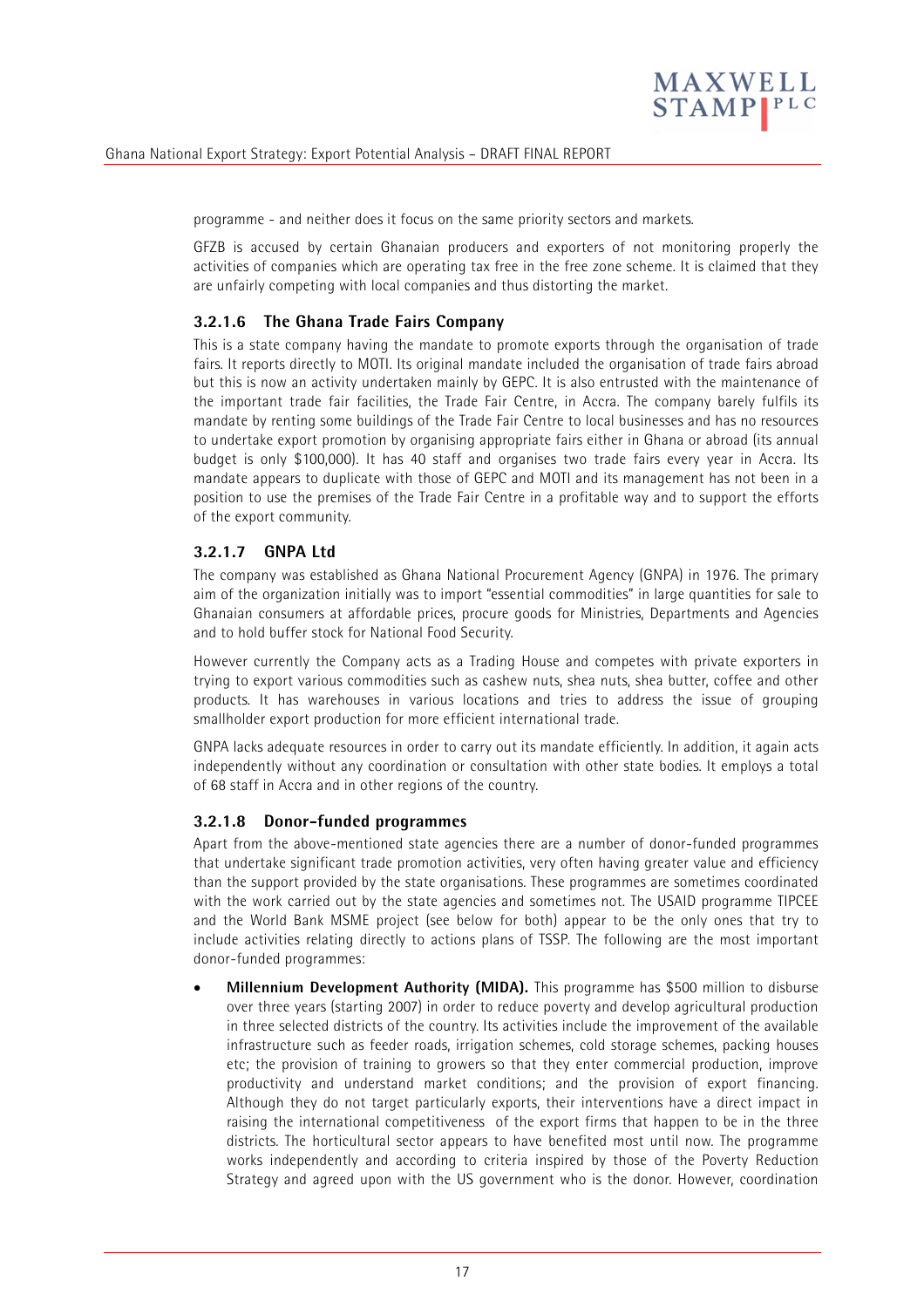

programme - and neither does it focus on the same priority sectors and markets.

GFZB is accused by certain Ghanaian producers and exporters of not monitoring properly the activities of companies which are operating tax free in the free zone scheme. It is claimed that they are unfairly competing with local companies and thus distorting the market.

#### **3.2.1.6 The Ghana Trade Fairs Company**

This is a state company having the mandate to promote exports through the organisation of trade fairs. It reports directly to MOTI. Its original mandate included the organisation of trade fairs abroad but this is now an activity undertaken mainly by GEPC. It is also entrusted with the maintenance of the important trade fair facilities, the Trade Fair Centre, in Accra. The company barely fulfils its mandate by renting some buildings of the Trade Fair Centre to local businesses and has no resources to undertake export promotion by organising appropriate fairs either in Ghana or abroad (its annual budget is only \$100,000). It has 40 staff and organises two trade fairs every year in Accra. Its mandate appears to duplicate with those of GEPC and MOTI and its management has not been in a position to use the premises of the Trade Fair Centre in a profitable way and to support the efforts of the export community.

#### **3.2.1.7 GNPA Ltd**

The company was established as Ghana National Procurement Agency (GNPA) in 1976. The primary aim of the organization initially was to import "essential commodities" in large quantities for sale to Ghanaian consumers at affordable prices, procure goods for Ministries, Departments and Agencies and to hold buffer stock for National Food Security.

However currently the Company acts as a Trading House and competes with private exporters in trying to export various commodities such as cashew nuts, shea nuts, shea butter, coffee and other products. It has warehouses in various locations and tries to address the issue of grouping smallholder export production for more efficient international trade.

GNPA lacks adequate resources in order to carry out its mandate efficiently. In addition, it again acts independently without any coordination or consultation with other state bodies. It employs a total of 68 staff in Accra and in other regions of the country.

#### **3.2.1.8 Donor-funded programmes**

Apart from the above-mentioned state agencies there are a number of donor-funded programmes that undertake significant trade promotion activities, very often having greater value and efficiency than the support provided by the state organisations. These programmes are sometimes coordinated with the work carried out by the state agencies and sometimes not. The USAID programme TIPCEE and the World Bank MSME project (see below for both) appear to be the only ones that try to include activities relating directly to actions plans of TSSP. The following are the most important donor-funded programmes:

• **Millennium Development Authority (MIDA).** This programme has \$500 million to disburse over three years (starting 2007) in order to reduce poverty and develop agricultural production in three selected districts of the country. Its activities include the improvement of the available infrastructure such as feeder roads, irrigation schemes, cold storage schemes, packing houses etc; the provision of training to growers so that they enter commercial production, improve productivity and understand market conditions; and the provision of export financing. Although they do not target particularly exports, their interventions have a direct impact in raising the international competitiveness of the export firms that happen to be in the three districts. The horticultural sector appears to have benefited most until now. The programme works independently and according to criteria inspired by those of the Poverty Reduction Strategy and agreed upon with the US government who is the donor. However, coordination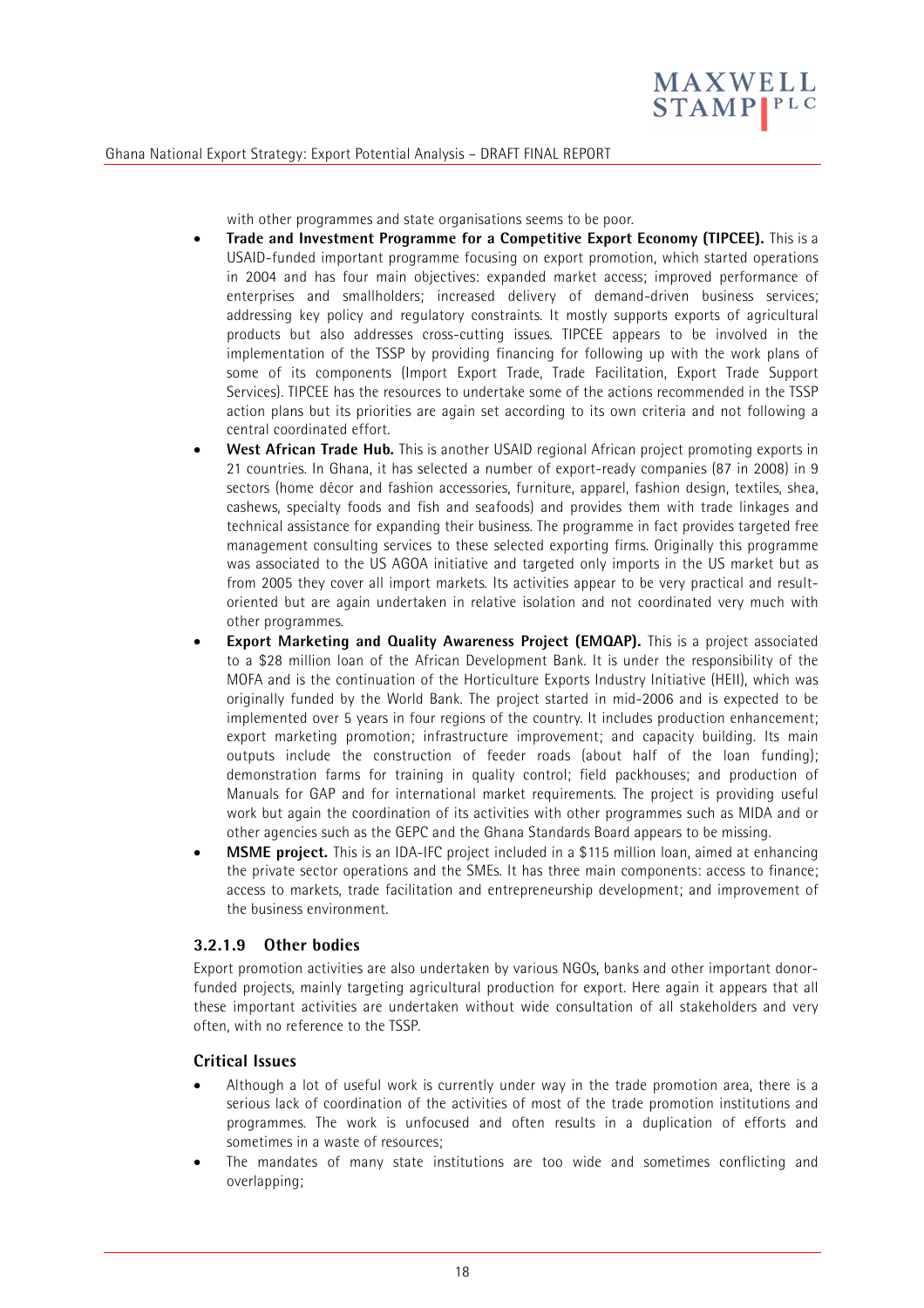

with other programmes and state organisations seems to be poor.

- **Trade and Investment Programme for a Competitive Export Economy (TIPCEE).** This is a USAID-funded important programme focusing on export promotion, which started operations in 2004 and has four main objectives: expanded market access; improved performance of enterprises and smallholders; increased delivery of demand-driven business services; addressing key policy and regulatory constraints. It mostly supports exports of agricultural products but also addresses cross-cutting issues. TIPCEE appears to be involved in the implementation of the TSSP by providing financing for following up with the work plans of some of its components (Import Export Trade, Trade Facilitation, Export Trade Support Services). TIPCEE has the resources to undertake some of the actions recommended in the TSSP action plans but its priorities are again set according to its own criteria and not following a central coordinated effort.
- **West African Trade Hub.** This is another USAID regional African project promoting exports in 21 countries. In Ghana, it has selected a number of export-ready companies (87 in 2008) in 9 sectors (home décor and fashion accessories, furniture, apparel, fashion design, textiles, shea, cashews, specialty foods and fish and seafoods) and provides them with trade linkages and technical assistance for expanding their business. The programme in fact provides targeted free management consulting services to these selected exporting firms. Originally this programme was associated to the US AGOA initiative and targeted only imports in the US market but as from 2005 they cover all import markets. Its activities appear to be very practical and resultoriented but are again undertaken in relative isolation and not coordinated very much with other programmes.
- **Export Marketing and Quality Awareness Project (EMQAP).** This is a project associated to a \$28 million loan of the African Development Bank. It is under the responsibility of the MOFA and is the continuation of the Horticulture Exports Industry Initiative (HEII), which was originally funded by the World Bank. The project started in mid-2006 and is expected to be implemented over 5 years in four regions of the country. It includes production enhancement; export marketing promotion; infrastructure improvement; and capacity building. Its main outputs include the construction of feeder roads (about half of the loan funding); demonstration farms for training in quality control; field packhouses; and production of Manuals for GAP and for international market requirements. The project is providing useful work but again the coordination of its activities with other programmes such as MIDA and or other agencies such as the GEPC and the Ghana Standards Board appears to be missing.
- **MSME project.** This is an IDA-IFC project included in a \$115 million loan, aimed at enhancing the private sector operations and the SMEs. It has three main components: access to finance; access to markets, trade facilitation and entrepreneurship development; and improvement of the business environment.

#### **3.2.1.9 Other bodies**

Export promotion activities are also undertaken by various NGOs, banks and other important donorfunded projects, mainly targeting agricultural production for export. Here again it appears that all these important activities are undertaken without wide consultation of all stakeholders and very often, with no reference to the TSSP.

#### **Critical Issues**

- Although a lot of useful work is currently under way in the trade promotion area, there is a serious lack of coordination of the activities of most of the trade promotion institutions and programmes. The work is unfocused and often results in a duplication of efforts and sometimes in a waste of resources;
- The mandates of many state institutions are too wide and sometimes conflicting and overlapping;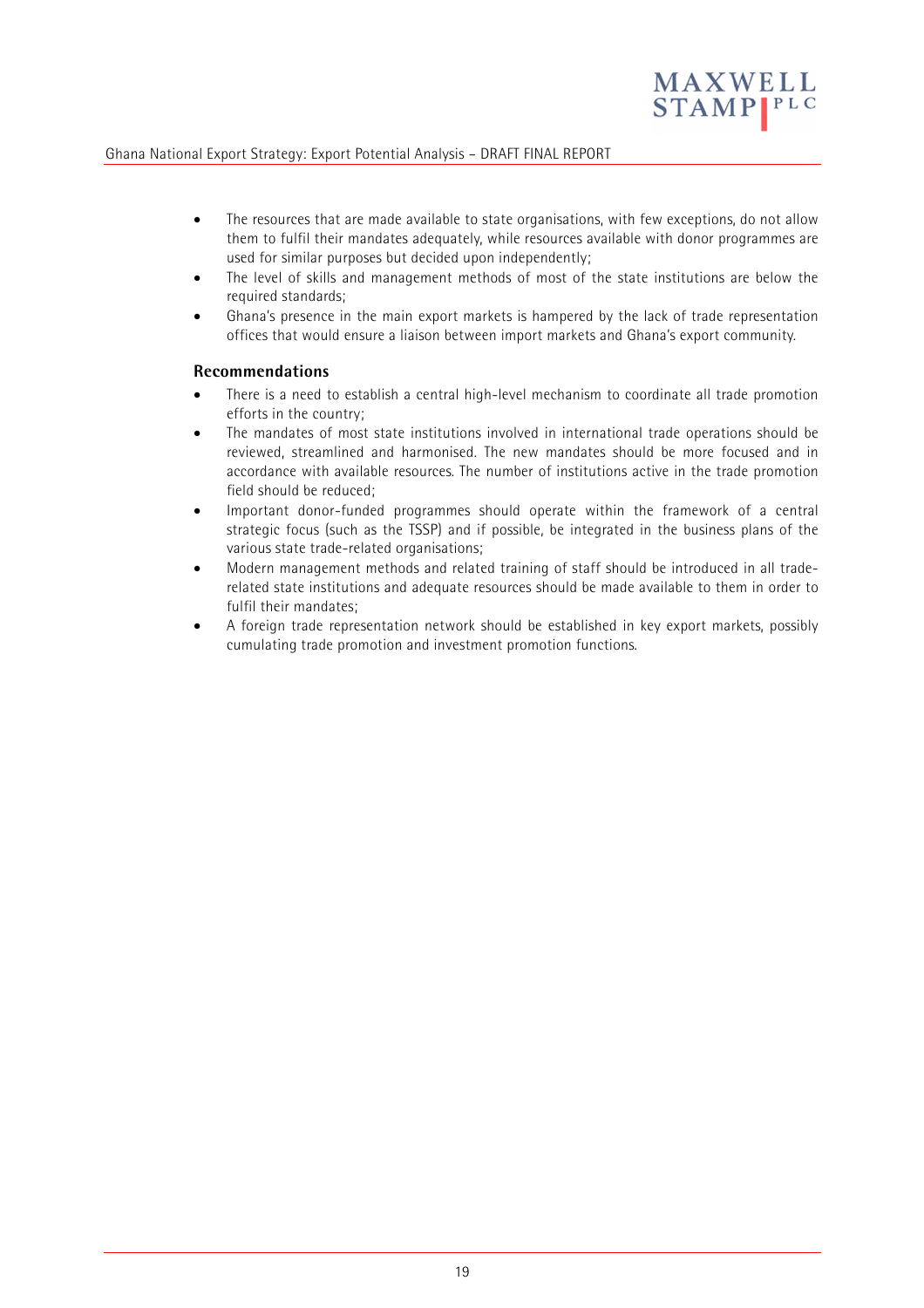

- The resources that are made available to state organisations, with few exceptions, do not allow them to fulfil their mandates adequately, while resources available with donor programmes are used for similar purposes but decided upon independently;
- The level of skills and management methods of most of the state institutions are below the required standards;
- Ghana's presence in the main export markets is hampered by the lack of trade representation offices that would ensure a liaison between import markets and Ghana's export community.

#### **Recommendations**

- There is a need to establish a central high-level mechanism to coordinate all trade promotion efforts in the country;
- The mandates of most state institutions involved in international trade operations should be reviewed, streamlined and harmonised. The new mandates should be more focused and in accordance with available resources. The number of institutions active in the trade promotion field should be reduced;
- Important donor-funded programmes should operate within the framework of a central strategic focus (such as the TSSP) and if possible, be integrated in the business plans of the various state trade-related organisations;
- Modern management methods and related training of staff should be introduced in all traderelated state institutions and adequate resources should be made available to them in order to fulfil their mandates;
- A foreign trade representation network should be established in key export markets, possibly cumulating trade promotion and investment promotion functions.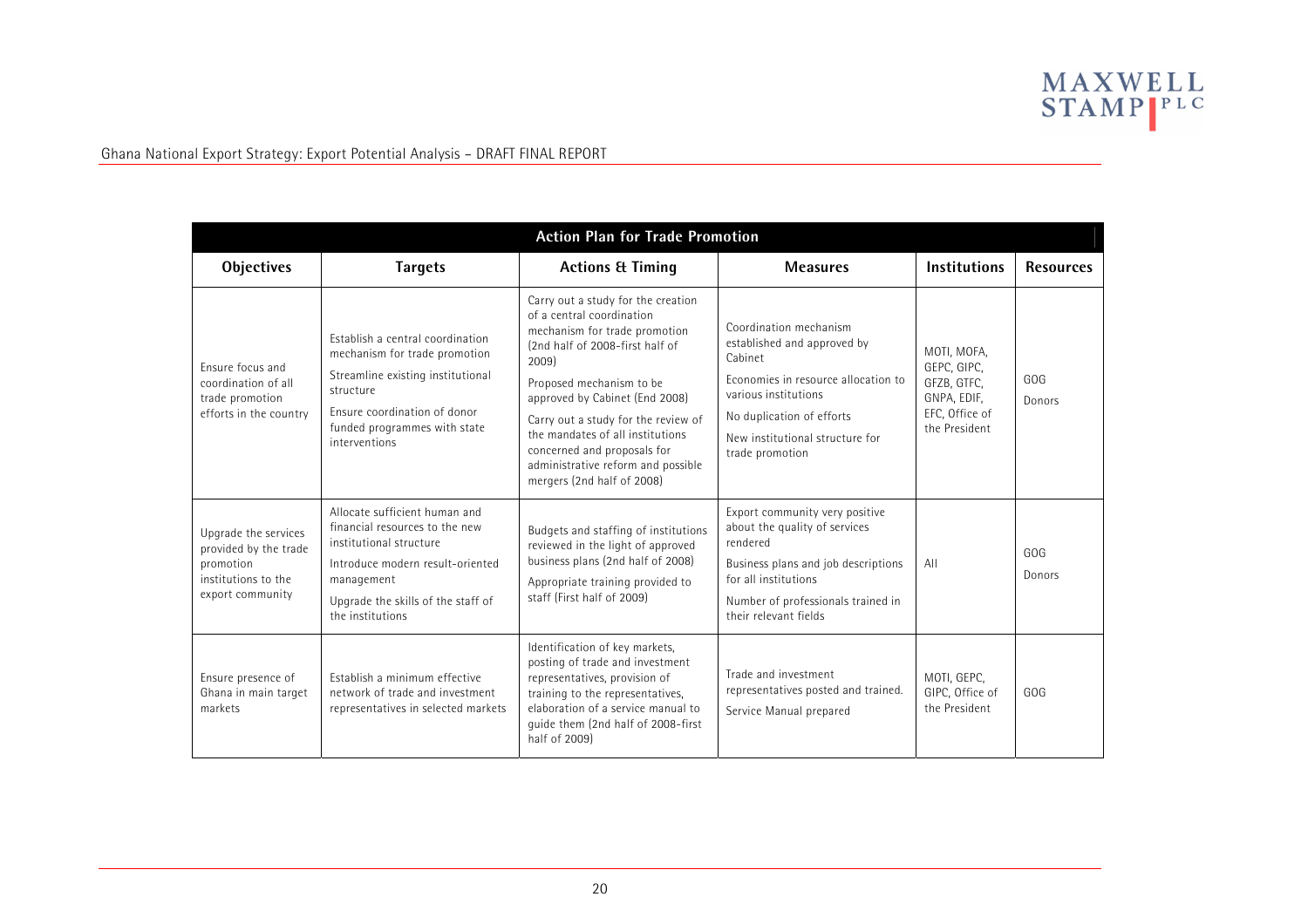

| <b>Action Plan for Trade Promotion</b>                                                                |                                                                                                                                                                                                        |                                                                                                                                                                                                                                                                                                                                                                                          |                                                                                                                                                                                                                    |                                                                                             |                  |  |  |  |
|-------------------------------------------------------------------------------------------------------|--------------------------------------------------------------------------------------------------------------------------------------------------------------------------------------------------------|------------------------------------------------------------------------------------------------------------------------------------------------------------------------------------------------------------------------------------------------------------------------------------------------------------------------------------------------------------------------------------------|--------------------------------------------------------------------------------------------------------------------------------------------------------------------------------------------------------------------|---------------------------------------------------------------------------------------------|------------------|--|--|--|
| Objectives                                                                                            | <b>Targets</b>                                                                                                                                                                                         | <b>Actions &amp; Timing</b>                                                                                                                                                                                                                                                                                                                                                              | <b>Measures</b>                                                                                                                                                                                                    | <b>Institutions</b>                                                                         | <b>Resources</b> |  |  |  |
| Ensure focus and<br>coordination of all<br>trade promotion<br>efforts in the country                  | Establish a central coordination<br>mechanism for trade promotion<br>Streamline existing institutional<br>structure<br>Ensure coordination of donor<br>funded programmes with state<br>interventions   | Carry out a study for the creation<br>of a central coordination<br>mechanism for trade promotion<br>(2nd half of 2008-first half of<br>2009)<br>Proposed mechanism to be<br>approved by Cabinet (End 2008)<br>Carry out a study for the review of<br>the mandates of all institutions<br>concerned and proposals for<br>administrative reform and possible<br>mergers (2nd half of 2008) | Coordination mechanism<br>established and approved by<br>Cabinet<br>Economies in resource allocation to<br>various institutions<br>No duplication of efforts<br>New institutional structure for<br>trade promotion | MOTI, MOFA,<br>GEPC, GIPC,<br>GFZB, GTFC,<br>GNPA, EDIF,<br>EFC, Office of<br>the President | GOG<br>Donors    |  |  |  |
| Upgrade the services<br>provided by the trade<br>promotion<br>institutions to the<br>export community | Allocate sufficient human and<br>financial resources to the new<br>institutional structure<br>Introduce modern result-oriented<br>management<br>Upgrade the skills of the staff of<br>the institutions | Budgets and staffing of institutions<br>reviewed in the light of approved<br>business plans (2nd half of 2008)<br>Appropriate training provided to<br>staff (First half of 2009)                                                                                                                                                                                                         | Export community very positive<br>about the quality of services<br>rendered<br>Business plans and job descriptions<br>for all institutions<br>Number of professionals trained in<br>their relevant fields          | All                                                                                         | GOG<br>Donors    |  |  |  |
| Ensure presence of<br>Ghana in main target<br>markets                                                 | Establish a minimum effective<br>network of trade and investment<br>representatives in selected markets                                                                                                | Identification of key markets,<br>posting of trade and investment<br>representatives, provision of<br>training to the representatives,<br>elaboration of a service manual to<br>quide them (2nd half of 2008-first<br>half of 2009)                                                                                                                                                      | Trade and investment<br>representatives posted and trained.<br>Service Manual prepared                                                                                                                             | MOTI, GEPC,<br>GIPC, Office of<br>the President                                             | GOG              |  |  |  |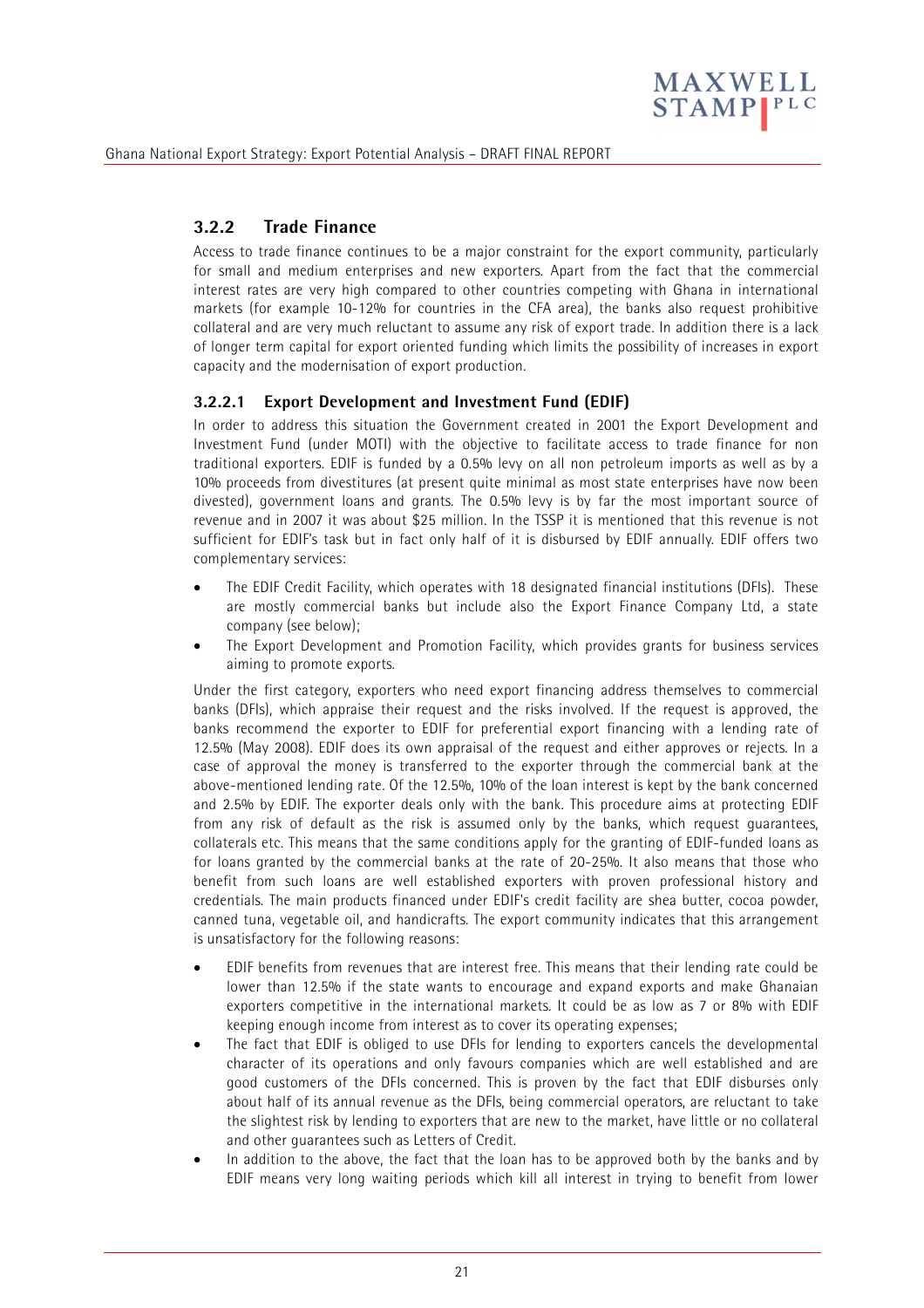

# **3.2.2 Trade Finance**

Access to trade finance continues to be a major constraint for the export community, particularly for small and medium enterprises and new exporters. Apart from the fact that the commercial interest rates are very high compared to other countries competing with Ghana in international markets (for example 10-12% for countries in the CFA area), the banks also request prohibitive collateral and are very much reluctant to assume any risk of export trade. In addition there is a lack of longer term capital for export oriented funding which limits the possibility of increases in export capacity and the modernisation of export production.

#### **3.2.2.1 Export Development and Investment Fund (EDIF)**

In order to address this situation the Government created in 2001 the Export Development and Investment Fund (under MOTI) with the objective to facilitate access to trade finance for non traditional exporters. EDIF is funded by a 0.5% levy on all non petroleum imports as well as by a 10% proceeds from divestitures (at present quite minimal as most state enterprises have now been divested), government loans and grants. The 0.5% levy is by far the most important source of revenue and in 2007 it was about \$25 million. In the TSSP it is mentioned that this revenue is not sufficient for EDIF's task but in fact only half of it is disbursed by EDIF annually. EDIF offers two complementary services:

- The EDIF Credit Facility, which operates with 18 designated financial institutions (DFIs). These are mostly commercial banks but include also the Export Finance Company Ltd, a state company (see below);
- The Export Development and Promotion Facility, which provides grants for business services aiming to promote exports.

Under the first category, exporters who need export financing address themselves to commercial banks (DFIs), which appraise their request and the risks involved. If the request is approved, the banks recommend the exporter to EDIF for preferential export financing with a lending rate of 12.5% (May 2008). EDIF does its own appraisal of the request and either approves or rejects. In a case of approval the money is transferred to the exporter through the commercial bank at the above-mentioned lending rate. Of the 12.5%, 10% of the loan interest is kept by the bank concerned and 2.5% by EDIF. The exporter deals only with the bank. This procedure aims at protecting EDIF from any risk of default as the risk is assumed only by the banks, which request guarantees, collaterals etc. This means that the same conditions apply for the granting of EDIF-funded loans as for loans granted by the commercial banks at the rate of 20-25%. It also means that those who benefit from such loans are well established exporters with proven professional history and credentials. The main products financed under EDIF's credit facility are shea butter, cocoa powder, canned tuna, vegetable oil, and handicrafts. The export community indicates that this arrangement is unsatisfactory for the following reasons:

- EDIF benefits from revenues that are interest free. This means that their lending rate could be lower than 12.5% if the state wants to encourage and expand exports and make Ghanaian exporters competitive in the international markets. It could be as low as 7 or 8% with EDIF keeping enough income from interest as to cover its operating expenses;
- The fact that EDIF is obliged to use DFIs for lending to exporters cancels the developmental character of its operations and only favours companies which are well established and are good customers of the DFIs concerned. This is proven by the fact that EDIF disburses only about half of its annual revenue as the DFIs, being commercial operators, are reluctant to take the slightest risk by lending to exporters that are new to the market, have little or no collateral and other guarantees such as Letters of Credit.
- In addition to the above, the fact that the loan has to be approved both by the banks and by EDIF means very long waiting periods which kill all interest in trying to benefit from lower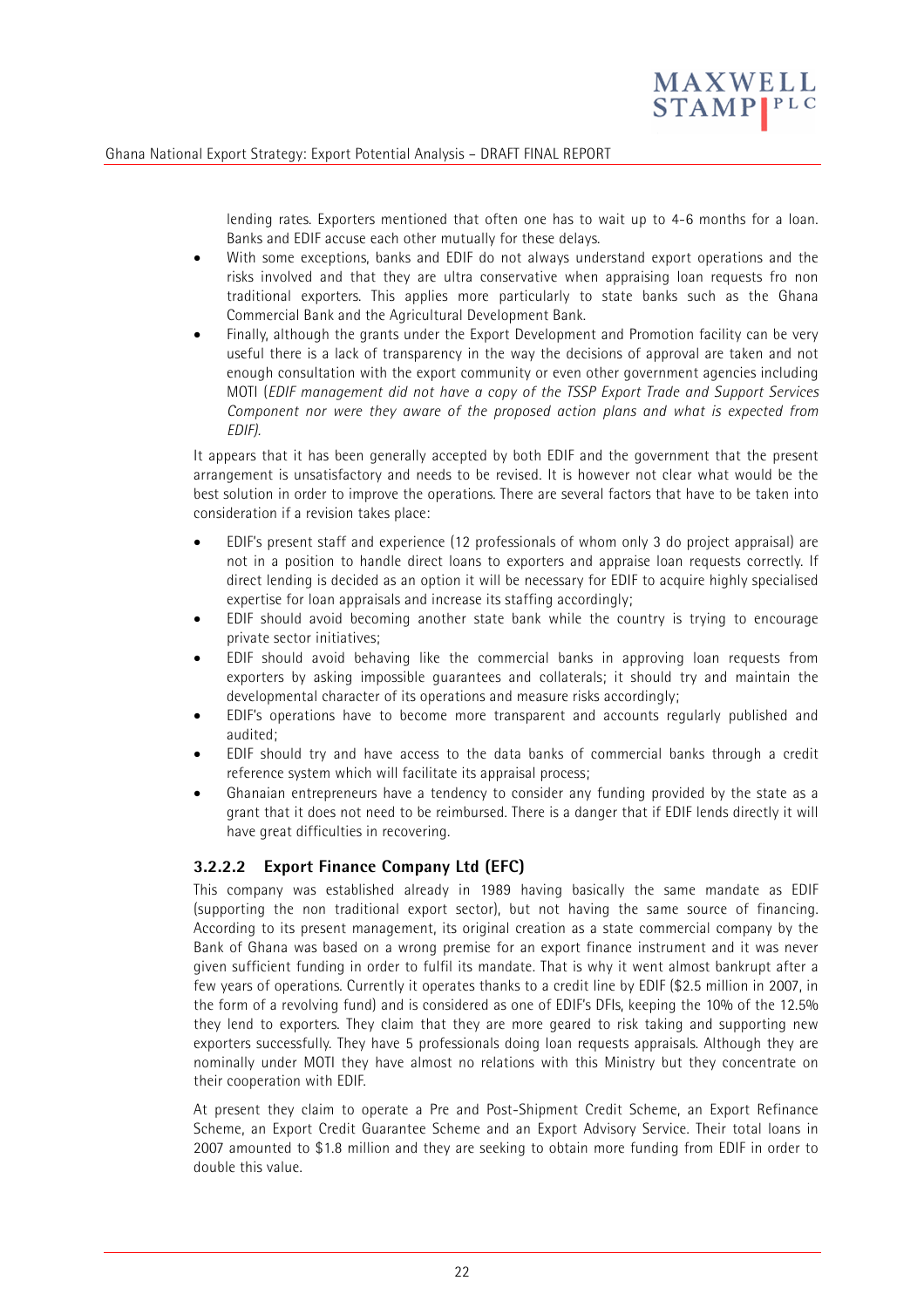

lending rates. Exporters mentioned that often one has to wait up to 4-6 months for a loan. Banks and EDIF accuse each other mutually for these delays.

- With some exceptions, banks and EDIF do not always understand export operations and the risks involved and that they are ultra conservative when appraising loan requests fro non traditional exporters. This applies more particularly to state banks such as the Ghana Commercial Bank and the Agricultural Development Bank.
- Finally, although the grants under the Export Development and Promotion facility can be very useful there is a lack of transparency in the way the decisions of approval are taken and not enough consultation with the export community or even other government agencies including MOTI (*EDIF management did not have a copy of the TSSP Export Trade and Support Services Component nor were they aware of the proposed action plans and what is expected from EDIF).*

It appears that it has been generally accepted by both EDIF and the government that the present arrangement is unsatisfactory and needs to be revised. It is however not clear what would be the best solution in order to improve the operations. There are several factors that have to be taken into consideration if a revision takes place:

- EDIF's present staff and experience (12 professionals of whom only 3 do project appraisal) are not in a position to handle direct loans to exporters and appraise loan requests correctly. If direct lending is decided as an option it will be necessary for EDIF to acquire highly specialised expertise for loan appraisals and increase its staffing accordingly;
- EDIF should avoid becoming another state bank while the country is trying to encourage private sector initiatives;
- EDIF should avoid behaving like the commercial banks in approving loan requests from exporters by asking impossible guarantees and collaterals; it should try and maintain the developmental character of its operations and measure risks accordingly;
- EDIF's operations have to become more transparent and accounts regularly published and audited;
- EDIF should try and have access to the data banks of commercial banks through a credit reference system which will facilitate its appraisal process;
- Ghanaian entrepreneurs have a tendency to consider any funding provided by the state as a grant that it does not need to be reimbursed. There is a danger that if EDIF lends directly it will have great difficulties in recovering.

#### **3.2.2.2 Export Finance Company Ltd (EFC)**

This company was established already in 1989 having basically the same mandate as EDIF (supporting the non traditional export sector), but not having the same source of financing. According to its present management, its original creation as a state commercial company by the Bank of Ghana was based on a wrong premise for an export finance instrument and it was never given sufficient funding in order to fulfil its mandate. That is why it went almost bankrupt after a few years of operations. Currently it operates thanks to a credit line by EDIF (\$2.5 million in 2007, in the form of a revolving fund) and is considered as one of EDIF's DFIs, keeping the 10% of the 12.5% they lend to exporters. They claim that they are more geared to risk taking and supporting new exporters successfully. They have 5 professionals doing loan requests appraisals. Although they are nominally under MOTI they have almost no relations with this Ministry but they concentrate on their cooperation with EDIF.

At present they claim to operate a Pre and Post-Shipment Credit Scheme, an Export Refinance Scheme, an Export Credit Guarantee Scheme and an Export Advisory Service. Their total loans in 2007 amounted to \$1.8 million and they are seeking to obtain more funding from EDIF in order to double this value.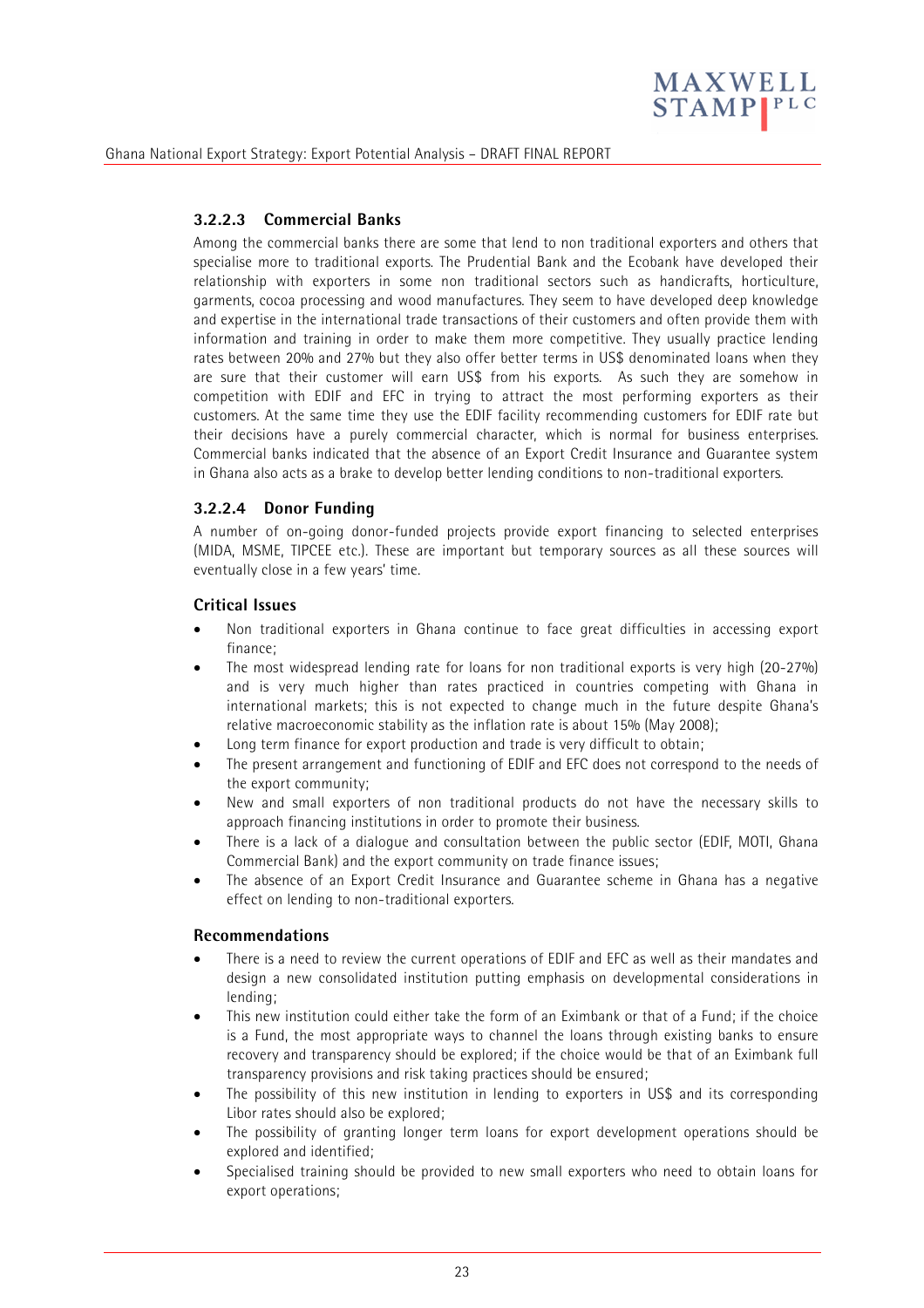

#### **3.2.2.3 Commercial Banks**

Among the commercial banks there are some that lend to non traditional exporters and others that specialise more to traditional exports. The Prudential Bank and the Ecobank have developed their relationship with exporters in some non traditional sectors such as handicrafts, horticulture, garments, cocoa processing and wood manufactures. They seem to have developed deep knowledge and expertise in the international trade transactions of their customers and often provide them with information and training in order to make them more competitive. They usually practice lending rates between 20% and 27% but they also offer better terms in US\$ denominated loans when they are sure that their customer will earn US\$ from his exports. As such they are somehow in competition with EDIF and EFC in trying to attract the most performing exporters as their customers. At the same time they use the EDIF facility recommending customers for EDIF rate but their decisions have a purely commercial character, which is normal for business enterprises. Commercial banks indicated that the absence of an Export Credit Insurance and Guarantee system in Ghana also acts as a brake to develop better lending conditions to non-traditional exporters.

#### **3.2.2.4 Donor Funding**

A number of on-going donor-funded projects provide export financing to selected enterprises (MIDA, MSME, TIPCEE etc.). These are important but temporary sources as all these sources will eventually close in a few years' time.

#### **Critical Issues**

- Non traditional exporters in Ghana continue to face great difficulties in accessing export finance;
- The most widespread lending rate for loans for non traditional exports is very high (20-27%) and is very much higher than rates practiced in countries competing with Ghana in international markets; this is not expected to change much in the future despite Ghana's relative macroeconomic stability as the inflation rate is about 15% (May 2008);
- Long term finance for export production and trade is very difficult to obtain;
- The present arrangement and functioning of EDIF and EFC does not correspond to the needs of the export community;
- New and small exporters of non traditional products do not have the necessary skills to approach financing institutions in order to promote their business.
- There is a lack of a dialogue and consultation between the public sector (EDIF, MOTI, Ghana Commercial Bank) and the export community on trade finance issues;
- The absence of an Export Credit Insurance and Guarantee scheme in Ghana has a negative effect on lending to non-traditional exporters.

#### **Recommendations**

- There is a need to review the current operations of EDIF and EFC as well as their mandates and design a new consolidated institution putting emphasis on developmental considerations in lending;
- This new institution could either take the form of an Eximbank or that of a Fund; if the choice is a Fund, the most appropriate ways to channel the loans through existing banks to ensure recovery and transparency should be explored; if the choice would be that of an Eximbank full transparency provisions and risk taking practices should be ensured;
- The possibility of this new institution in lending to exporters in US\$ and its corresponding Libor rates should also be explored;
- The possibility of granting longer term loans for export development operations should be explored and identified;
- Specialised training should be provided to new small exporters who need to obtain loans for export operations;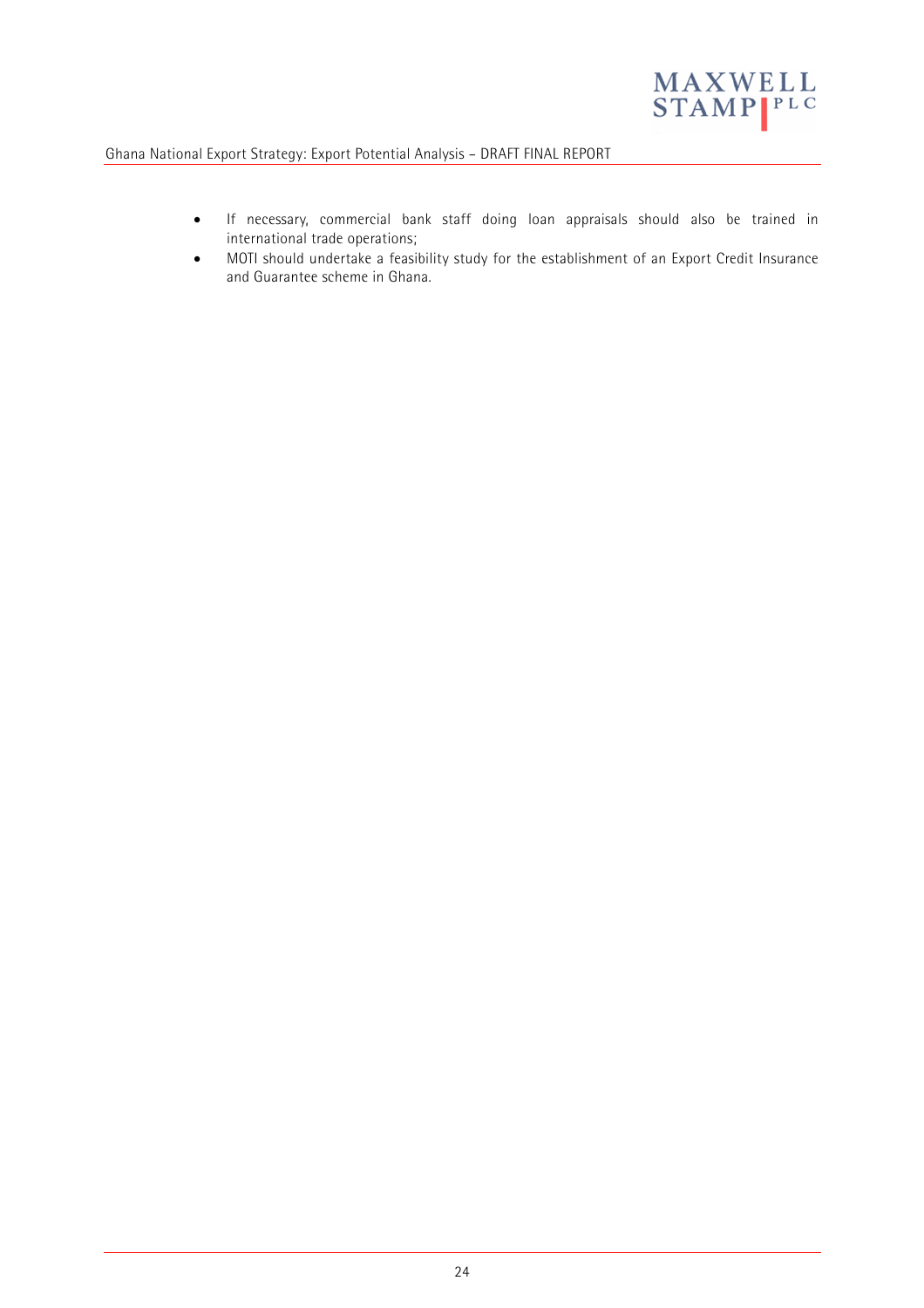

- If necessary, commercial bank staff doing loan appraisals should also be trained in international trade operations;
- MOTI should undertake a feasibility study for the establishment of an Export Credit Insurance and Guarantee scheme in Ghana.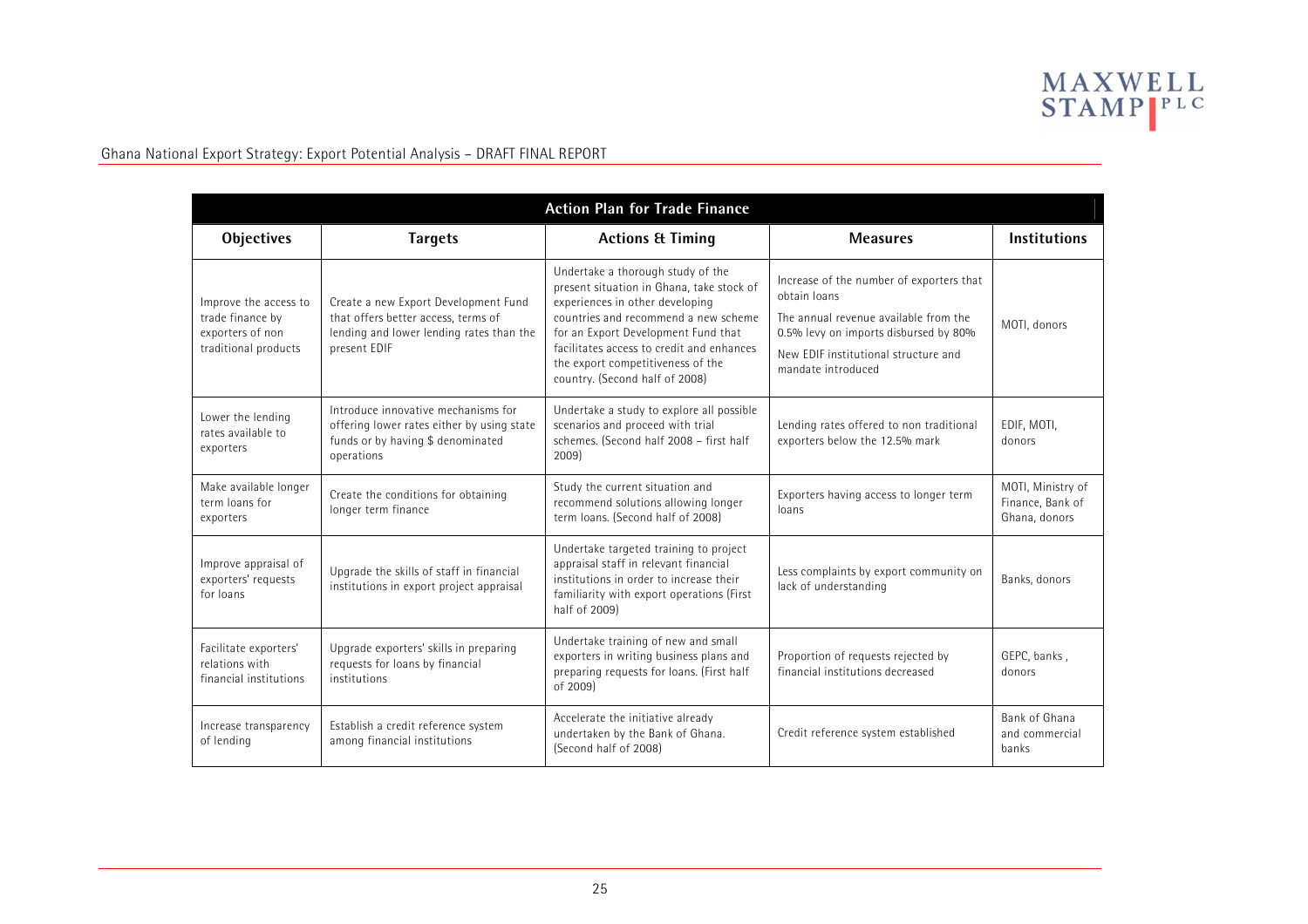

| <b>Action Plan for Trade Finance</b>                                                  |                                                                                                                                         |                                                                                                                                                                                                                                                                                                                      |                                                                                                                                                                                                          |                                                        |  |  |  |
|---------------------------------------------------------------------------------------|-----------------------------------------------------------------------------------------------------------------------------------------|----------------------------------------------------------------------------------------------------------------------------------------------------------------------------------------------------------------------------------------------------------------------------------------------------------------------|----------------------------------------------------------------------------------------------------------------------------------------------------------------------------------------------------------|--------------------------------------------------------|--|--|--|
| <b>Objectives</b>                                                                     | <b>Targets</b>                                                                                                                          | <b>Actions &amp; Timing</b>                                                                                                                                                                                                                                                                                          | <b>Measures</b>                                                                                                                                                                                          | <b>Institutions</b>                                    |  |  |  |
| Improve the access to<br>trade finance by<br>exporters of non<br>traditional products | Create a new Export Development Fund<br>that offers better access, terms of<br>lending and lower lending rates than the<br>present EDIF | Undertake a thorough study of the<br>present situation in Ghana, take stock of<br>experiences in other developing<br>countries and recommend a new scheme<br>for an Export Development Fund that<br>facilitates access to credit and enhances<br>the export competitiveness of the<br>country. (Second half of 2008) | Increase of the number of exporters that<br>obtain loans<br>The annual revenue available from the<br>0.5% levy on imports disbursed by 80%<br>New FDIF institutional structure and<br>mandate introduced | MOTI, donors                                           |  |  |  |
| Lower the lending<br>rates available to<br>exporters                                  | Introduce innovative mechanisms for<br>offering lower rates either by using state<br>funds or by having \$ denominated<br>operations    | Undertake a study to explore all possible<br>scenarios and proceed with trial<br>schemes. (Second half 2008 - first half<br>2009)                                                                                                                                                                                    | Lending rates offered to non traditional<br>exporters below the 12.5% mark                                                                                                                               | EDIF, MOTI,<br>donors                                  |  |  |  |
| Make available longer<br>term loans for<br>exporters                                  | Create the conditions for obtaining<br>longer term finance                                                                              | Study the current situation and<br>recommend solutions allowing longer<br>term loans. (Second half of 2008)                                                                                                                                                                                                          | Exporters having access to longer term<br>loans                                                                                                                                                          | MOTI, Ministry of<br>Finance, Bank of<br>Ghana, donors |  |  |  |
| Improve appraisal of<br>exporters' requests<br>for loans                              | Upgrade the skills of staff in financial<br>institutions in export project appraisal                                                    | Undertake targeted training to project<br>appraisal staff in relevant financial<br>institutions in order to increase their<br>familiarity with export operations (First<br>half of 2009)                                                                                                                             | Less complaints by export community on<br>lack of understanding                                                                                                                                          | Banks, donors                                          |  |  |  |
| Facilitate exporters'<br>relations with<br>financial institutions                     | Upgrade exporters' skills in preparing<br>requests for loans by financial<br>institutions                                               | Undertake training of new and small<br>exporters in writing business plans and<br>preparing requests for loans. (First half<br>of 2009)                                                                                                                                                                              | Proportion of requests rejected by<br>financial institutions decreased                                                                                                                                   | GEPC, banks,<br>donors                                 |  |  |  |
| Increase transparency<br>of lending                                                   | Establish a credit reference system<br>among financial institutions                                                                     | Accelerate the initiative already<br>undertaken by the Bank of Ghana.<br>(Second half of 2008)                                                                                                                                                                                                                       | Credit reference system established                                                                                                                                                                      | Bank of Ghana<br>and commercial<br>banks               |  |  |  |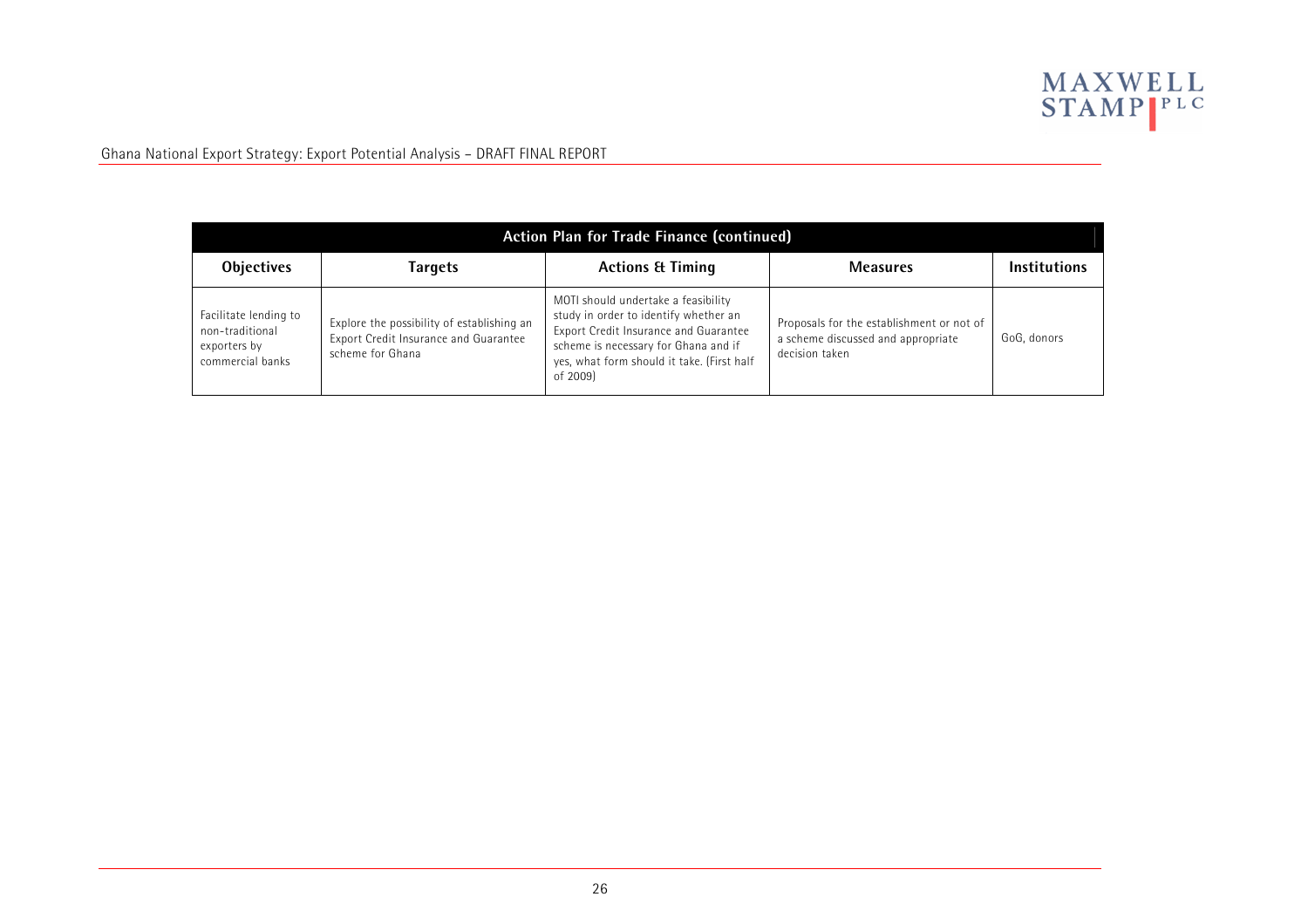

| Action Plan for Trade Finance (continued)                                    |                                                                                                         |                                                                                                                                                                                                                         |                                                                                                   |                     |  |  |  |  |
|------------------------------------------------------------------------------|---------------------------------------------------------------------------------------------------------|-------------------------------------------------------------------------------------------------------------------------------------------------------------------------------------------------------------------------|---------------------------------------------------------------------------------------------------|---------------------|--|--|--|--|
| <b>Objectives</b>                                                            | Targets                                                                                                 | <b>Actions &amp; Timing</b>                                                                                                                                                                                             | <b>Measures</b>                                                                                   | <b>Institutions</b> |  |  |  |  |
| Facilitate lending to<br>non-traditional<br>exporters by<br>commercial banks | Explore the possibility of establishing an<br>Export Credit Insurance and Guarantee<br>scheme for Ghana | MOTI should undertake a feasibility<br>study in order to identify whether an<br>Export Credit Insurance and Guarantee<br>scheme is necessary for Ghana and if<br>yes, what form should it take. (First half<br>of 2009) | Proposals for the establishment or not of<br>a scheme discussed and appropriate<br>decision taken | GoG, donors         |  |  |  |  |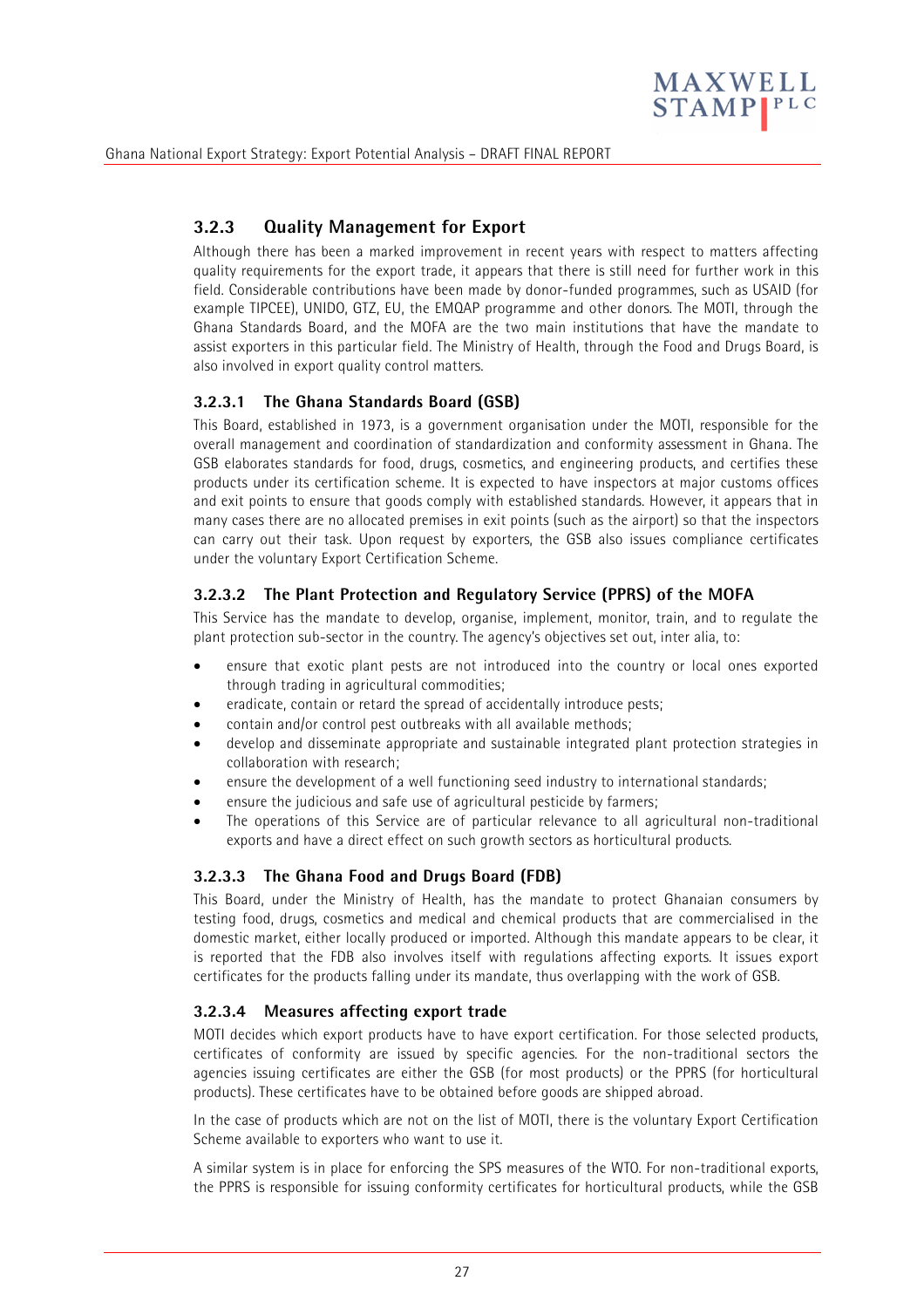

# **3.2.3 Quality Management for Export**

Although there has been a marked improvement in recent years with respect to matters affecting quality requirements for the export trade, it appears that there is still need for further work in this field. Considerable contributions have been made by donor-funded programmes, such as USAID (for example TIPCEE), UNIDO, GTZ, EU, the EMQAP programme and other donors. The MOTI, through the Ghana Standards Board, and the MOFA are the two main institutions that have the mandate to assist exporters in this particular field. The Ministry of Health, through the Food and Drugs Board, is also involved in export quality control matters.

#### **3.2.3.1 The Ghana Standards Board (GSB)**

This Board, established in 1973, is a government organisation under the MOTI, responsible for the overall management and coordination of standardization and conformity assessment in Ghana. The GSB elaborates standards for food, drugs, cosmetics, and engineering products, and certifies these products under its certification scheme. It is expected to have inspectors at major customs offices and exit points to ensure that goods comply with established standards. However, it appears that in many cases there are no allocated premises in exit points (such as the airport) so that the inspectors can carry out their task. Upon request by exporters, the GSB also issues compliance certificates under the voluntary Export Certification Scheme.

#### **3.2.3.2 The Plant Protection and Regulatory Service (PPRS) of the MOFA**

This Service has the mandate to develop, organise, implement, monitor, train, and to regulate the plant protection sub-sector in the country. The agency's objectives set out, inter alia, to:

- ensure that exotic plant pests are not introduced into the country or local ones exported through trading in agricultural commodities;
- eradicate, contain or retard the spread of accidentally introduce pests;
- contain and/or control pest outbreaks with all available methods;
- develop and disseminate appropriate and sustainable integrated plant protection strategies in collaboration with research;
- ensure the development of a well functioning seed industry to international standards;
- ensure the judicious and safe use of agricultural pesticide by farmers;
- The operations of this Service are of particular relevance to all agricultural non-traditional exports and have a direct effect on such growth sectors as horticultural products.

### **3.2.3.3 The Ghana Food and Drugs Board (FDB)**

This Board, under the Ministry of Health, has the mandate to protect Ghanaian consumers by testing food, drugs, cosmetics and medical and chemical products that are commercialised in the domestic market, either locally produced or imported. Although this mandate appears to be clear, it is reported that the FDB also involves itself with regulations affecting exports. It issues export certificates for the products falling under its mandate, thus overlapping with the work of GSB.

#### **3.2.3.4 Measures affecting export trade**

MOTI decides which export products have to have export certification. For those selected products, certificates of conformity are issued by specific agencies. For the non-traditional sectors the agencies issuing certificates are either the GSB (for most products) or the PPRS (for horticultural products). These certificates have to be obtained before goods are shipped abroad.

In the case of products which are not on the list of MOTI, there is the voluntary Export Certification Scheme available to exporters who want to use it.

A similar system is in place for enforcing the SPS measures of the WTO. For non-traditional exports, the PPRS is responsible for issuing conformity certificates for horticultural products, while the GSB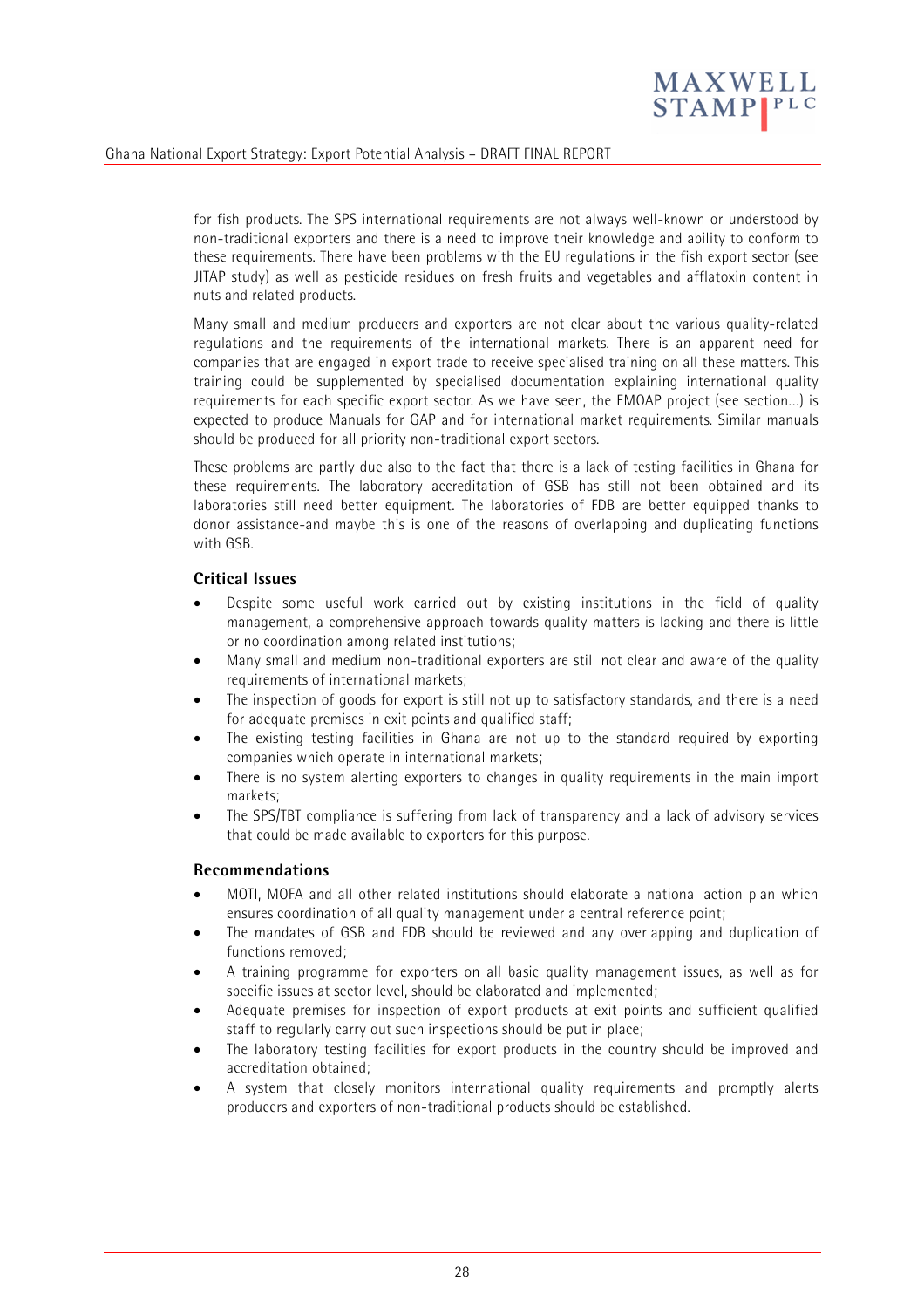

for fish products. The SPS international requirements are not always well-known or understood by non-traditional exporters and there is a need to improve their knowledge and ability to conform to these requirements. There have been problems with the EU regulations in the fish export sector (see JITAP study) as well as pesticide residues on fresh fruits and vegetables and afflatoxin content in nuts and related products.

Many small and medium producers and exporters are not clear about the various quality-related regulations and the requirements of the international markets. There is an apparent need for companies that are engaged in export trade to receive specialised training on all these matters. This training could be supplemented by specialised documentation explaining international quality requirements for each specific export sector. As we have seen, the EMQAP project (see section…) is expected to produce Manuals for GAP and for international market requirements. Similar manuals should be produced for all priority non-traditional export sectors.

These problems are partly due also to the fact that there is a lack of testing facilities in Ghana for these requirements. The laboratory accreditation of GSB has still not been obtained and its laboratories still need better equipment. The laboratories of FDB are better equipped thanks to donor assistance-and maybe this is one of the reasons of overlapping and duplicating functions with GSB.

#### **Critical Issues**

- Despite some useful work carried out by existing institutions in the field of quality management, a comprehensive approach towards quality matters is lacking and there is little or no coordination among related institutions;
- Many small and medium non-traditional exporters are still not clear and aware of the quality requirements of international markets;
- The inspection of goods for export is still not up to satisfactory standards, and there is a need for adequate premises in exit points and qualified staff;
- The existing testing facilities in Ghana are not up to the standard required by exporting companies which operate in international markets;
- There is no system alerting exporters to changes in quality requirements in the main import markets;
- The SPS/TBT compliance is suffering from lack of transparency and a lack of advisory services that could be made available to exporters for this purpose.

#### **Recommendations**

- MOTI, MOFA and all other related institutions should elaborate a national action plan which ensures coordination of all quality management under a central reference point;
- The mandates of GSB and FDB should be reviewed and any overlapping and duplication of functions removed;
- A training programme for exporters on all basic quality management issues, as well as for specific issues at sector level, should be elaborated and implemented;
- Adequate premises for inspection of export products at exit points and sufficient qualified staff to regularly carry out such inspections should be put in place;
- The laboratory testing facilities for export products in the country should be improved and accreditation obtained;
- A system that closely monitors international quality requirements and promptly alerts producers and exporters of non-traditional products should be established.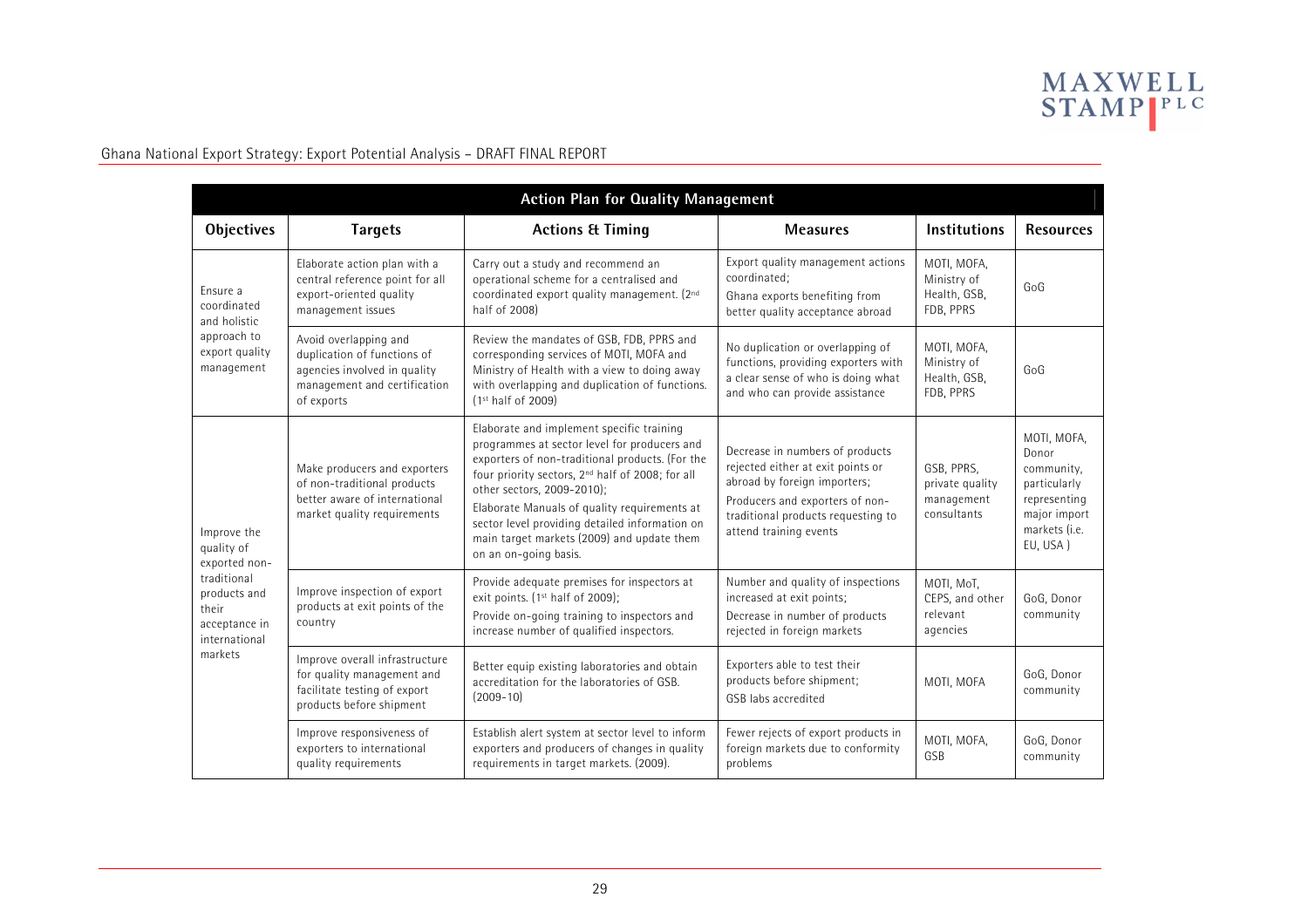

| <b>Action Plan for Quality Management</b>                                              |                                                                                                                                                                                                                                          |                                                                                                                                                                                                                                                                                                                                                                                                                     |                                                                                                                                                                                                         |                                                            |                                                                                                                 |  |  |
|----------------------------------------------------------------------------------------|------------------------------------------------------------------------------------------------------------------------------------------------------------------------------------------------------------------------------------------|---------------------------------------------------------------------------------------------------------------------------------------------------------------------------------------------------------------------------------------------------------------------------------------------------------------------------------------------------------------------------------------------------------------------|---------------------------------------------------------------------------------------------------------------------------------------------------------------------------------------------------------|------------------------------------------------------------|-----------------------------------------------------------------------------------------------------------------|--|--|
| <b>Objectives</b>                                                                      | <b>Targets</b>                                                                                                                                                                                                                           | <b>Actions &amp; Timing</b>                                                                                                                                                                                                                                                                                                                                                                                         | <b>Measures</b>                                                                                                                                                                                         | <b>Institutions</b>                                        | <b>Resources</b>                                                                                                |  |  |
| Ensure a<br>coordinated<br>and holistic<br>approach to<br>export quality<br>management | Elaborate action plan with a<br>central reference point for all<br>export-oriented quality<br>management issues                                                                                                                          | Carry out a study and recommend an<br>operational scheme for a centralised and<br>coordinated export quality management. (2nd<br>half of 2008)                                                                                                                                                                                                                                                                      | Export quality management actions<br>coordinated;<br>Ghana exports benefiting from<br>better quality acceptance abroad                                                                                  | MOTI, MOFA,<br>Ministry of<br>Health, GSB,<br>FDB, PPRS    | GoG                                                                                                             |  |  |
|                                                                                        | Avoid overlapping and<br>duplication of functions of<br>agencies involved in quality<br>management and certification<br>of exports                                                                                                       | Review the mandates of GSB, FDB, PPRS and<br>corresponding services of MOTI, MOFA and<br>Ministry of Health with a view to doing away<br>with overlapping and duplication of functions.<br>(1 <sup>st</sup> half of 2009)                                                                                                                                                                                           | No duplication or overlapping of<br>functions, providing exporters with<br>a clear sense of who is doing what<br>and who can provide assistance                                                         | MOTI, MOFA,<br>Ministry of<br>Health, GSB,<br>FDB, PPRS    | GoG                                                                                                             |  |  |
| Improve the<br>quality of<br>exported non-                                             | Make producers and exporters<br>of non-traditional products<br>better aware of international<br>market quality requirements                                                                                                              | Elaborate and implement specific training<br>programmes at sector level for producers and<br>exporters of non-traditional products. (For the<br>four priority sectors, 2 <sup>nd</sup> half of 2008; for all<br>other sectors, 2009-2010);<br>Elaborate Manuals of quality requirements at<br>sector level providing detailed information on<br>main target markets (2009) and update them<br>on an on-going basis. | Decrease in numbers of products<br>rejected either at exit points or<br>abroad by foreign importers;<br>Producers and exporters of non-<br>traditional products requesting to<br>attend training events | GSB, PPRS,<br>private quality<br>management<br>consultants | MOTI, MOFA,<br>Donor<br>community,<br>particularly<br>representing<br>major import<br>markets (i.e.<br>EU, USA) |  |  |
| traditional<br>products and<br>their<br>acceptance in<br>international                 | Improve inspection of export<br>products at exit points of the<br>country                                                                                                                                                                | Provide adequate premises for inspectors at<br>exit points. (1st half of 2009);<br>Provide on-going training to inspectors and<br>increase number of qualified inspectors.                                                                                                                                                                                                                                          | Number and quality of inspections<br>increased at exit points;<br>Decrease in number of products<br>rejected in foreign markets                                                                         | MOTI, MoT,<br>CEPS, and other<br>relevant<br>agencies      | GoG, Donor<br>community                                                                                         |  |  |
| markets                                                                                | Improve overall infrastructure<br>Better equip existing laboratories and obtain<br>for quality management and<br>accreditation for the laboratories of GSB.<br>facilitate testing of export<br>$(2009 - 10)$<br>products before shipment |                                                                                                                                                                                                                                                                                                                                                                                                                     | Exporters able to test their<br>products before shipment;<br>GSB labs accredited                                                                                                                        | MOTI. MOFA                                                 | GoG, Donor<br>community                                                                                         |  |  |
|                                                                                        | Improve responsiveness of<br>exporters to international<br>quality requirements                                                                                                                                                          | Establish alert system at sector level to inform<br>exporters and producers of changes in quality<br>requirements in target markets. (2009).                                                                                                                                                                                                                                                                        | Fewer rejects of export products in<br>foreign markets due to conformity<br>problems                                                                                                                    | MOTI, MOFA,<br>GSB                                         | GoG, Donor<br>community                                                                                         |  |  |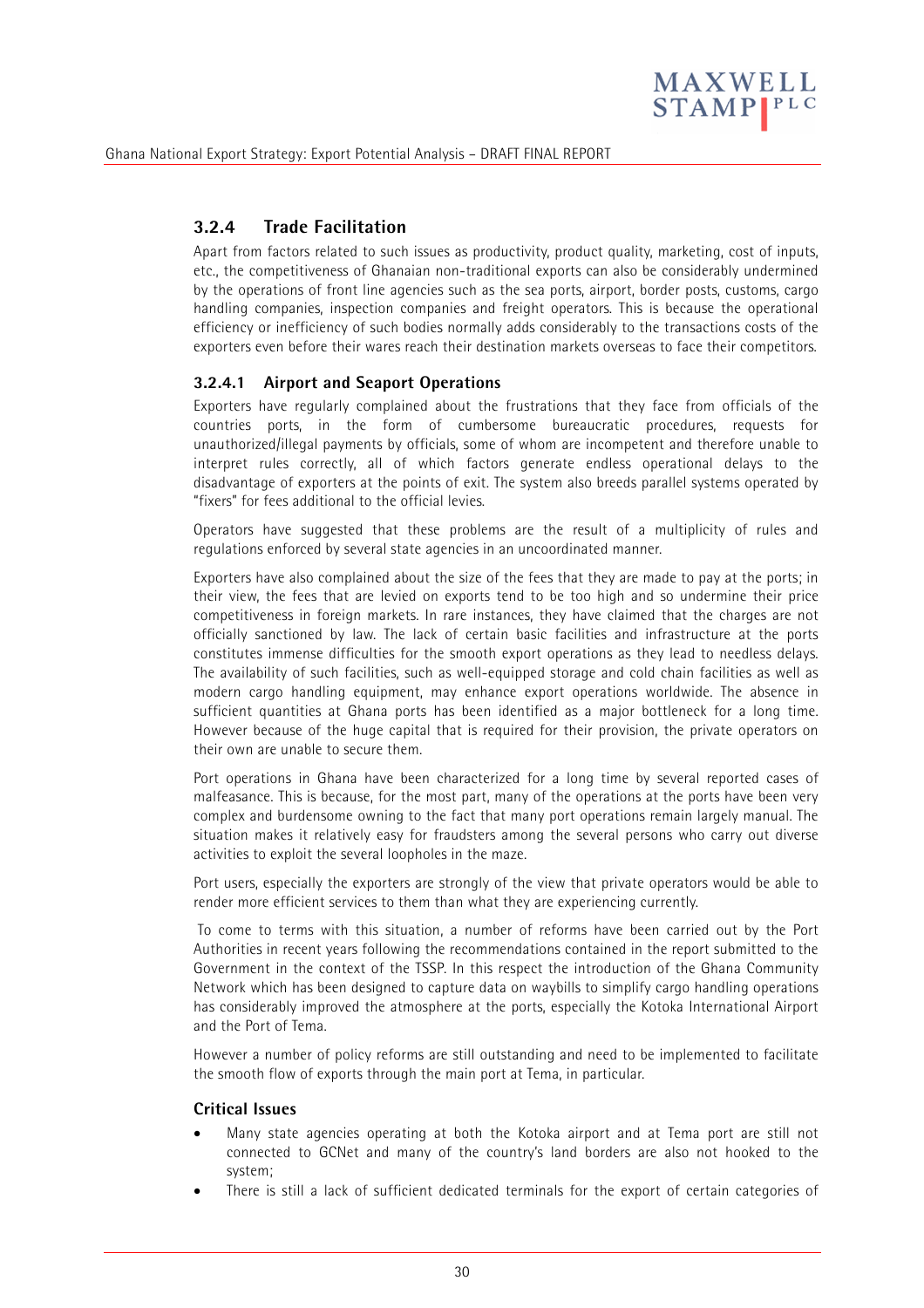

# **3.2.4 Trade Facilitation**

Apart from factors related to such issues as productivity, product quality, marketing, cost of inputs, etc., the competitiveness of Ghanaian non-traditional exports can also be considerably undermined by the operations of front line agencies such as the sea ports, airport, border posts, customs, cargo handling companies, inspection companies and freight operators. This is because the operational efficiency or inefficiency of such bodies normally adds considerably to the transactions costs of the exporters even before their wares reach their destination markets overseas to face their competitors.

### **3.2.4.1 Airport and Seaport Operations**

Exporters have regularly complained about the frustrations that they face from officials of the countries ports, in the form of cumbersome bureaucratic procedures, requests for unauthorized/illegal payments by officials, some of whom are incompetent and therefore unable to interpret rules correctly, all of which factors generate endless operational delays to the disadvantage of exporters at the points of exit. The system also breeds parallel systems operated by "fixers" for fees additional to the official levies.

Operators have suggested that these problems are the result of a multiplicity of rules and regulations enforced by several state agencies in an uncoordinated manner.

Exporters have also complained about the size of the fees that they are made to pay at the ports; in their view, the fees that are levied on exports tend to be too high and so undermine their price competitiveness in foreign markets. In rare instances, they have claimed that the charges are not officially sanctioned by law. The lack of certain basic facilities and infrastructure at the ports constitutes immense difficulties for the smooth export operations as they lead to needless delays. The availability of such facilities, such as well-equipped storage and cold chain facilities as well as modern cargo handling equipment, may enhance export operations worldwide. The absence in sufficient quantities at Ghana ports has been identified as a major bottleneck for a long time. However because of the huge capital that is required for their provision, the private operators on their own are unable to secure them.

Port operations in Ghana have been characterized for a long time by several reported cases of malfeasance. This is because, for the most part, many of the operations at the ports have been very complex and burdensome owning to the fact that many port operations remain largely manual. The situation makes it relatively easy for fraudsters among the several persons who carry out diverse activities to exploit the several loopholes in the maze.

Port users, especially the exporters are strongly of the view that private operators would be able to render more efficient services to them than what they are experiencing currently.

 To come to terms with this situation, a number of reforms have been carried out by the Port Authorities in recent years following the recommendations contained in the report submitted to the Government in the context of the TSSP. In this respect the introduction of the Ghana Community Network which has been designed to capture data on waybills to simplify cargo handling operations has considerably improved the atmosphere at the ports, especially the Kotoka International Airport and the Port of Tema.

However a number of policy reforms are still outstanding and need to be implemented to facilitate the smooth flow of exports through the main port at Tema, in particular.

#### **Critical Issues**

- Many state agencies operating at both the Kotoka airport and at Tema port are still not connected to GCNet and many of the country's land borders are also not hooked to the system;
- There is still a lack of sufficient dedicated terminals for the export of certain categories of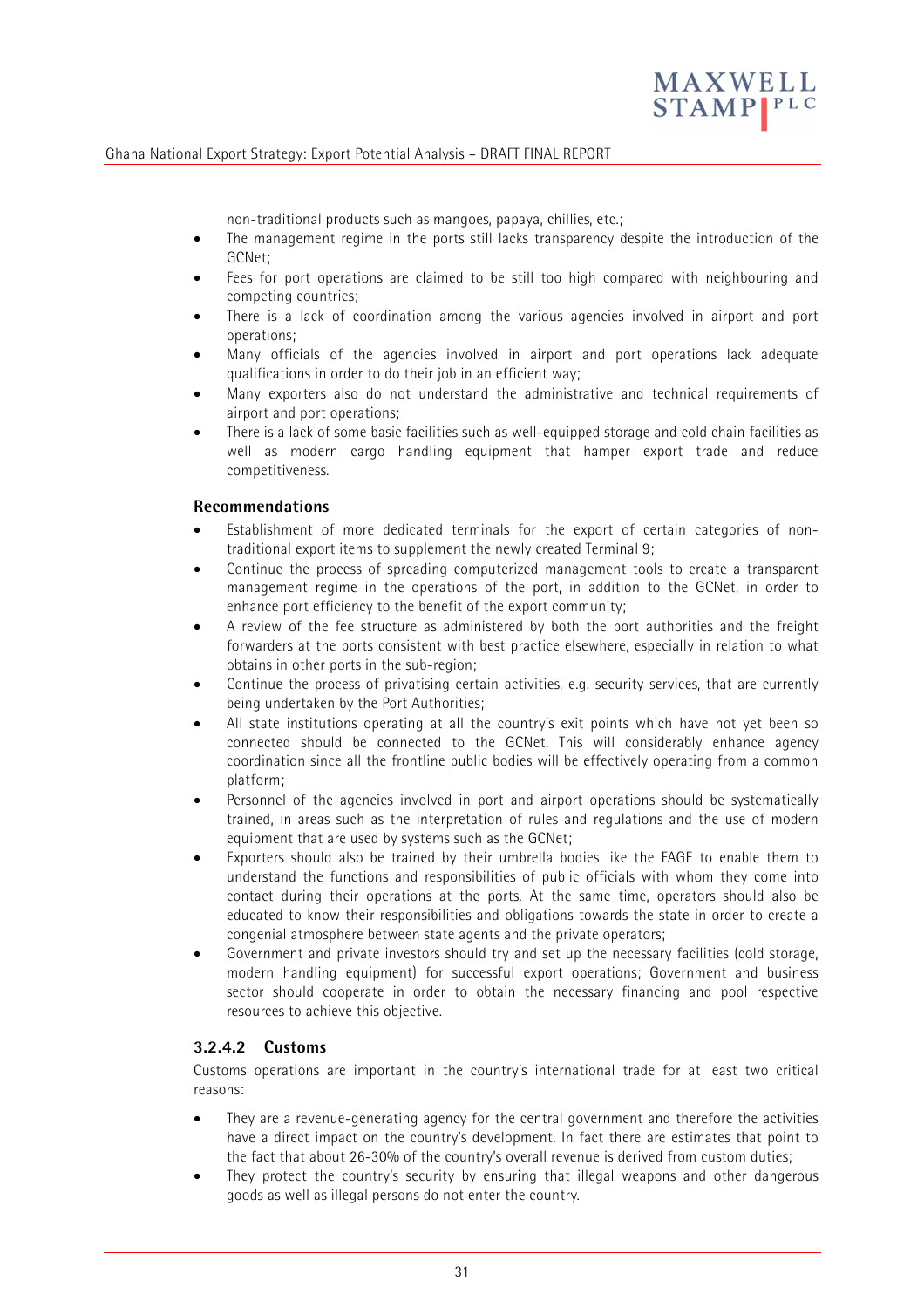

non-traditional products such as mangoes, papaya, chillies, etc.;

- The management regime in the ports still lacks transparency despite the introduction of the GCNet;
- Fees for port operations are claimed to be still too high compared with neighbouring and competing countries;
- There is a lack of coordination among the various agencies involved in airport and port operations;
- Many officials of the agencies involved in airport and port operations lack adequate qualifications in order to do their job in an efficient way;
- Many exporters also do not understand the administrative and technical requirements of airport and port operations;
- There is a lack of some basic facilities such as well-equipped storage and cold chain facilities as well as modern cargo handling equipment that hamper export trade and reduce competitiveness.

#### **Recommendations**

- Establishment of more dedicated terminals for the export of certain categories of nontraditional export items to supplement the newly created Terminal 9;
- Continue the process of spreading computerized management tools to create a transparent management regime in the operations of the port, in addition to the GCNet, in order to enhance port efficiency to the benefit of the export community;
- A review of the fee structure as administered by both the port authorities and the freight forwarders at the ports consistent with best practice elsewhere, especially in relation to what obtains in other ports in the sub-region;
- Continue the process of privatising certain activities, e.g. security services, that are currently being undertaken by the Port Authorities;
- All state institutions operating at all the country's exit points which have not yet been so connected should be connected to the GCNet. This will considerably enhance agency coordination since all the frontline public bodies will be effectively operating from a common platform;
- Personnel of the agencies involved in port and airport operations should be systematically trained, in areas such as the interpretation of rules and regulations and the use of modern equipment that are used by systems such as the GCNet;
- Exporters should also be trained by their umbrella bodies like the FAGE to enable them to understand the functions and responsibilities of public officials with whom they come into contact during their operations at the ports. At the same time, operators should also be educated to know their responsibilities and obligations towards the state in order to create a congenial atmosphere between state agents and the private operators;
- Government and private investors should try and set up the necessary facilities (cold storage, modern handling equipment) for successful export operations; Government and business sector should cooperate in order to obtain the necessary financing and pool respective resources to achieve this objective.

#### **3.2.4.2 Customs**

Customs operations are important in the country's international trade for at least two critical reasons:

- They are a revenue-generating agency for the central government and therefore the activities have a direct impact on the country's development. In fact there are estimates that point to the fact that about 26-30% of the country's overall revenue is derived from custom duties;
- They protect the country's security by ensuring that illegal weapons and other dangerous goods as well as illegal persons do not enter the country.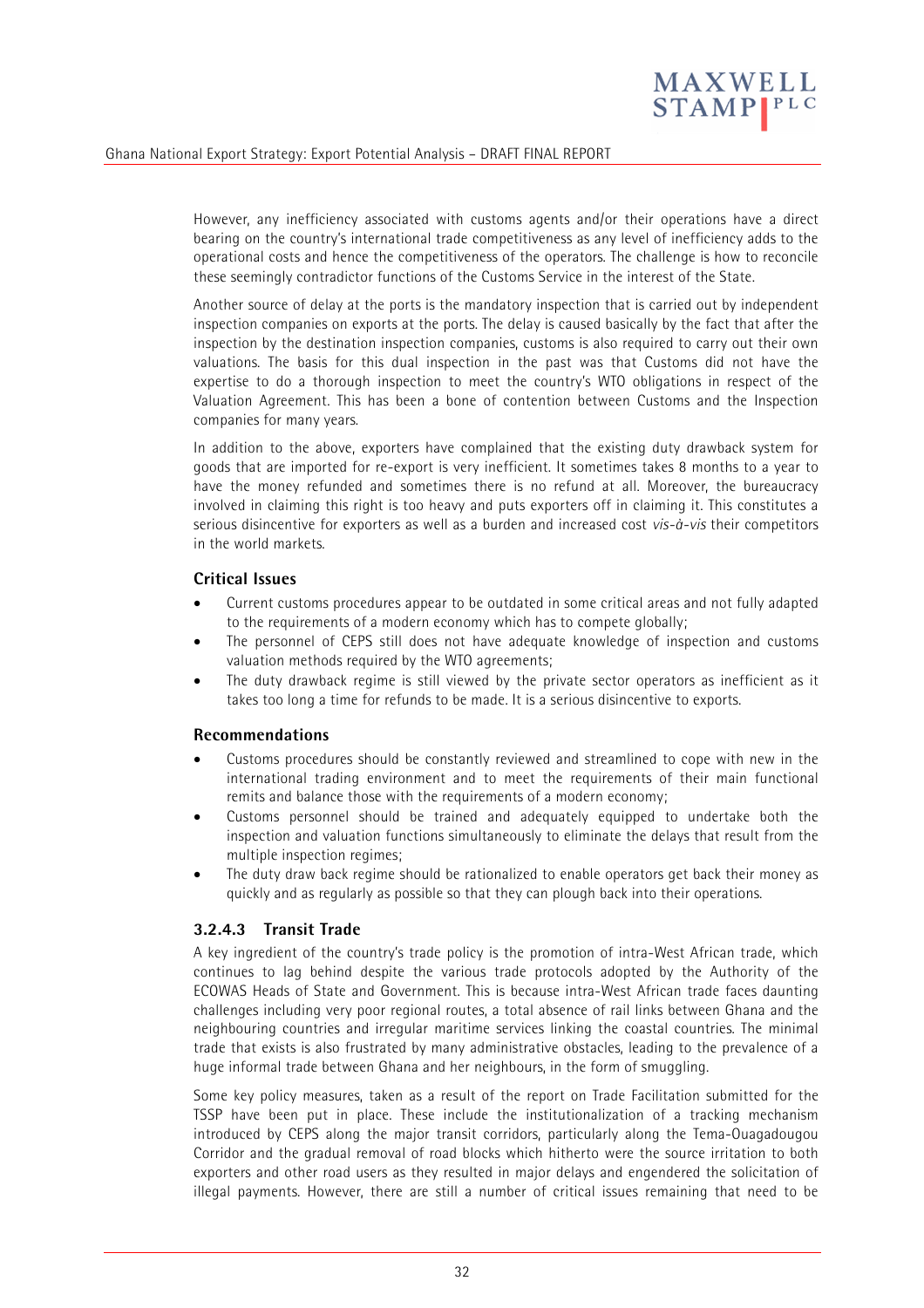

However, any inefficiency associated with customs agents and/or their operations have a direct bearing on the country's international trade competitiveness as any level of inefficiency adds to the operational costs and hence the competitiveness of the operators. The challenge is how to reconcile these seemingly contradictor functions of the Customs Service in the interest of the State.

Another source of delay at the ports is the mandatory inspection that is carried out by independent inspection companies on exports at the ports. The delay is caused basically by the fact that after the inspection by the destination inspection companies, customs is also required to carry out their own valuations. The basis for this dual inspection in the past was that Customs did not have the expertise to do a thorough inspection to meet the country's WTO obligations in respect of the Valuation Agreement. This has been a bone of contention between Customs and the Inspection companies for many years.

In addition to the above, exporters have complained that the existing duty drawback system for goods that are imported for re-export is very inefficient. It sometimes takes 8 months to a year to have the money refunded and sometimes there is no refund at all. Moreover, the bureaucracy involved in claiming this right is too heavy and puts exporters off in claiming it. This constitutes a serious disincentive for exporters as well as a burden and increased cost *vis-à-vis* their competitors in the world markets.

#### **Critical Issues**

- Current customs procedures appear to be outdated in some critical areas and not fully adapted to the requirements of a modern economy which has to compete globally;
- The personnel of CEPS still does not have adequate knowledge of inspection and customs valuation methods required by the WTO agreements;
- The duty drawback regime is still viewed by the private sector operators as inefficient as it takes too long a time for refunds to be made. It is a serious disincentive to exports.

#### **Recommendations**

- Customs procedures should be constantly reviewed and streamlined to cope with new in the international trading environment and to meet the requirements of their main functional remits and balance those with the requirements of a modern economy;
- Customs personnel should be trained and adequately equipped to undertake both the inspection and valuation functions simultaneously to eliminate the delays that result from the multiple inspection regimes;
- The duty draw back regime should be rationalized to enable operators get back their money as quickly and as regularly as possible so that they can plough back into their operations.

### **3.2.4.3 Transit Trade**

A key ingredient of the country's trade policy is the promotion of intra-West African trade, which continues to lag behind despite the various trade protocols adopted by the Authority of the ECOWAS Heads of State and Government. This is because intra-West African trade faces daunting challenges including very poor regional routes, a total absence of rail links between Ghana and the neighbouring countries and irregular maritime services linking the coastal countries. The minimal trade that exists is also frustrated by many administrative obstacles, leading to the prevalence of a huge informal trade between Ghana and her neighbours, in the form of smuggling.

Some key policy measures, taken as a result of the report on Trade Facilitation submitted for the TSSP have been put in place. These include the institutionalization of a tracking mechanism introduced by CEPS along the major transit corridors, particularly along the Tema-Ouagadougou Corridor and the gradual removal of road blocks which hitherto were the source irritation to both exporters and other road users as they resulted in major delays and engendered the solicitation of illegal payments. However, there are still a number of critical issues remaining that need to be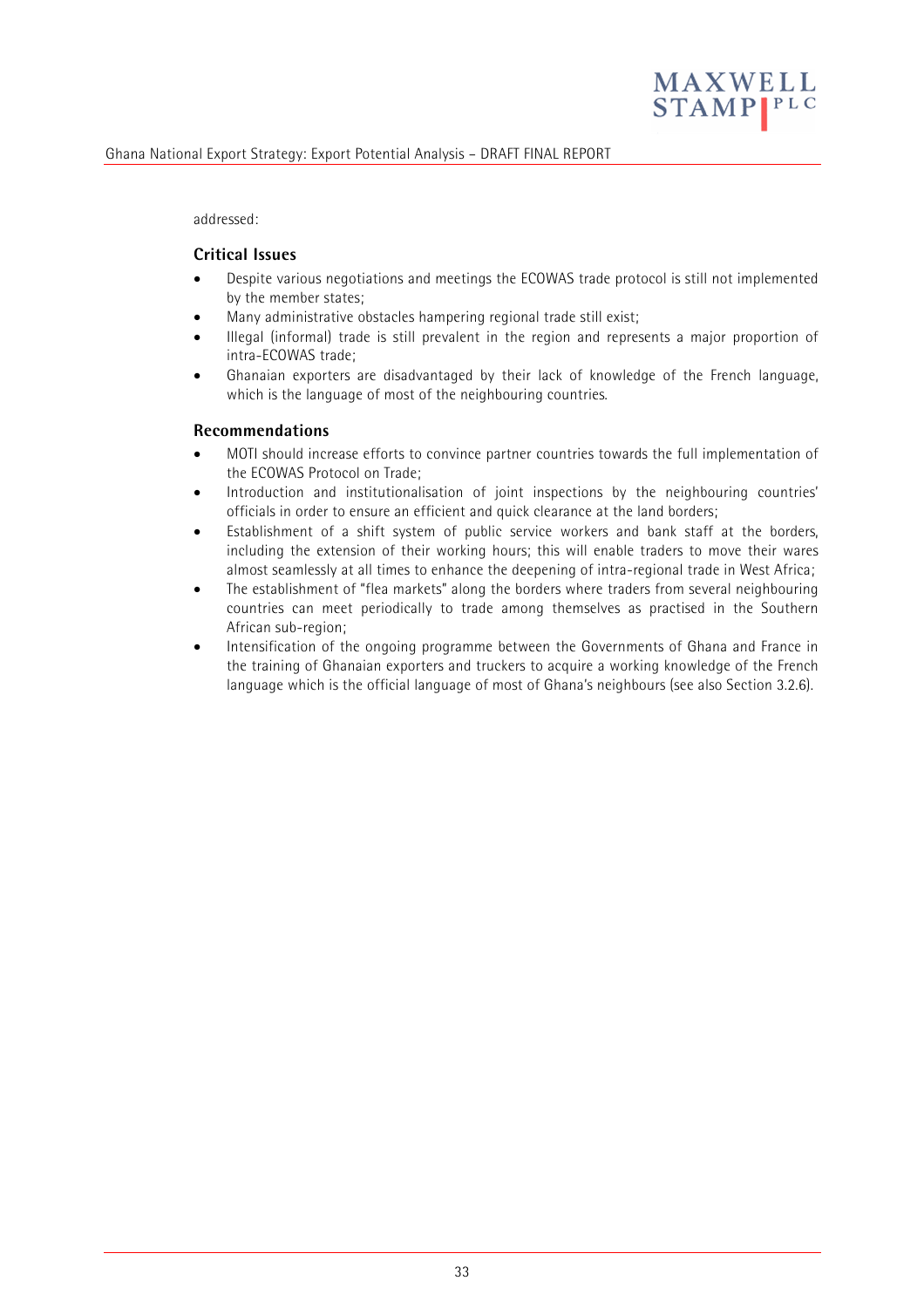

addressed:

#### **Critical Issues**

- Despite various negotiations and meetings the ECOWAS trade protocol is still not implemented by the member states;
- Many administrative obstacles hampering regional trade still exist;
- Illegal (informal) trade is still prevalent in the region and represents a major proportion of intra-ECOWAS trade;
- Ghanaian exporters are disadvantaged by their lack of knowledge of the French language, which is the language of most of the neighbouring countries.

#### **Recommendations**

- MOTI should increase efforts to convince partner countries towards the full implementation of the ECOWAS Protocol on Trade;
- Introduction and institutionalisation of joint inspections by the neighbouring countries' officials in order to ensure an efficient and quick clearance at the land borders;
- Establishment of a shift system of public service workers and bank staff at the borders, including the extension of their working hours; this will enable traders to move their wares almost seamlessly at all times to enhance the deepening of intra-regional trade in West Africa;
- The establishment of "flea markets" along the borders where traders from several neighbouring countries can meet periodically to trade among themselves as practised in the Southern African sub-region;
- Intensification of the ongoing programme between the Governments of Ghana and France in the training of Ghanaian exporters and truckers to acquire a working knowledge of the French language which is the official language of most of Ghana's neighbours (see also Section 3.2.6).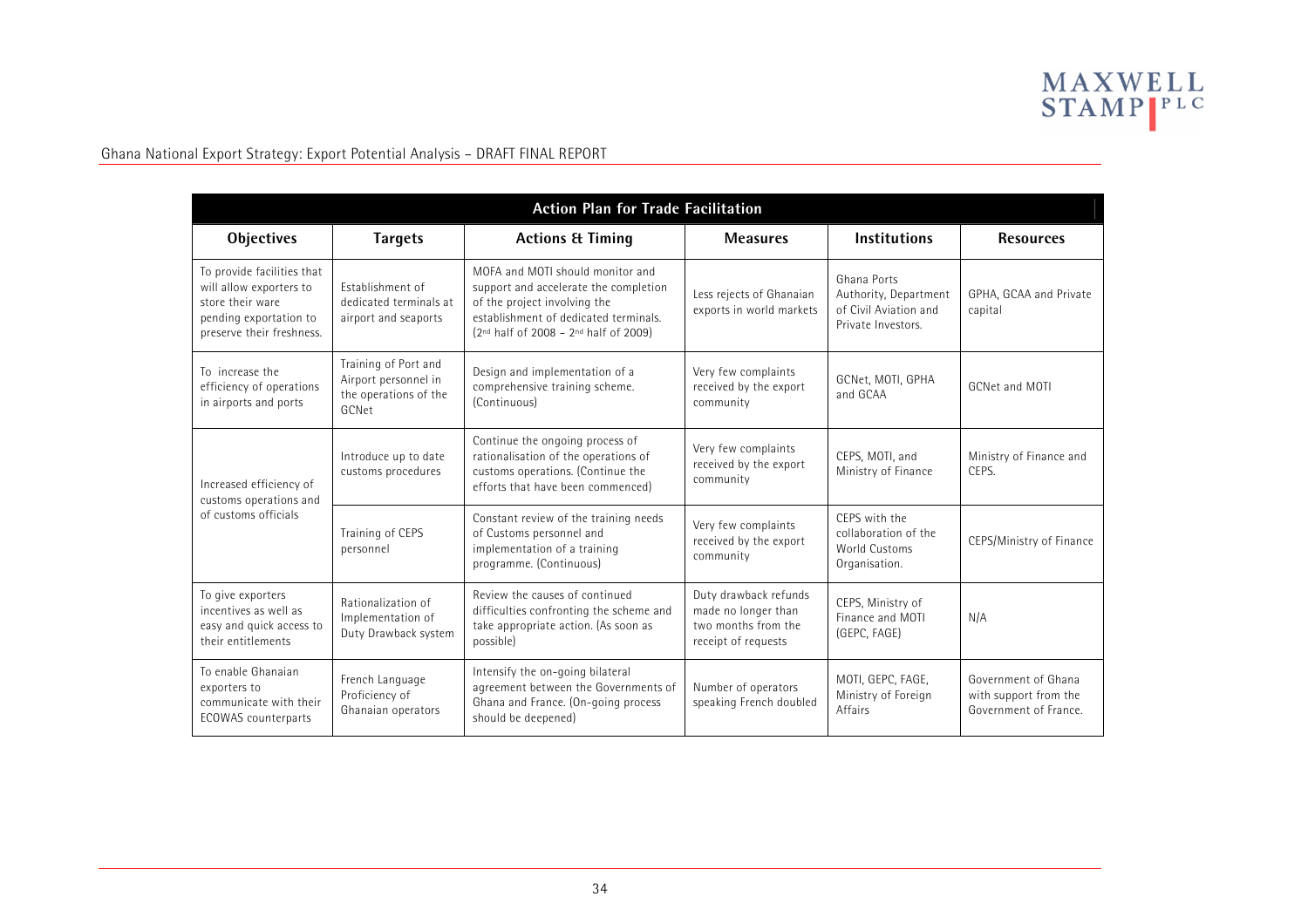

| <b>Action Plan for Trade Facilitation</b>                                                                                        |                                                                                |                                                                                                                                                                                                       |                                                                                            |                                                                                     |                                                                       |  |  |
|----------------------------------------------------------------------------------------------------------------------------------|--------------------------------------------------------------------------------|-------------------------------------------------------------------------------------------------------------------------------------------------------------------------------------------------------|--------------------------------------------------------------------------------------------|-------------------------------------------------------------------------------------|-----------------------------------------------------------------------|--|--|
| Objectives                                                                                                                       | <b>Targets</b>                                                                 | <b>Actions &amp; Timing</b>                                                                                                                                                                           | <b>Measures</b>                                                                            | <b>Institutions</b>                                                                 | <b>Resources</b>                                                      |  |  |
| To provide facilities that<br>will allow exporters to<br>store their ware<br>pending exportation to<br>preserve their freshness. | Establishment of<br>dedicated terminals at<br>airport and seaports             | MOFA and MOTI should monitor and<br>support and accelerate the completion<br>of the project involving the<br>establishment of dedicated terminals.<br>$(2^{nd}$ half of 2008 - $2^{nd}$ half of 2009) | Less rejects of Ghanaian<br>exports in world markets                                       | Ghana Ports<br>Authority, Department<br>of Civil Aviation and<br>Private Investors. | GPHA, GCAA and Private<br>capital                                     |  |  |
| To increase the<br>efficiency of operations<br>in airports and ports                                                             | Training of Port and<br>Airport personnel in<br>the operations of the<br>GCNet | Design and implementation of a<br>comprehensive training scheme.<br>(Continuous)                                                                                                                      | Very few complaints<br>received by the export<br>community                                 | GCNet, MOTI, GPHA<br>and GCAA                                                       | GCNet and MOTI                                                        |  |  |
| Increased efficiency of<br>customs operations and                                                                                | Introduce up to date<br>customs procedures                                     | Continue the ongoing process of<br>rationalisation of the operations of<br>customs operations. (Continue the<br>efforts that have been commenced)                                                     | Very few complaints<br>received by the export<br>community                                 | CEPS, MOTI, and<br>Ministry of Finance                                              | Ministry of Finance and<br>CFPS.                                      |  |  |
| of customs officials                                                                                                             | Training of CEPS<br>personnel                                                  | Constant review of the training needs<br>of Customs personnel and<br>implementation of a training<br>programme. (Continuous)                                                                          | Very few complaints<br>received by the export<br>community                                 | CFPS with the<br>collaboration of the<br><b>World Customs</b><br>Organisation.      | CEPS/Ministry of Finance                                              |  |  |
| To give exporters<br>incentives as well as<br>easy and quick access to<br>their entitlements                                     | Rationalization of<br>Implementation of<br>Duty Drawback system                | Review the causes of continued<br>difficulties confronting the scheme and<br>take appropriate action. (As soon as<br>possible)                                                                        | Duty drawback refunds<br>made no longer than<br>two months from the<br>receipt of requests | CEPS, Ministry of<br>Finance and MOTI<br>(GEPC, FAGE)                               | N/A                                                                   |  |  |
| To enable Ghanaian<br>exporters to<br>communicate with their<br><b>ECOWAS</b> counterparts                                       | French Language<br>Proficiency of<br>Ghanaian operators                        | Intensify the on-going bilateral<br>agreement between the Governments of<br>Ghana and France. (On-going process<br>should be deepened)                                                                | Number of operators<br>speaking French doubled                                             | MOTI, GEPC, FAGE,<br>Ministry of Foreign<br>Affairs                                 | Government of Ghana<br>with support from the<br>Government of France. |  |  |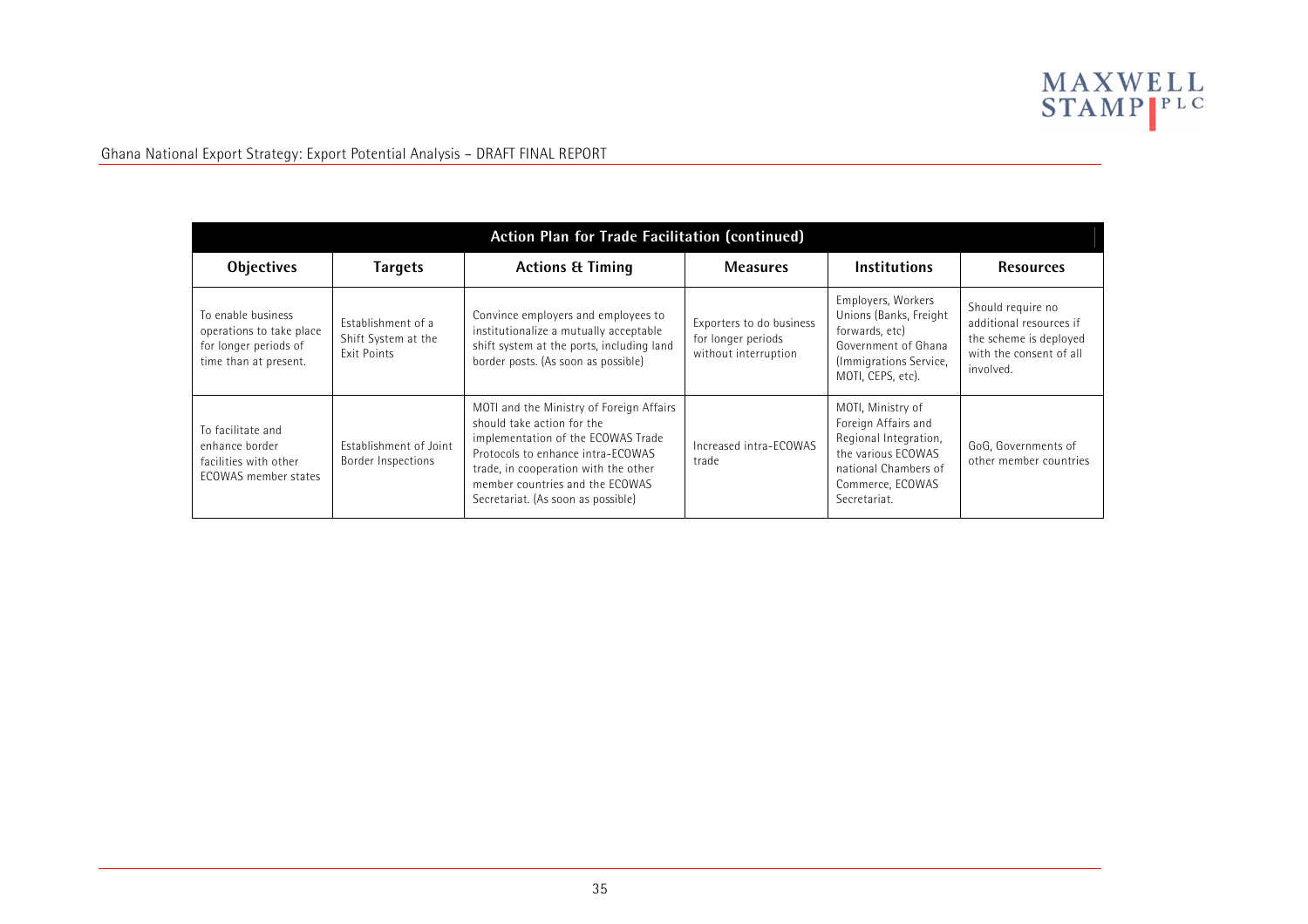

| Action Plan for Trade Facilitation (continued)                                                   |                                                                 |                                                                                                                                                                                                                                                                    |                                                                        |                                                                                                                                                     |                                                                                                                |  |  |
|--------------------------------------------------------------------------------------------------|-----------------------------------------------------------------|--------------------------------------------------------------------------------------------------------------------------------------------------------------------------------------------------------------------------------------------------------------------|------------------------------------------------------------------------|-----------------------------------------------------------------------------------------------------------------------------------------------------|----------------------------------------------------------------------------------------------------------------|--|--|
| <b>Objectives</b>                                                                                | <b>Targets</b>                                                  | <b>Actions &amp; Timing</b>                                                                                                                                                                                                                                        | <b>Measures</b>                                                        | <b>Institutions</b>                                                                                                                                 | <b>Resources</b>                                                                                               |  |  |
| To enable business<br>operations to take place<br>for longer periods of<br>time than at present. | Establishment of a<br>Shift System at the<br><b>Fxit Points</b> | Convince employers and employees to<br>institutionalize a mutually acceptable<br>shift system at the ports, including land<br>border posts. (As soon as possible)                                                                                                  | Exporters to do business<br>for longer periods<br>without interruption | Employers, Workers<br>Unions (Banks, Freight<br>forwards, etc)<br>Government of Ghana<br>(Immigrations Service,<br>MOTI, CEPS, etc).                | Should require no<br>additional resources if<br>the scheme is deployed<br>with the consent of all<br>involved. |  |  |
| To facilitate and<br>enhance border<br>facilities with other<br>ECOWAS member states             | Establishment of Joint<br>Border Inspections                    | MOTI and the Ministry of Foreign Affairs<br>should take action for the<br>implementation of the ECOWAS Trade<br>Protocols to enhance intra-ECOWAS<br>trade, in cooperation with the other<br>member countries and the FCOWAS<br>Secretariat. (As soon as possible) | Increased intra-ECOWAS<br>trade                                        | MOTI, Ministry of<br>Foreign Affairs and<br>Regional Integration,<br>the various ECOWAS<br>national Chambers of<br>Commerce, ECOWAS<br>Secretariat. | GoG, Governments of<br>other member countries                                                                  |  |  |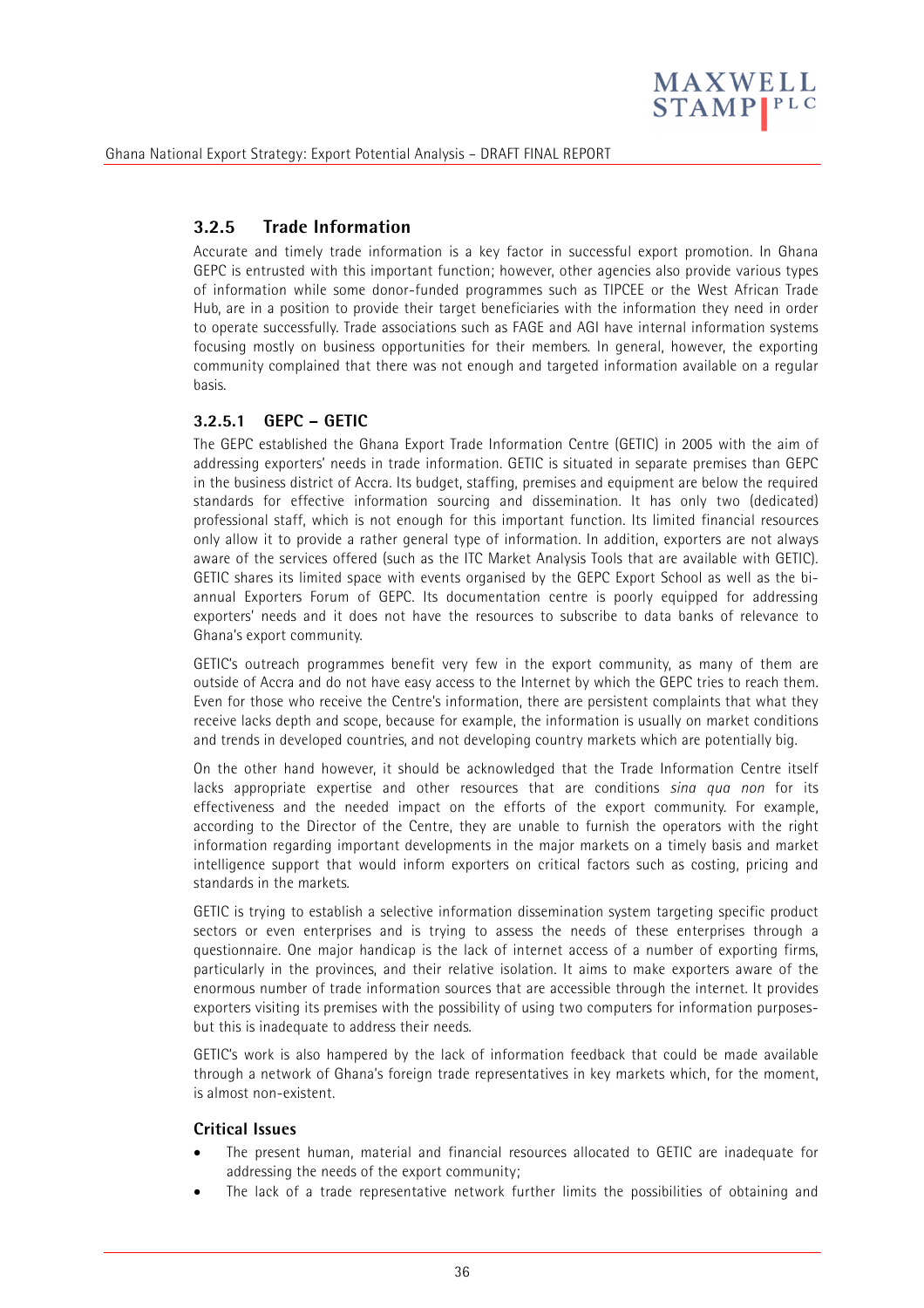

### **3.2.5 Trade Information**

Accurate and timely trade information is a key factor in successful export promotion. In Ghana GEPC is entrusted with this important function; however, other agencies also provide various types of information while some donor-funded programmes such as TIPCEE or the West African Trade Hub, are in a position to provide their target beneficiaries with the information they need in order to operate successfully. Trade associations such as FAGE and AGI have internal information systems focusing mostly on business opportunities for their members. In general, however, the exporting community complained that there was not enough and targeted information available on a regular basis.

#### **3.2.5.1 GEPC – GETIC**

The GEPC established the Ghana Export Trade Information Centre (GETIC) in 2005 with the aim of addressing exporters' needs in trade information. GETIC is situated in separate premises than GEPC in the business district of Accra. Its budget, staffing, premises and equipment are below the required standards for effective information sourcing and dissemination. It has only two (dedicated) professional staff, which is not enough for this important function. Its limited financial resources only allow it to provide a rather general type of information. In addition, exporters are not always aware of the services offered (such as the ITC Market Analysis Tools that are available with GETIC). GETIC shares its limited space with events organised by the GEPC Export School as well as the biannual Exporters Forum of GEPC. Its documentation centre is poorly equipped for addressing exporters' needs and it does not have the resources to subscribe to data banks of relevance to Ghana's export community.

GETIC's outreach programmes benefit very few in the export community, as many of them are outside of Accra and do not have easy access to the Internet by which the GEPC tries to reach them. Even for those who receive the Centre's information, there are persistent complaints that what they receive lacks depth and scope, because for example, the information is usually on market conditions and trends in developed countries, and not developing country markets which are potentially big.

On the other hand however, it should be acknowledged that the Trade Information Centre itself lacks appropriate expertise and other resources that are conditions *sina qua non* for its effectiveness and the needed impact on the efforts of the export community. For example, according to the Director of the Centre, they are unable to furnish the operators with the right information regarding important developments in the major markets on a timely basis and market intelligence support that would inform exporters on critical factors such as costing, pricing and standards in the markets.

GETIC is trying to establish a selective information dissemination system targeting specific product sectors or even enterprises and is trying to assess the needs of these enterprises through a questionnaire. One major handicap is the lack of internet access of a number of exporting firms, particularly in the provinces, and their relative isolation. It aims to make exporters aware of the enormous number of trade information sources that are accessible through the internet. It provides exporters visiting its premises with the possibility of using two computers for information purposesbut this is inadequate to address their needs.

GETIC's work is also hampered by the lack of information feedback that could be made available through a network of Ghana's foreign trade representatives in key markets which, for the moment, is almost non-existent.

#### **Critical Issues**

- The present human, material and financial resources allocated to GETIC are inadequate for addressing the needs of the export community;
- The lack of a trade representative network further limits the possibilities of obtaining and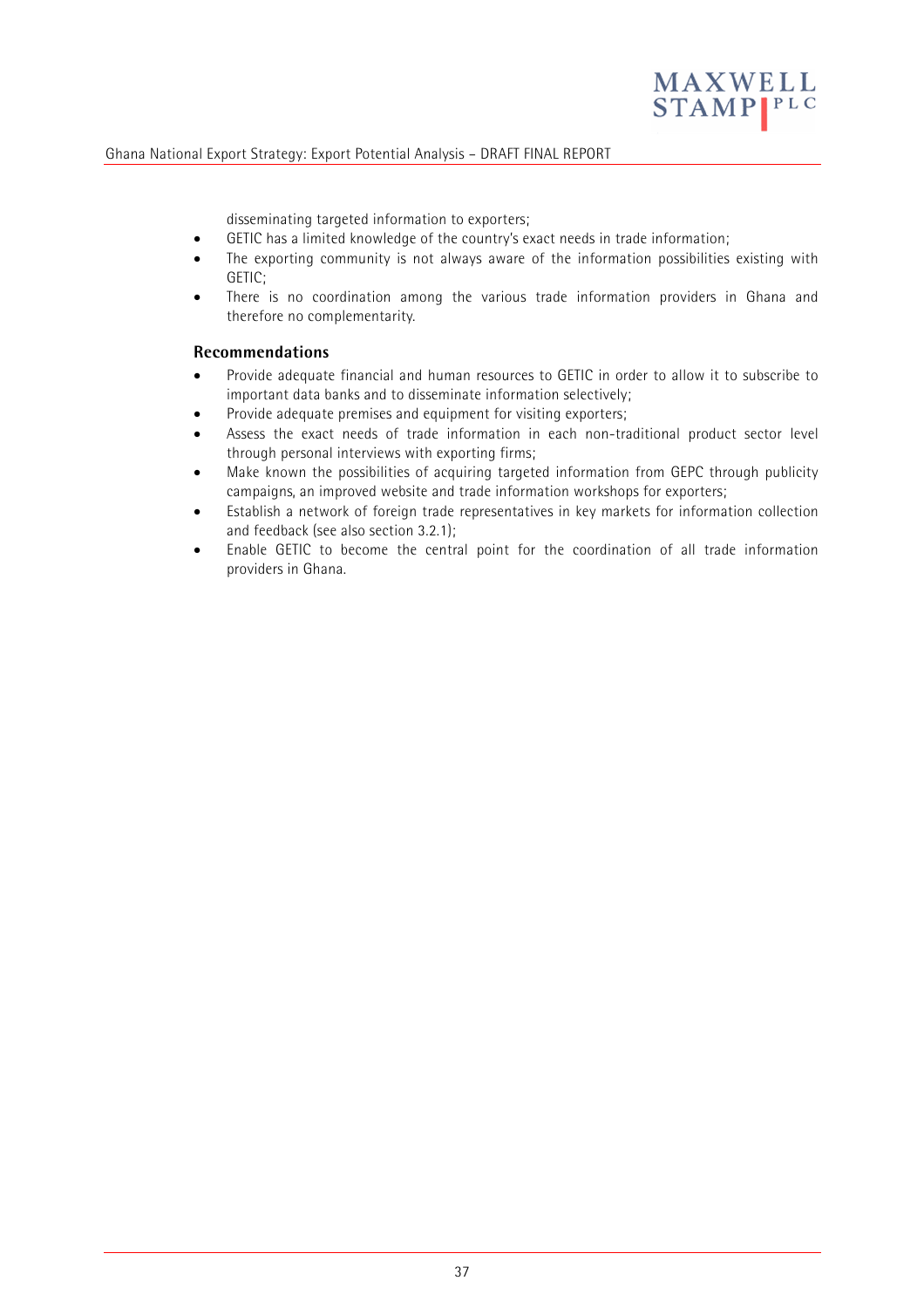

disseminating targeted information to exporters;

- GETIC has a limited knowledge of the country's exact needs in trade information;
- The exporting community is not always aware of the information possibilities existing with GETIC;
- There is no coordination among the various trade information providers in Ghana and therefore no complementarity.

#### **Recommendations**

- Provide adequate financial and human resources to GETIC in order to allow it to subscribe to important data banks and to disseminate information selectively;
- Provide adequate premises and equipment for visiting exporters;
- Assess the exact needs of trade information in each non-traditional product sector level through personal interviews with exporting firms;
- Make known the possibilities of acquiring targeted information from GEPC through publicity campaigns, an improved website and trade information workshops for exporters;
- Establish a network of foreign trade representatives in key markets for information collection and feedback (see also section 3.2.1);
- Enable GETIC to become the central point for the coordination of all trade information providers in Ghana.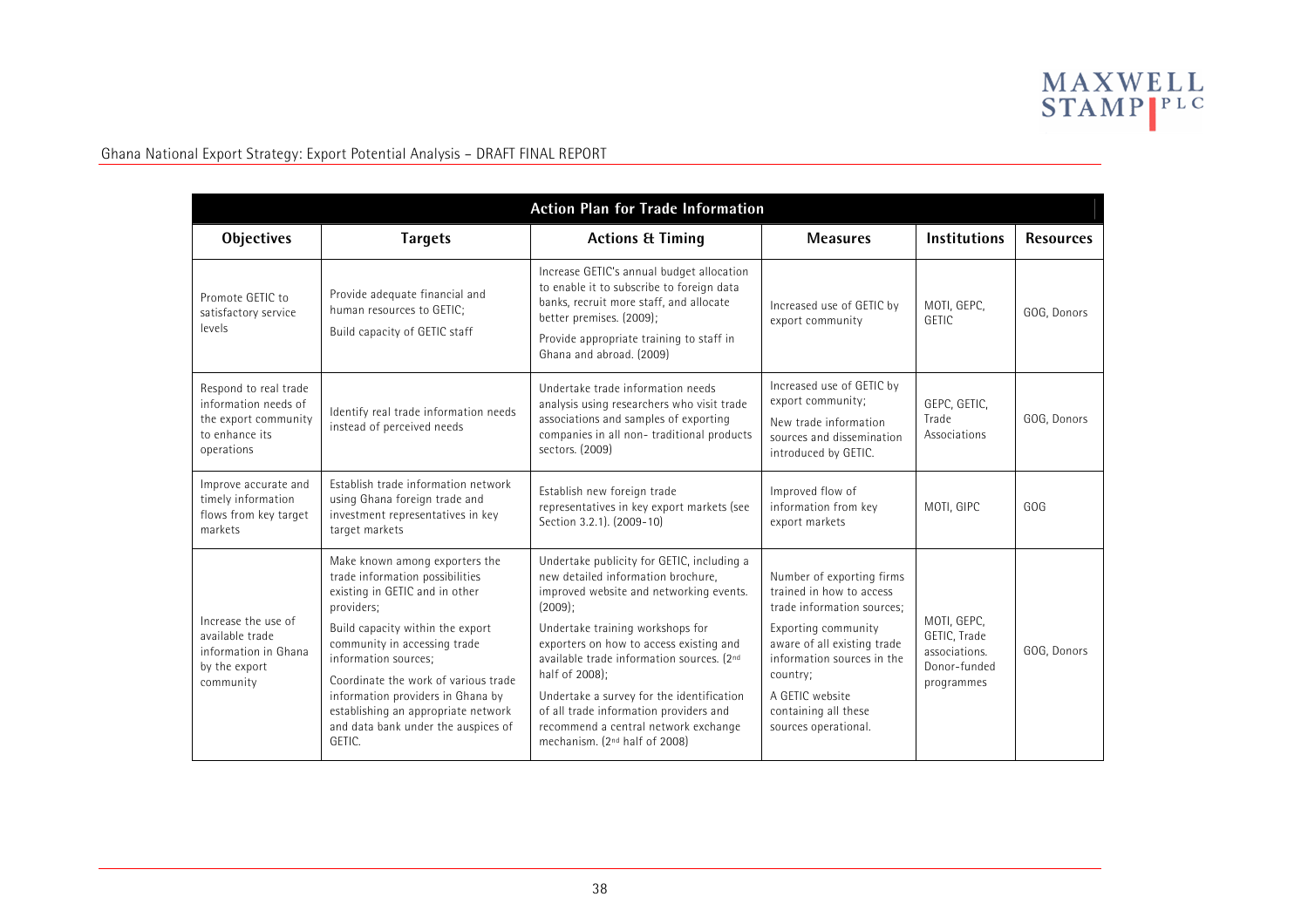

| <b>Action Plan for Trade Information</b>                                                              |                                                                                                                                                                                                                                                                                                                                                                                    |                                                                                                                                                                                                                                                                                                                                                                                                                                                                     |                                                                                                                                                                                                                                                        |                                                                            |                  |  |  |
|-------------------------------------------------------------------------------------------------------|------------------------------------------------------------------------------------------------------------------------------------------------------------------------------------------------------------------------------------------------------------------------------------------------------------------------------------------------------------------------------------|---------------------------------------------------------------------------------------------------------------------------------------------------------------------------------------------------------------------------------------------------------------------------------------------------------------------------------------------------------------------------------------------------------------------------------------------------------------------|--------------------------------------------------------------------------------------------------------------------------------------------------------------------------------------------------------------------------------------------------------|----------------------------------------------------------------------------|------------------|--|--|
| <b>Objectives</b>                                                                                     | <b>Targets</b>                                                                                                                                                                                                                                                                                                                                                                     | <b>Actions &amp; Timing</b>                                                                                                                                                                                                                                                                                                                                                                                                                                         | <b>Measures</b>                                                                                                                                                                                                                                        | <b>Institutions</b>                                                        | <b>Resources</b> |  |  |
| Promote GETIC to<br>satisfactory service<br>levels                                                    | Provide adequate financial and<br>human resources to GETIC;<br>Build capacity of GETIC staff                                                                                                                                                                                                                                                                                       | Increase GETIC's annual budget allocation<br>to enable it to subscribe to foreign data<br>banks, recruit more staff, and allocate<br>better premises. (2009);<br>Provide appropriate training to staff in<br>Ghana and abroad. (2009)                                                                                                                                                                                                                               | Increased use of GETIC by<br>export community                                                                                                                                                                                                          | MOTI, GEPC,<br>GETIC                                                       | GOG, Donors      |  |  |
| Respond to real trade<br>information needs of<br>the export community<br>to enhance its<br>operations | Identify real trade information needs<br>instead of perceived needs                                                                                                                                                                                                                                                                                                                | Undertake trade information needs<br>analysis using researchers who visit trade<br>associations and samples of exporting<br>companies in all non-traditional products<br>sectors. (2009)                                                                                                                                                                                                                                                                            | Increased use of GETIC by<br>export community;<br>New trade information<br>sources and dissemination<br>introduced by GETIC.                                                                                                                           | GEPC, GETIC,<br>Trade<br>Associations                                      | GOG, Donors      |  |  |
| Improve accurate and<br>timely information<br>flows from key target<br>markets                        | Establish trade information network<br>using Ghana foreign trade and<br>investment representatives in key<br>target markets                                                                                                                                                                                                                                                        | Establish new foreign trade<br>representatives in key export markets (see<br>Section 3.2.1). (2009-10)                                                                                                                                                                                                                                                                                                                                                              | Improved flow of<br>information from key<br>export markets                                                                                                                                                                                             | MOTI, GIPC                                                                 | GOG              |  |  |
| Increase the use of<br>available trade<br>information in Ghana<br>by the export<br>community          | Make known among exporters the<br>trade information possibilities<br>existing in GETIC and in other<br>providers;<br>Build capacity within the export<br>community in accessing trade<br>information sources;<br>Coordinate the work of various trade<br>information providers in Ghana by<br>establishing an appropriate network<br>and data bank under the auspices of<br>GFTIC. | Undertake publicity for GETIC, including a<br>new detailed information brochure.<br>improved website and networking events.<br>$(2009)$ ;<br>Undertake training workshops for<br>exporters on how to access existing and<br>available trade information sources. (2nd<br>half of 2008);<br>Undertake a survey for the identification<br>of all trade information providers and<br>recommend a central network exchange<br>mechanism. (2 <sup>nd</sup> half of 2008) | Number of exporting firms<br>trained in how to access<br>trade information sources:<br>Exporting community<br>aware of all existing trade<br>information sources in the<br>country;<br>A GFTIC website<br>containing all these<br>sources operational. | MOTI, GEPC,<br>GETIC, Trade<br>associations.<br>Donor-funded<br>programmes | GOG, Donors      |  |  |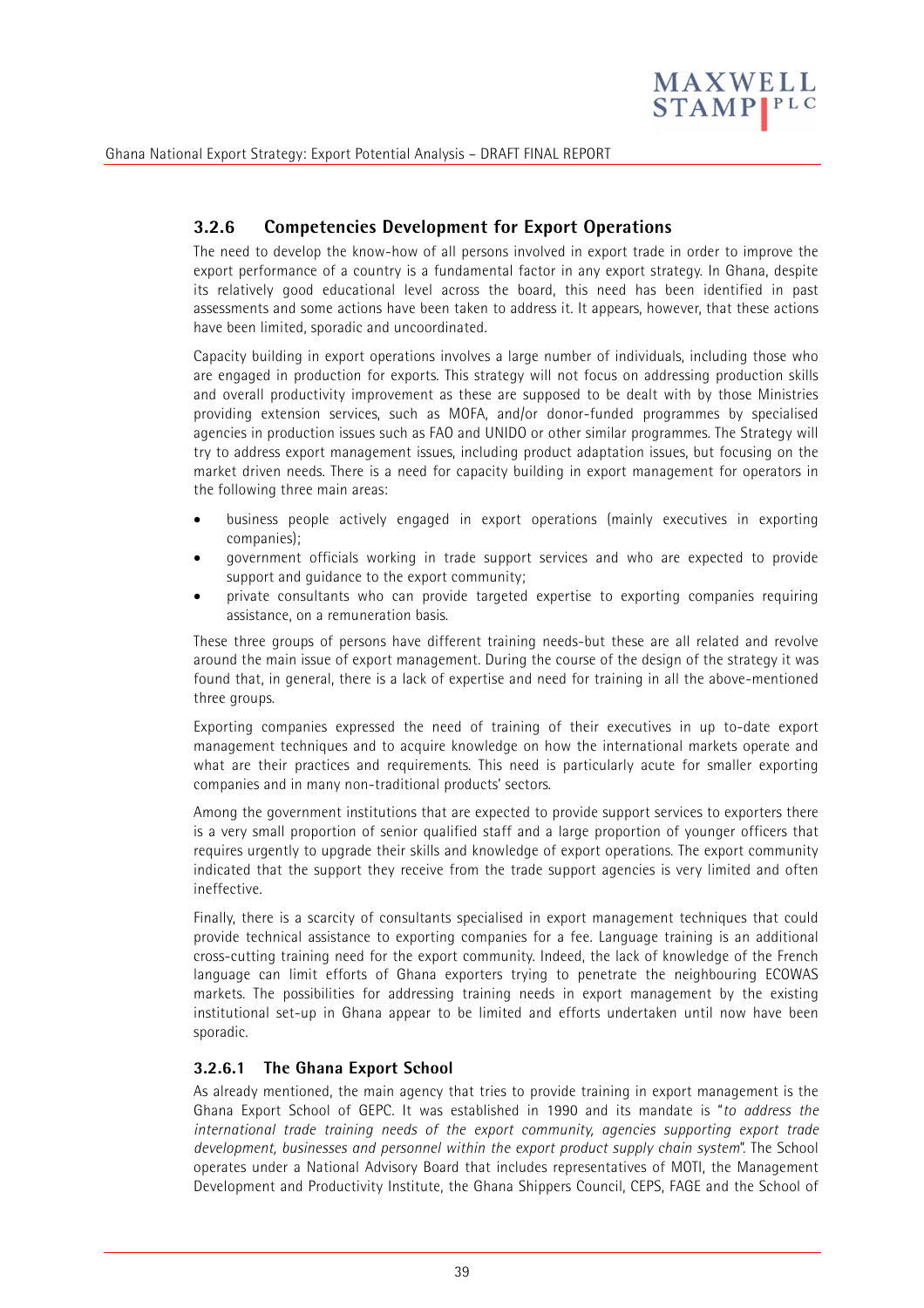

# **3.2.6 Competencies Development for Export Operations**

The need to develop the know-how of all persons involved in export trade in order to improve the export performance of a country is a fundamental factor in any export strategy. In Ghana, despite its relatively good educational level across the board, this need has been identified in past assessments and some actions have been taken to address it. It appears, however, that these actions have been limited, sporadic and uncoordinated.

Capacity building in export operations involves a large number of individuals, including those who are engaged in production for exports. This strategy will not focus on addressing production skills and overall productivity improvement as these are supposed to be dealt with by those Ministries providing extension services, such as MOFA, and/or donor-funded programmes by specialised agencies in production issues such as FAO and UNIDO or other similar programmes. The Strategy will try to address export management issues, including product adaptation issues, but focusing on the market driven needs. There is a need for capacity building in export management for operators in the following three main areas:

- business people actively engaged in export operations (mainly executives in exporting companies);
- government officials working in trade support services and who are expected to provide support and guidance to the export community;
- private consultants who can provide targeted expertise to exporting companies requiring assistance, on a remuneration basis.

These three groups of persons have different training needs-but these are all related and revolve around the main issue of export management. During the course of the design of the strategy it was found that, in general, there is a lack of expertise and need for training in all the above-mentioned three groups.

Exporting companies expressed the need of training of their executives in up to-date export management techniques and to acquire knowledge on how the international markets operate and what are their practices and requirements. This need is particularly acute for smaller exporting companies and in many non-traditional products' sectors.

Among the government institutions that are expected to provide support services to exporters there is a very small proportion of senior qualified staff and a large proportion of younger officers that requires urgently to upgrade their skills and knowledge of export operations. The export community indicated that the support they receive from the trade support agencies is very limited and often ineffective.

Finally, there is a scarcity of consultants specialised in export management techniques that could provide technical assistance to exporting companies for a fee. Language training is an additional cross-cutting training need for the export community. Indeed, the lack of knowledge of the French language can limit efforts of Ghana exporters trying to penetrate the neighbouring ECOWAS markets. The possibilities for addressing training needs in export management by the existing institutional set-up in Ghana appear to be limited and efforts undertaken until now have been sporadic.

#### **3.2.6.1 The Ghana Export School**

As already mentioned, the main agency that tries to provide training in export management is the Ghana Export School of GEPC. It was established in 1990 and its mandate is "*to address the international trade training needs of the export community, agencies supporting export trade development, businesses and personnel within the export product supply chain system*". The School operates under a National Advisory Board that includes representatives of MOTI, the Management Development and Productivity Institute, the Ghana Shippers Council, CEPS, FAGE and the School of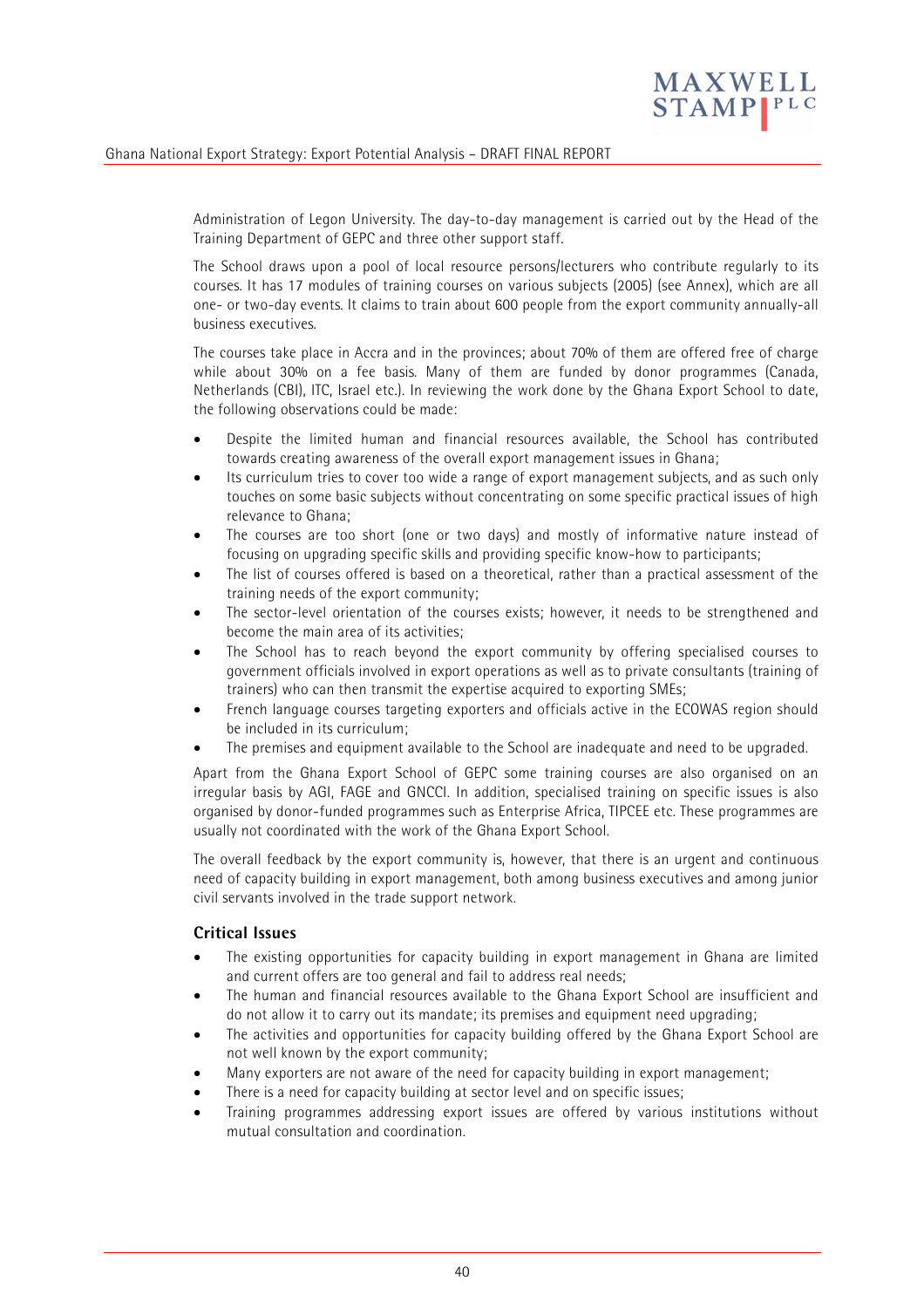

Administration of Legon University. The day-to-day management is carried out by the Head of the Training Department of GEPC and three other support staff.

The School draws upon a pool of local resource persons/lecturers who contribute regularly to its courses. It has 17 modules of training courses on various subjects (2005) (see Annex), which are all one- or two-day events. It claims to train about 600 people from the export community annually-all business executives.

The courses take place in Accra and in the provinces; about 70% of them are offered free of charge while about 30% on a fee basis. Many of them are funded by donor programmes (Canada, Netherlands (CBI), ITC, Israel etc.). In reviewing the work done by the Ghana Export School to date, the following observations could be made:

- Despite the limited human and financial resources available, the School has contributed towards creating awareness of the overall export management issues in Ghana;
- Its curriculum tries to cover too wide a range of export management subjects, and as such only touches on some basic subjects without concentrating on some specific practical issues of high relevance to Ghana;
- The courses are too short (one or two days) and mostly of informative nature instead of focusing on upgrading specific skills and providing specific know-how to participants;
- The list of courses offered is based on a theoretical, rather than a practical assessment of the training needs of the export community;
- The sector-level orientation of the courses exists; however, it needs to be strengthened and become the main area of its activities;
- The School has to reach beyond the export community by offering specialised courses to government officials involved in export operations as well as to private consultants (training of trainers) who can then transmit the expertise acquired to exporting SMEs;
- French language courses targeting exporters and officials active in the ECOWAS region should be included in its curriculum;
- The premises and equipment available to the School are inadequate and need to be upgraded.

Apart from the Ghana Export School of GEPC some training courses are also organised on an irregular basis by AGI, FAGE and GNCCI. In addition, specialised training on specific issues is also organised by donor-funded programmes such as Enterprise Africa, TIPCEE etc. These programmes are usually not coordinated with the work of the Ghana Export School.

The overall feedback by the export community is, however, that there is an urgent and continuous need of capacity building in export management, both among business executives and among junior civil servants involved in the trade support network.

#### **Critical Issues**

- The existing opportunities for capacity building in export management in Ghana are limited and current offers are too general and fail to address real needs;
- The human and financial resources available to the Ghana Export School are insufficient and do not allow it to carry out its mandate; its premises and equipment need upgrading;
- The activities and opportunities for capacity building offered by the Ghana Export School are not well known by the export community;
- Many exporters are not aware of the need for capacity building in export management;
- There is a need for capacity building at sector level and on specific issues;
- Training programmes addressing export issues are offered by various institutions without mutual consultation and coordination.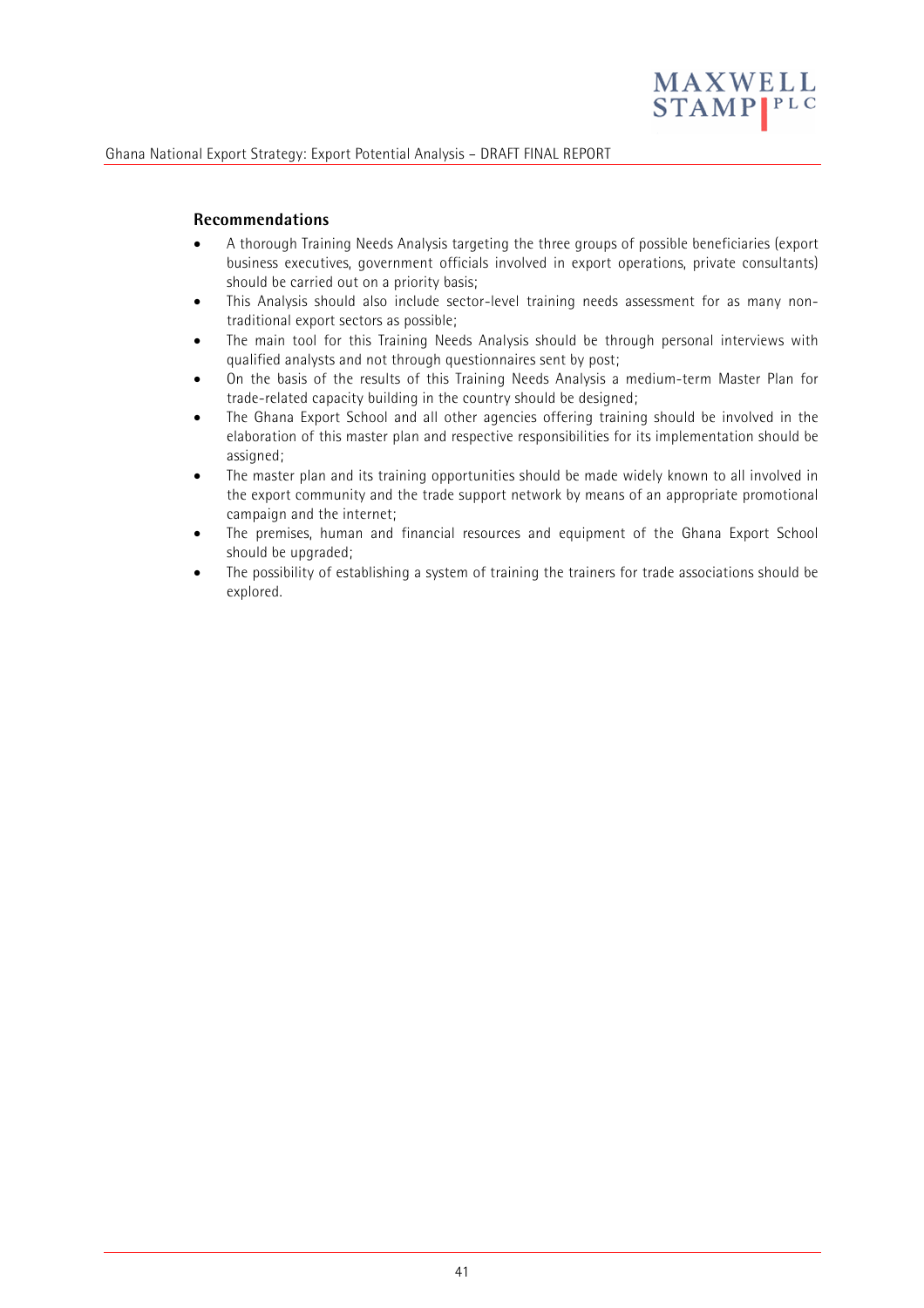

#### **Recommendations**

- A thorough Training Needs Analysis targeting the three groups of possible beneficiaries (export business executives, government officials involved in export operations, private consultants) should be carried out on a priority basis;
- This Analysis should also include sector-level training needs assessment for as many nontraditional export sectors as possible;
- The main tool for this Training Needs Analysis should be through personal interviews with qualified analysts and not through questionnaires sent by post;
- On the basis of the results of this Training Needs Analysis a medium-term Master Plan for trade-related capacity building in the country should be designed;
- The Ghana Export School and all other agencies offering training should be involved in the elaboration of this master plan and respective responsibilities for its implementation should be assigned;
- The master plan and its training opportunities should be made widely known to all involved in the export community and the trade support network by means of an appropriate promotional campaign and the internet;
- The premises, human and financial resources and equipment of the Ghana Export School should be upgraded;
- The possibility of establishing a system of training the trainers for trade associations should be explored.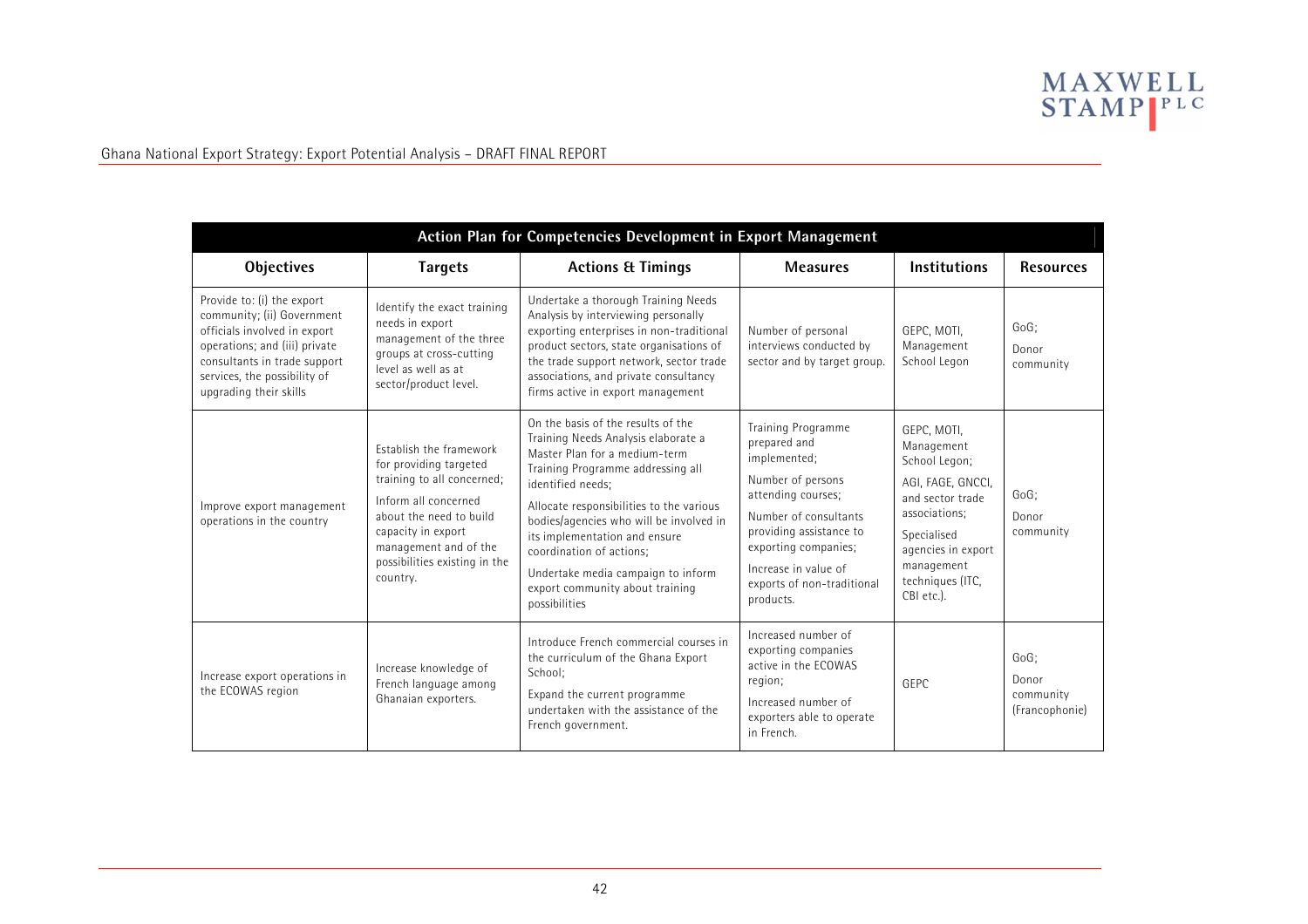

| Action Plan for Competencies Development in Export Management                                                                                                                                                       |                                                                                                                                                                                                                                |                                                                                                                                                                                                                                                                                                                                                                                                                    |                                                                                                                                                                                                                                                     |                                                                                                                                                                                           |                                                 |  |  |  |
|---------------------------------------------------------------------------------------------------------------------------------------------------------------------------------------------------------------------|--------------------------------------------------------------------------------------------------------------------------------------------------------------------------------------------------------------------------------|--------------------------------------------------------------------------------------------------------------------------------------------------------------------------------------------------------------------------------------------------------------------------------------------------------------------------------------------------------------------------------------------------------------------|-----------------------------------------------------------------------------------------------------------------------------------------------------------------------------------------------------------------------------------------------------|-------------------------------------------------------------------------------------------------------------------------------------------------------------------------------------------|-------------------------------------------------|--|--|--|
| <b>Objectives</b>                                                                                                                                                                                                   | <b>Targets</b>                                                                                                                                                                                                                 | <b>Actions &amp; Timings</b>                                                                                                                                                                                                                                                                                                                                                                                       | <b>Measures</b>                                                                                                                                                                                                                                     | <b>Institutions</b>                                                                                                                                                                       | <b>Resources</b>                                |  |  |  |
| Provide to: (i) the export<br>community; (ii) Government<br>officials involved in export<br>operations; and (iii) private<br>consultants in trade support<br>services, the possibility of<br>upgrading their skills | Identify the exact training<br>needs in export<br>management of the three<br>groups at cross-cutting<br>level as well as at<br>sector/product level.                                                                           | Undertake a thorough Training Needs<br>Analysis by interviewing personally<br>exporting enterprises in non-traditional<br>product sectors, state organisations of<br>the trade support network, sector trade<br>associations, and private consultancy<br>firms active in export management                                                                                                                         | Number of personal<br>interviews conducted by<br>sector and by target group.                                                                                                                                                                        | GEPC, MOTI,<br>Management<br>School Legon                                                                                                                                                 | GoG;<br>Donor<br>community                      |  |  |  |
| Improve export management<br>operations in the country                                                                                                                                                              | Establish the framework<br>for providing targeted<br>training to all concerned;<br>Inform all concerned<br>about the need to build<br>capacity in export<br>management and of the<br>possibilities existing in the<br>country. | On the basis of the results of the<br>Training Needs Analysis elaborate a<br>Master Plan for a medium-term<br>Training Programme addressing all<br>identified needs:<br>Allocate responsibilities to the various<br>bodies/agencies who will be involved in<br>its implementation and ensure<br>coordination of actions:<br>Undertake media campaign to inform<br>export community about training<br>possibilities | <b>Training Programme</b><br>prepared and<br>implemented;<br>Number of persons<br>attending courses;<br>Number of consultants<br>providing assistance to<br>exporting companies;<br>Increase in value of<br>exports of non-traditional<br>products. | GEPC, MOTI,<br>Management<br>School Legon;<br>AGI, FAGE, GNCCI,<br>and sector trade<br>associations:<br>Specialised<br>agencies in export<br>management<br>techniques (ITC,<br>CBI etc.). | GoG;<br>Donor<br>community                      |  |  |  |
| Increase export operations in<br>the ECOWAS region                                                                                                                                                                  | Increase knowledge of<br>French language among<br>Ghanaian exporters.                                                                                                                                                          | Introduce French commercial courses in<br>the curriculum of the Ghana Export<br>School:<br>Expand the current programme<br>undertaken with the assistance of the<br>French government.                                                                                                                                                                                                                             | Increased number of<br>exporting companies<br>active in the FCOWAS<br>region;<br>Increased number of<br>exporters able to operate<br>in French.                                                                                                     | GEPC                                                                                                                                                                                      | $GoG$ :<br>Donor<br>community<br>(Francophonie) |  |  |  |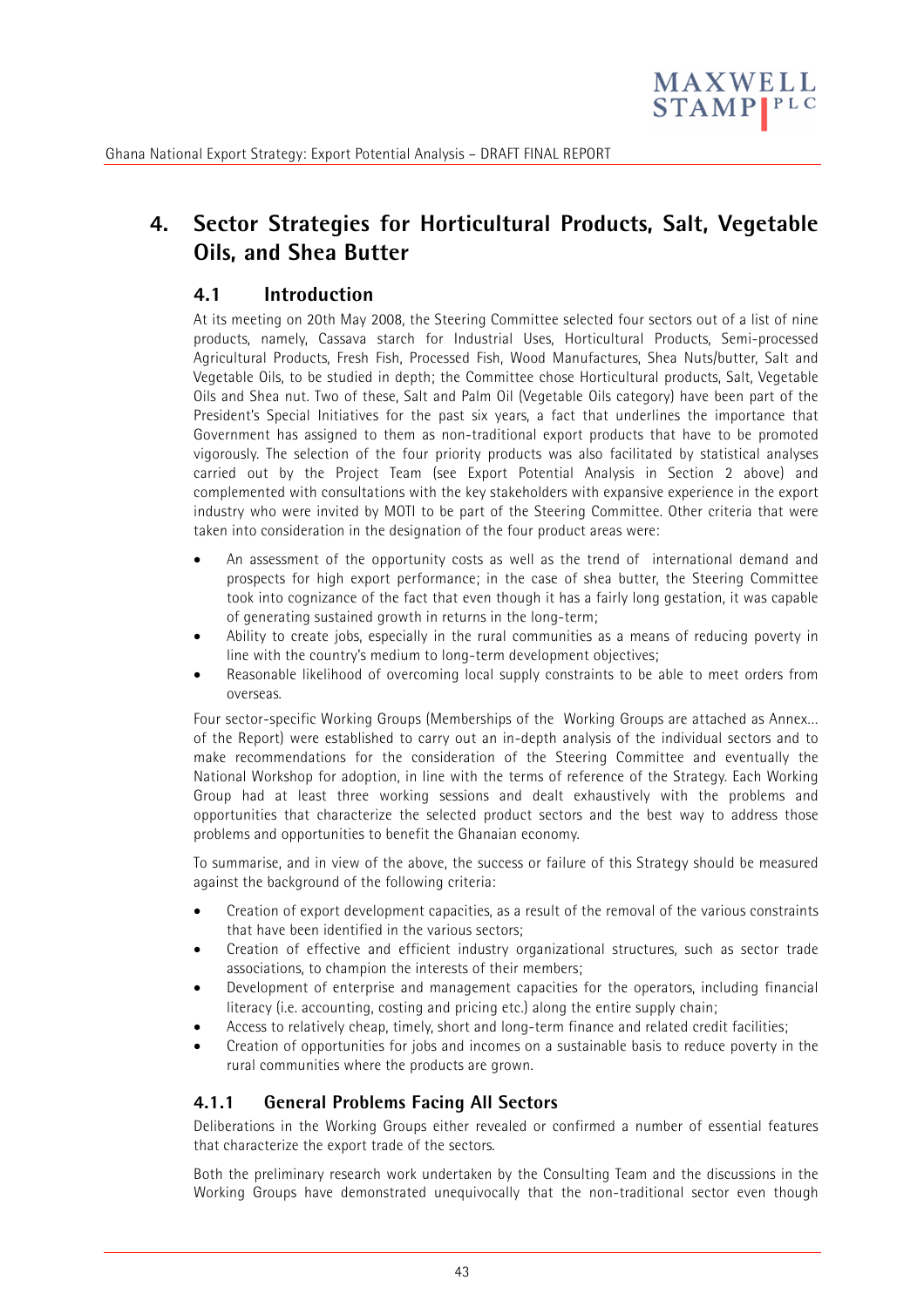

# **4. Sector Strategies for Horticultural Products, Salt, Vegetable Oils, and Shea Butter**

# **4.1 Introduction**

At its meeting on 20th May 2008, the Steering Committee selected four sectors out of a list of nine products, namely, Cassava starch for Industrial Uses, Horticultural Products, Semi-processed Agricultural Products, Fresh Fish, Processed Fish, Wood Manufactures, Shea Nuts/butter, Salt and Vegetable Oils, to be studied in depth; the Committee chose Horticultural products, Salt, Vegetable Oils and Shea nut. Two of these, Salt and Palm Oil (Vegetable Oils category) have been part of the President's Special Initiatives for the past six years, a fact that underlines the importance that Government has assigned to them as non-traditional export products that have to be promoted vigorously. The selection of the four priority products was also facilitated by statistical analyses carried out by the Project Team (see Export Potential Analysis in Section 2 above) and complemented with consultations with the key stakeholders with expansive experience in the export industry who were invited by MOTI to be part of the Steering Committee. Other criteria that were taken into consideration in the designation of the four product areas were:

- An assessment of the opportunity costs as well as the trend of international demand and prospects for high export performance; in the case of shea butter, the Steering Committee took into cognizance of the fact that even though it has a fairly long gestation, it was capable of generating sustained growth in returns in the long-term;
- Ability to create jobs, especially in the rural communities as a means of reducing poverty in line with the country's medium to long-term development objectives;
- Reasonable likelihood of overcoming local supply constraints to be able to meet orders from overseas.

Four sector-specific Working Groups (Memberships of the Working Groups are attached as Annex… of the Report) were established to carry out an in-depth analysis of the individual sectors and to make recommendations for the consideration of the Steering Committee and eventually the National Workshop for adoption, in line with the terms of reference of the Strategy. Each Working Group had at least three working sessions and dealt exhaustively with the problems and opportunities that characterize the selected product sectors and the best way to address those problems and opportunities to benefit the Ghanaian economy.

To summarise, and in view of the above, the success or failure of this Strategy should be measured against the background of the following criteria:

- Creation of export development capacities, as a result of the removal of the various constraints that have been identified in the various sectors;
- Creation of effective and efficient industry organizational structures, such as sector trade associations, to champion the interests of their members;
- Development of enterprise and management capacities for the operators, including financial literacy (i.e. accounting, costing and pricing etc.) along the entire supply chain;
- Access to relatively cheap, timely, short and long-term finance and related credit facilities;
- Creation of opportunities for jobs and incomes on a sustainable basis to reduce poverty in the rural communities where the products are grown.

# **4.1.1 General Problems Facing All Sectors**

Deliberations in the Working Groups either revealed or confirmed a number of essential features that characterize the export trade of the sectors.

Both the preliminary research work undertaken by the Consulting Team and the discussions in the Working Groups have demonstrated unequivocally that the non-traditional sector even though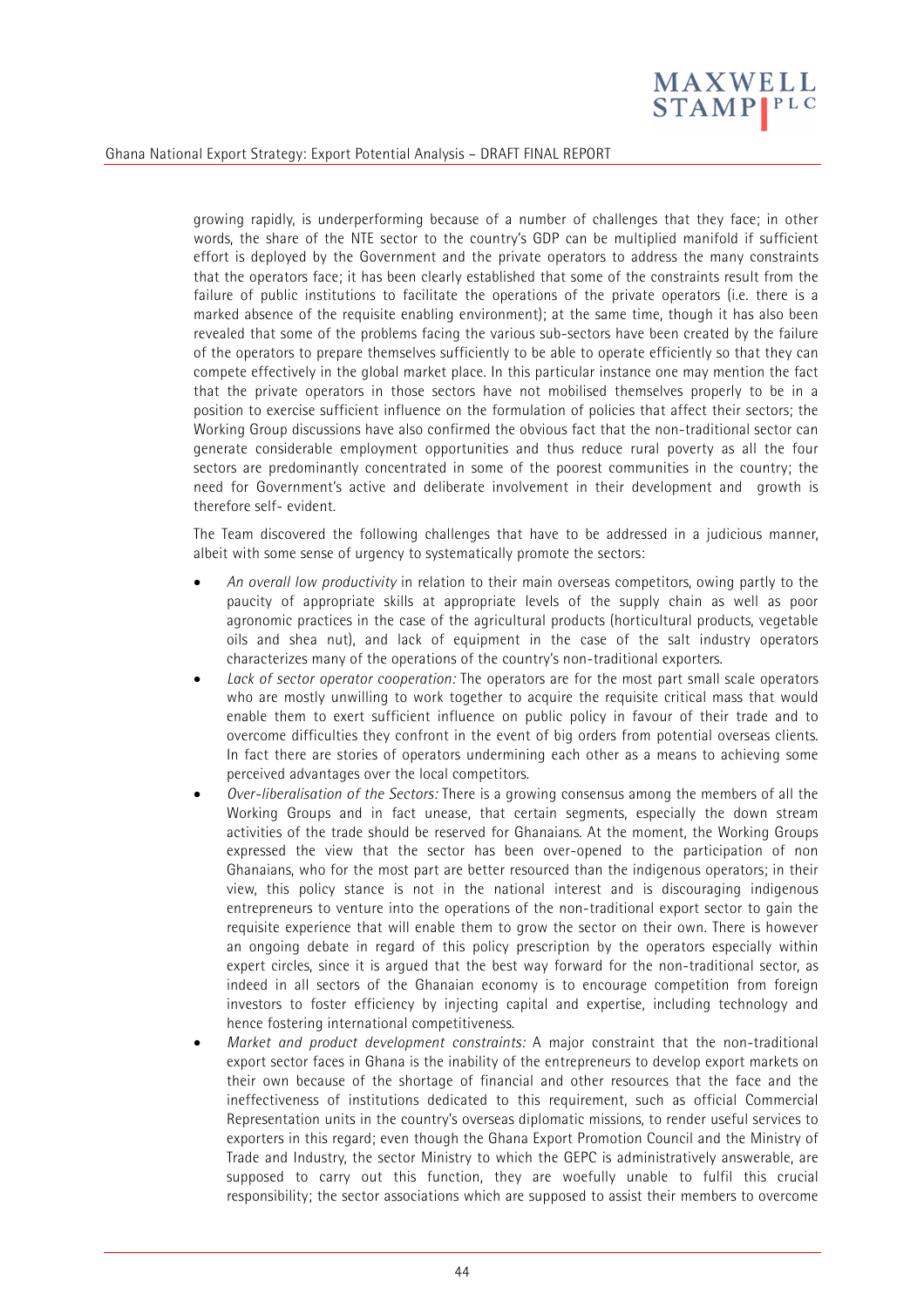

growing rapidly, is underperforming because of a number of challenges that they face; in other words, the share of the NTE sector to the country's GDP can be multiplied manifold if sufficient effort is deployed by the Government and the private operators to address the many constraints that the operators face; it has been clearly established that some of the constraints result from the failure of public institutions to facilitate the operations of the private operators (i.e. there is a marked absence of the requisite enabling environment); at the same time, though it has also been revealed that some of the problems facing the various sub-sectors have been created by the failure of the operators to prepare themselves sufficiently to be able to operate efficiently so that they can compete effectively in the global market place. In this particular instance one may mention the fact that the private operators in those sectors have not mobilised themselves properly to be in a position to exercise sufficient influence on the formulation of policies that affect their sectors; the Working Group discussions have also confirmed the obvious fact that the non-traditional sector can generate considerable employment opportunities and thus reduce rural poverty as all the four sectors are predominantly concentrated in some of the poorest communities in the country; the need for Government's active and deliberate involvement in their development and growth is therefore self- evident.

The Team discovered the following challenges that have to be addressed in a judicious manner, albeit with some sense of urgency to systematically promote the sectors:

- *An overall low productivity* in relation to their main overseas competitors, owing partly to the paucity of appropriate skills at appropriate levels of the supply chain as well as poor agronomic practices in the case of the agricultural products (horticultural products, vegetable oils and shea nut), and lack of equipment in the case of the salt industry operators characterizes many of the operations of the country's non-traditional exporters.
- *Lack of sector operator cooperation:* The operators are for the most part small scale operators who are mostly unwilling to work together to acquire the requisite critical mass that would enable them to exert sufficient influence on public policy in favour of their trade and to overcome difficulties they confront in the event of big orders from potential overseas clients. In fact there are stories of operators undermining each other as a means to achieving some perceived advantages over the local competitors.
- *Over-liberalisation of the Sectors:* There is a growing consensus among the members of all the Working Groups and in fact unease, that certain segments, especially the down stream activities of the trade should be reserved for Ghanaians. At the moment, the Working Groups expressed the view that the sector has been over-opened to the participation of non Ghanaians, who for the most part are better resourced than the indigenous operators; in their view, this policy stance is not in the national interest and is discouraging indigenous entrepreneurs to venture into the operations of the non-traditional export sector to gain the requisite experience that will enable them to grow the sector on their own. There is however an ongoing debate in regard of this policy prescription by the operators especially within expert circles, since it is argued that the best way forward for the non-traditional sector, as indeed in all sectors of the Ghanaian economy is to encourage competition from foreign investors to foster efficiency by injecting capital and expertise, including technology and hence fostering international competitiveness.
- *Market and product development constraints:* A major constraint that the non-traditional export sector faces in Ghana is the inability of the entrepreneurs to develop export markets on their own because of the shortage of financial and other resources that the face and the ineffectiveness of institutions dedicated to this requirement, such as official Commercial Representation units in the country's overseas diplomatic missions, to render useful services to exporters in this regard; even though the Ghana Export Promotion Council and the Ministry of Trade and Industry, the sector Ministry to which the GEPC is administratively answerable, are supposed to carry out this function, they are woefully unable to fulfil this crucial responsibility; the sector associations which are supposed to assist their members to overcome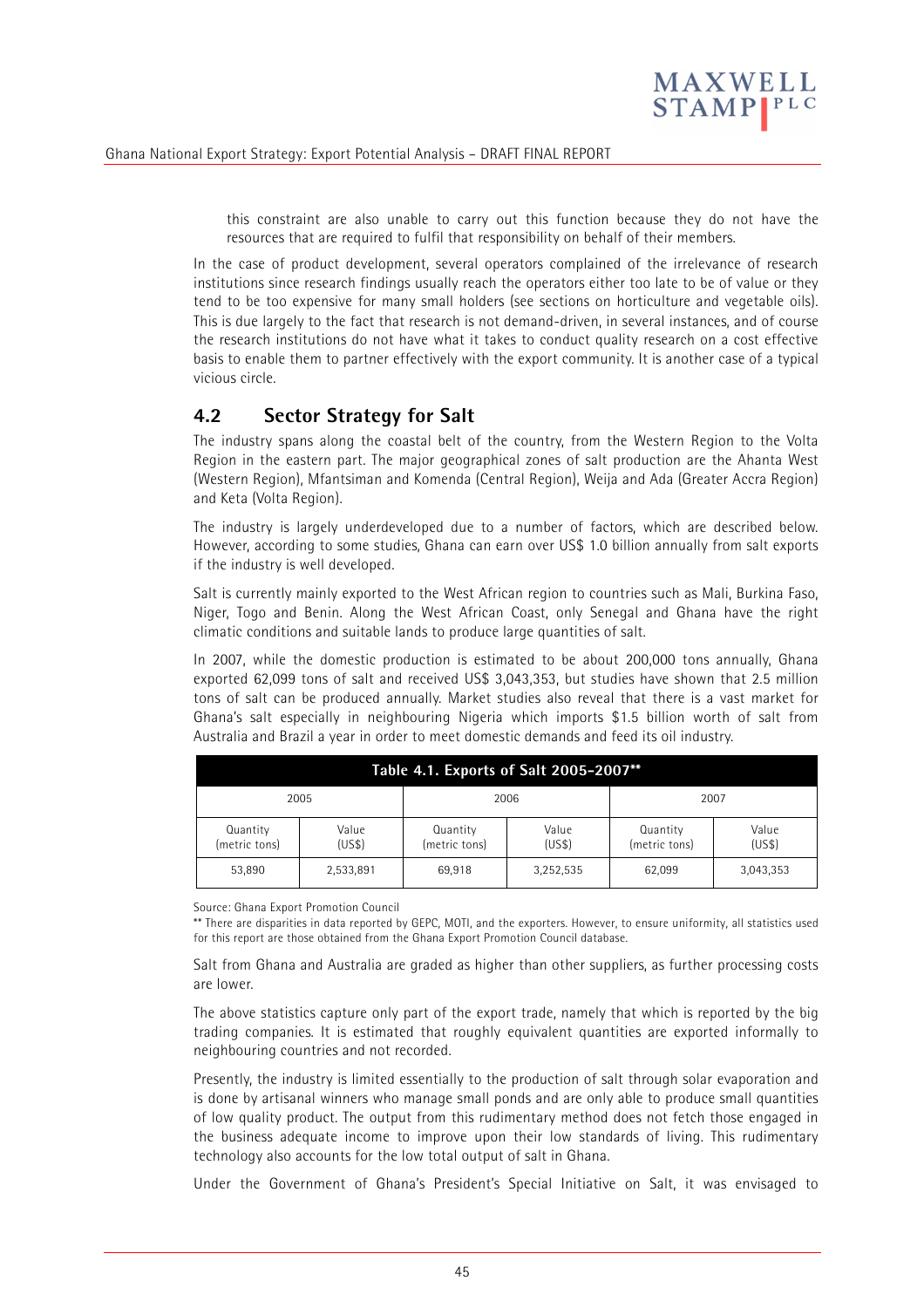

this constraint are also unable to carry out this function because they do not have the resources that are required to fulfil that responsibility on behalf of their members.

In the case of product development, several operators complained of the irrelevance of research institutions since research findings usually reach the operators either too late to be of value or they tend to be too expensive for many small holders (see sections on horticulture and vegetable oils). This is due largely to the fact that research is not demand-driven, in several instances, and of course the research institutions do not have what it takes to conduct quality research on a cost effective basis to enable them to partner effectively with the export community. It is another case of a typical vicious circle.

# **4.2 Sector Strategy for Salt**

The industry spans along the coastal belt of the country, from the Western Region to the Volta Region in the eastern part. The major geographical zones of salt production are the Ahanta West (Western Region), Mfantsiman and Komenda (Central Region), Weija and Ada (Greater Accra Region) and Keta (Volta Region).

The industry is largely underdeveloped due to a number of factors, which are described below. However, according to some studies, Ghana can earn over US\$ 1.0 billion annually from salt exports if the industry is well developed.

Salt is currently mainly exported to the West African region to countries such as Mali, Burkina Faso, Niger, Togo and Benin. Along the West African Coast, only Senegal and Ghana have the right climatic conditions and suitable lands to produce large quantities of salt.

In 2007, while the domestic production is estimated to be about 200,000 tons annually, Ghana exported 62,099 tons of salt and received US\$ 3,043,353, but studies have shown that 2.5 million tons of salt can be produced annually. Market studies also reveal that there is a vast market for Ghana's salt especially in neighbouring Nigeria which imports \$1.5 billion worth of salt from Australia and Brazil a year in order to meet domestic demands and feed its oil industry.

| Table 4.1. Exports of Salt 2005-2007** |                 |                           |                 |                           |                |  |  |
|----------------------------------------|-----------------|---------------------------|-----------------|---------------------------|----------------|--|--|
|                                        | 2005            | 2006                      |                 | 2007                      |                |  |  |
| Quantity<br>(metric tons)              | Value<br>(US\$) | Quantity<br>(metric tons) | Value<br>(US\$) | Quantity<br>(metric tons) | Value<br>(USS) |  |  |
| 53.890                                 | 2,533,891       | 69.918                    | 3,252,535       | 62,099                    | 3,043,353      |  |  |

Source: Ghana Export Promotion Council

\*\* There are disparities in data reported by GEPC, MOTI, and the exporters. However, to ensure uniformity, all statistics used for this report are those obtained from the Ghana Export Promotion Council database.

Salt from Ghana and Australia are graded as higher than other suppliers, as further processing costs are lower.

The above statistics capture only part of the export trade, namely that which is reported by the big trading companies. It is estimated that roughly equivalent quantities are exported informally to neighbouring countries and not recorded.

Presently, the industry is limited essentially to the production of salt through solar evaporation and is done by artisanal winners who manage small ponds and are only able to produce small quantities of low quality product. The output from this rudimentary method does not fetch those engaged in the business adequate income to improve upon their low standards of living. This rudimentary technology also accounts for the low total output of salt in Ghana.

Under the Government of Ghana's President's Special Initiative on Salt, it was envisaged to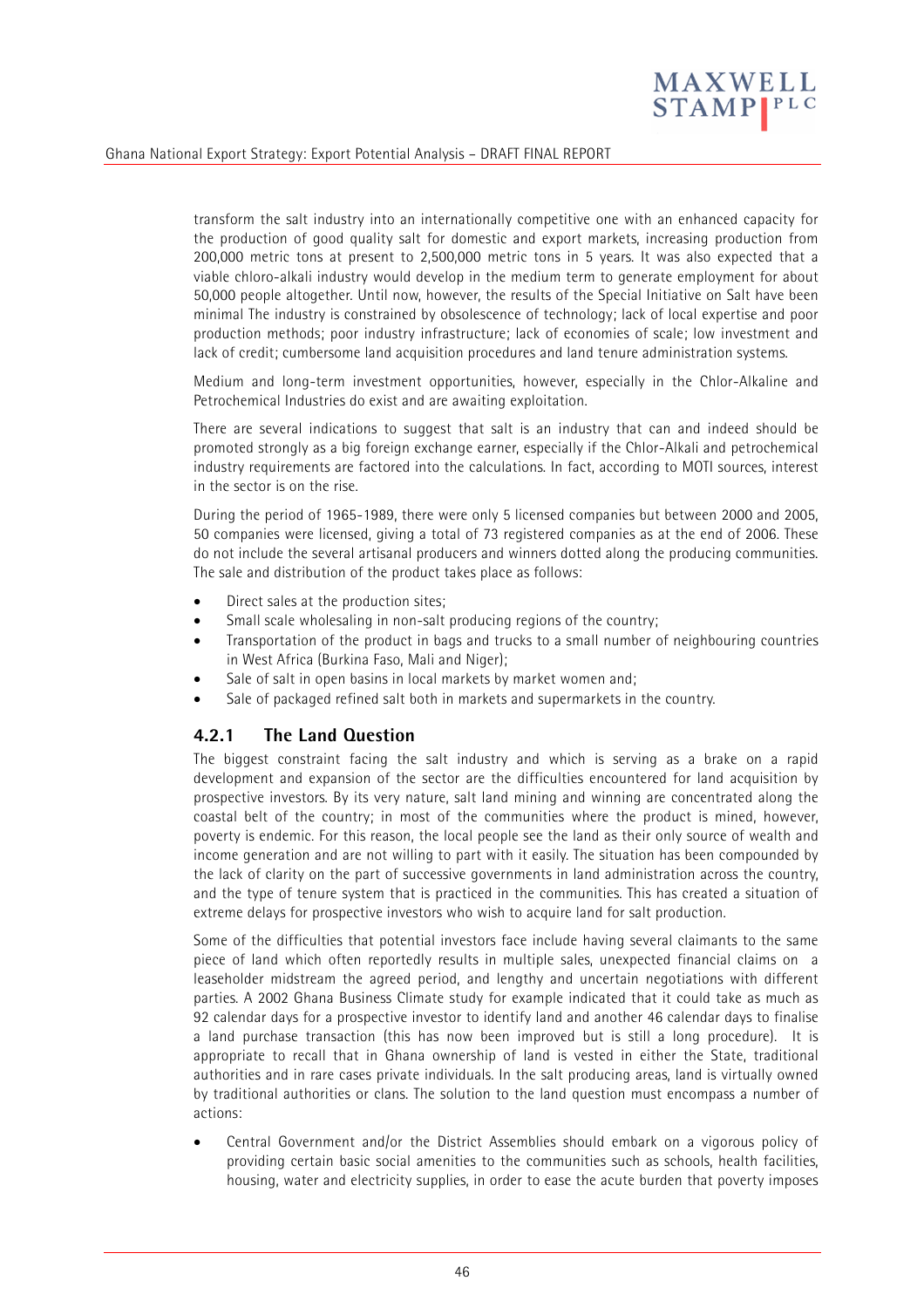

transform the salt industry into an internationally competitive one with an enhanced capacity for the production of good quality salt for domestic and export markets, increasing production from 200,000 metric tons at present to 2,500,000 metric tons in 5 years. It was also expected that a viable chloro-alkali industry would develop in the medium term to generate employment for about 50,000 people altogether. Until now, however, the results of the Special Initiative on Salt have been minimal The industry is constrained by obsolescence of technology; lack of local expertise and poor production methods; poor industry infrastructure; lack of economies of scale; low investment and lack of credit; cumbersome land acquisition procedures and land tenure administration systems.

Medium and long-term investment opportunities, however, especially in the Chlor-Alkaline and Petrochemical Industries do exist and are awaiting exploitation.

There are several indications to suggest that salt is an industry that can and indeed should be promoted strongly as a big foreign exchange earner, especially if the Chlor-Alkali and petrochemical industry requirements are factored into the calculations. In fact, according to MOTI sources, interest in the sector is on the rise.

During the period of 1965-1989, there were only 5 licensed companies but between 2000 and 2005, 50 companies were licensed, giving a total of 73 registered companies as at the end of 2006. These do not include the several artisanal producers and winners dotted along the producing communities. The sale and distribution of the product takes place as follows:

- Direct sales at the production sites;
- Small scale wholesaling in non-salt producing regions of the country;
- Transportation of the product in bags and trucks to a small number of neighbouring countries in West Africa (Burkina Faso, Mali and Niger);
- Sale of salt in open basins in local markets by market women and:
- Sale of packaged refined salt both in markets and supermarkets in the country.

### **4.2.1 The Land Question**

The biggest constraint facing the salt industry and which is serving as a brake on a rapid development and expansion of the sector are the difficulties encountered for land acquisition by prospective investors. By its very nature, salt land mining and winning are concentrated along the coastal belt of the country; in most of the communities where the product is mined, however, poverty is endemic. For this reason, the local people see the land as their only source of wealth and income generation and are not willing to part with it easily. The situation has been compounded by the lack of clarity on the part of successive governments in land administration across the country, and the type of tenure system that is practiced in the communities. This has created a situation of extreme delays for prospective investors who wish to acquire land for salt production.

Some of the difficulties that potential investors face include having several claimants to the same piece of land which often reportedly results in multiple sales, unexpected financial claims on a leaseholder midstream the agreed period, and lengthy and uncertain negotiations with different parties. A 2002 Ghana Business Climate study for example indicated that it could take as much as 92 calendar days for a prospective investor to identify land and another 46 calendar days to finalise a land purchase transaction (this has now been improved but is still a long procedure). It is appropriate to recall that in Ghana ownership of land is vested in either the State, traditional authorities and in rare cases private individuals. In the salt producing areas, land is virtually owned by traditional authorities or clans. The solution to the land question must encompass a number of actions:

• Central Government and/or the District Assemblies should embark on a vigorous policy of providing certain basic social amenities to the communities such as schools, health facilities, housing, water and electricity supplies, in order to ease the acute burden that poverty imposes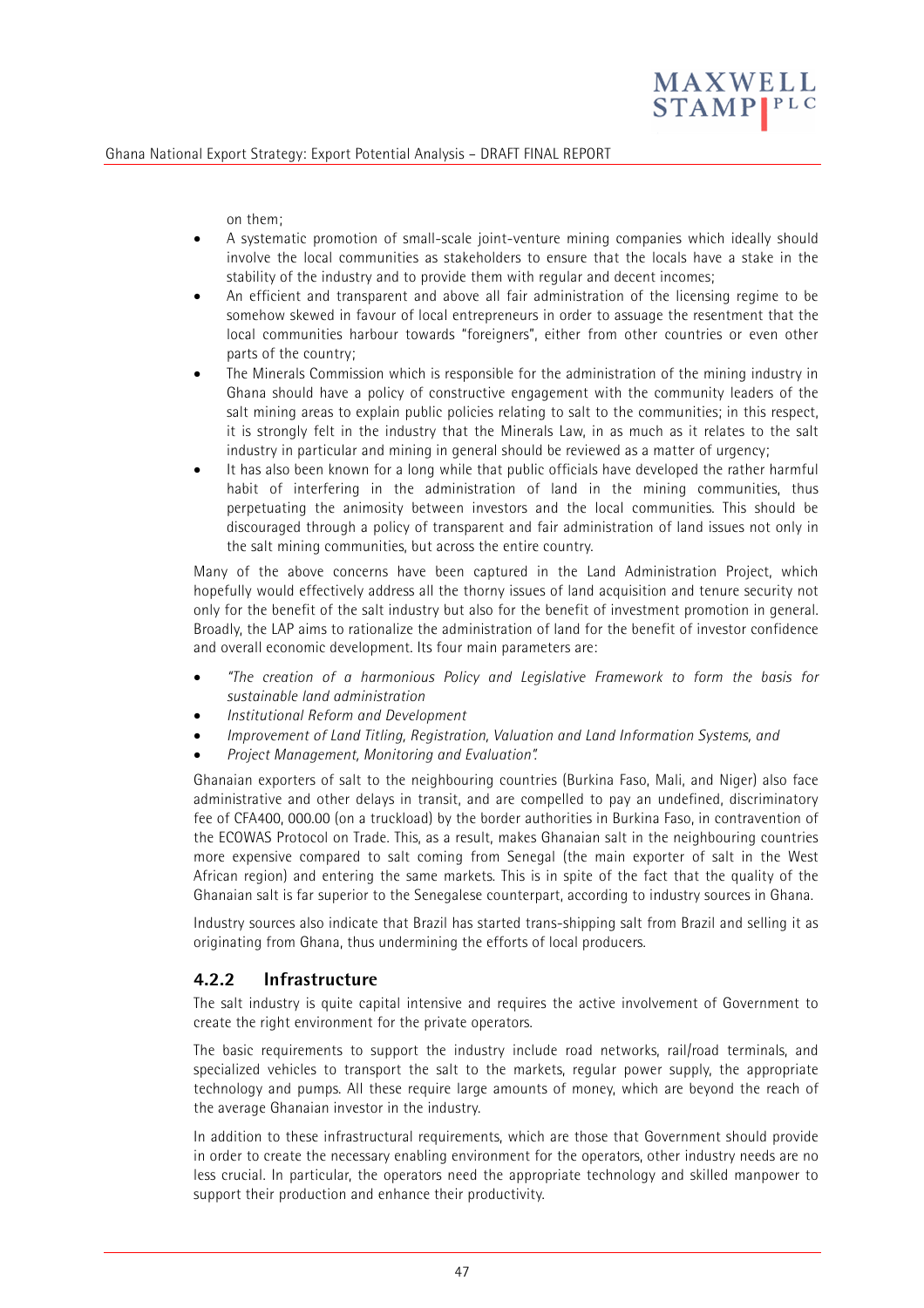

on them;

- A systematic promotion of small-scale joint-venture mining companies which ideally should involve the local communities as stakeholders to ensure that the locals have a stake in the stability of the industry and to provide them with regular and decent incomes;
- An efficient and transparent and above all fair administration of the licensing regime to be somehow skewed in favour of local entrepreneurs in order to assuage the resentment that the local communities harbour towards "foreigners", either from other countries or even other parts of the country;
- The Minerals Commission which is responsible for the administration of the mining industry in Ghana should have a policy of constructive engagement with the community leaders of the salt mining areas to explain public policies relating to salt to the communities; in this respect, it is strongly felt in the industry that the Minerals Law, in as much as it relates to the salt industry in particular and mining in general should be reviewed as a matter of urgency;
- It has also been known for a long while that public officials have developed the rather harmful habit of interfering in the administration of land in the mining communities, thus perpetuating the animosity between investors and the local communities. This should be discouraged through a policy of transparent and fair administration of land issues not only in the salt mining communities, but across the entire country.

Many of the above concerns have been captured in the Land Administration Project, which hopefully would effectively address all the thorny issues of land acquisition and tenure security not only for the benefit of the salt industry but also for the benefit of investment promotion in general. Broadly, the LAP aims to rationalize the administration of land for the benefit of investor confidence and overall economic development. Its four main parameters are:

- *"The creation of a harmonious Policy and Legislative Framework to form the basis for sustainable land administration*
- *Institutional Reform and Development*
- *Improvement of Land Titling, Registration, Valuation and Land Information Systems, and*
- *Project Management, Monitoring and Evaluation".*

Ghanaian exporters of salt to the neighbouring countries (Burkina Faso, Mali, and Niger) also face administrative and other delays in transit, and are compelled to pay an undefined, discriminatory fee of CFA400, 000.00 (on a truckload) by the border authorities in Burkina Faso, in contravention of the ECOWAS Protocol on Trade. This, as a result, makes Ghanaian salt in the neighbouring countries more expensive compared to salt coming from Senegal (the main exporter of salt in the West African region) and entering the same markets. This is in spite of the fact that the quality of the Ghanaian salt is far superior to the Senegalese counterpart, according to industry sources in Ghana.

Industry sources also indicate that Brazil has started trans-shipping salt from Brazil and selling it as originating from Ghana, thus undermining the efforts of local producers.

### **4.2.2 Infrastructure**

The salt industry is quite capital intensive and requires the active involvement of Government to create the right environment for the private operators.

The basic requirements to support the industry include road networks, rail/road terminals, and specialized vehicles to transport the salt to the markets, regular power supply, the appropriate technology and pumps. All these require large amounts of money, which are beyond the reach of the average Ghanaian investor in the industry.

In addition to these infrastructural requirements, which are those that Government should provide in order to create the necessary enabling environment for the operators, other industry needs are no less crucial. In particular, the operators need the appropriate technology and skilled manpower to support their production and enhance their productivity.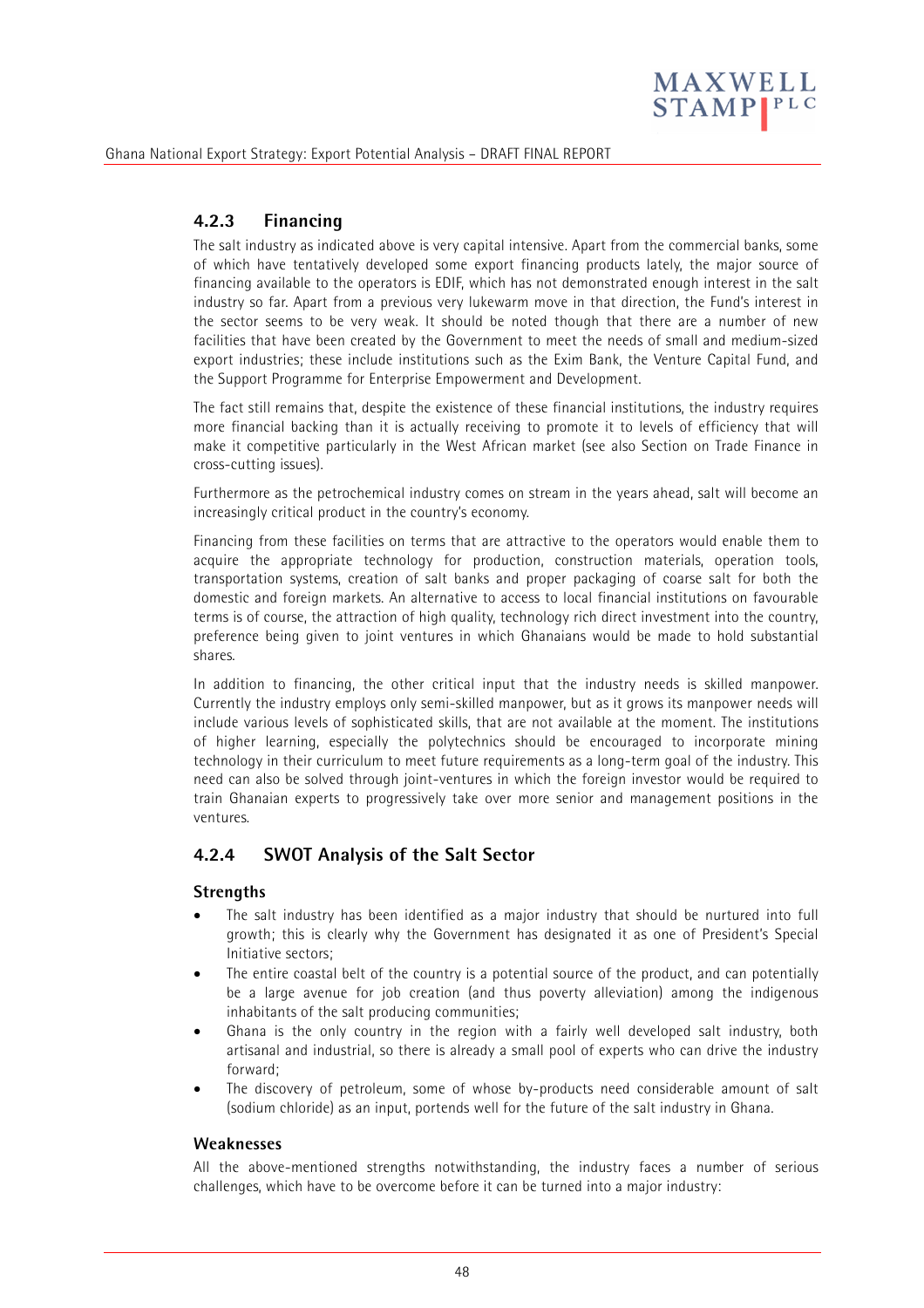

# **4.2.3 Financing**

The salt industry as indicated above is very capital intensive. Apart from the commercial banks, some of which have tentatively developed some export financing products lately, the major source of financing available to the operators is EDIF, which has not demonstrated enough interest in the salt industry so far. Apart from a previous very lukewarm move in that direction, the Fund's interest in the sector seems to be very weak. It should be noted though that there are a number of new facilities that have been created by the Government to meet the needs of small and medium-sized export industries; these include institutions such as the Exim Bank, the Venture Capital Fund, and the Support Programme for Enterprise Empowerment and Development.

The fact still remains that, despite the existence of these financial institutions, the industry requires more financial backing than it is actually receiving to promote it to levels of efficiency that will make it competitive particularly in the West African market (see also Section on Trade Finance in cross-cutting issues).

Furthermore as the petrochemical industry comes on stream in the years ahead, salt will become an increasingly critical product in the country's economy.

Financing from these facilities on terms that are attractive to the operators would enable them to acquire the appropriate technology for production, construction materials, operation tools, transportation systems, creation of salt banks and proper packaging of coarse salt for both the domestic and foreign markets. An alternative to access to local financial institutions on favourable terms is of course, the attraction of high quality, technology rich direct investment into the country, preference being given to joint ventures in which Ghanaians would be made to hold substantial shares.

In addition to financing, the other critical input that the industry needs is skilled manpower. Currently the industry employs only semi-skilled manpower, but as it grows its manpower needs will include various levels of sophisticated skills, that are not available at the moment. The institutions of higher learning, especially the polytechnics should be encouraged to incorporate mining technology in their curriculum to meet future requirements as a long-term goal of the industry. This need can also be solved through joint-ventures in which the foreign investor would be required to train Ghanaian experts to progressively take over more senior and management positions in the ventures.

### **4.2.4 SWOT Analysis of the Salt Sector**

#### **Strengths**

- The salt industry has been identified as a major industry that should be nurtured into full growth; this is clearly why the Government has designated it as one of President's Special Initiative sectors;
- The entire coastal belt of the country is a potential source of the product, and can potentially be a large avenue for job creation (and thus poverty alleviation) among the indigenous inhabitants of the salt producing communities;
- Ghana is the only country in the region with a fairly well developed salt industry, both artisanal and industrial, so there is already a small pool of experts who can drive the industry forward;
- The discovery of petroleum, some of whose by-products need considerable amount of salt (sodium chloride) as an input, portends well for the future of the salt industry in Ghana.

#### **Weaknesses**

All the above-mentioned strengths notwithstanding, the industry faces a number of serious challenges, which have to be overcome before it can be turned into a major industry: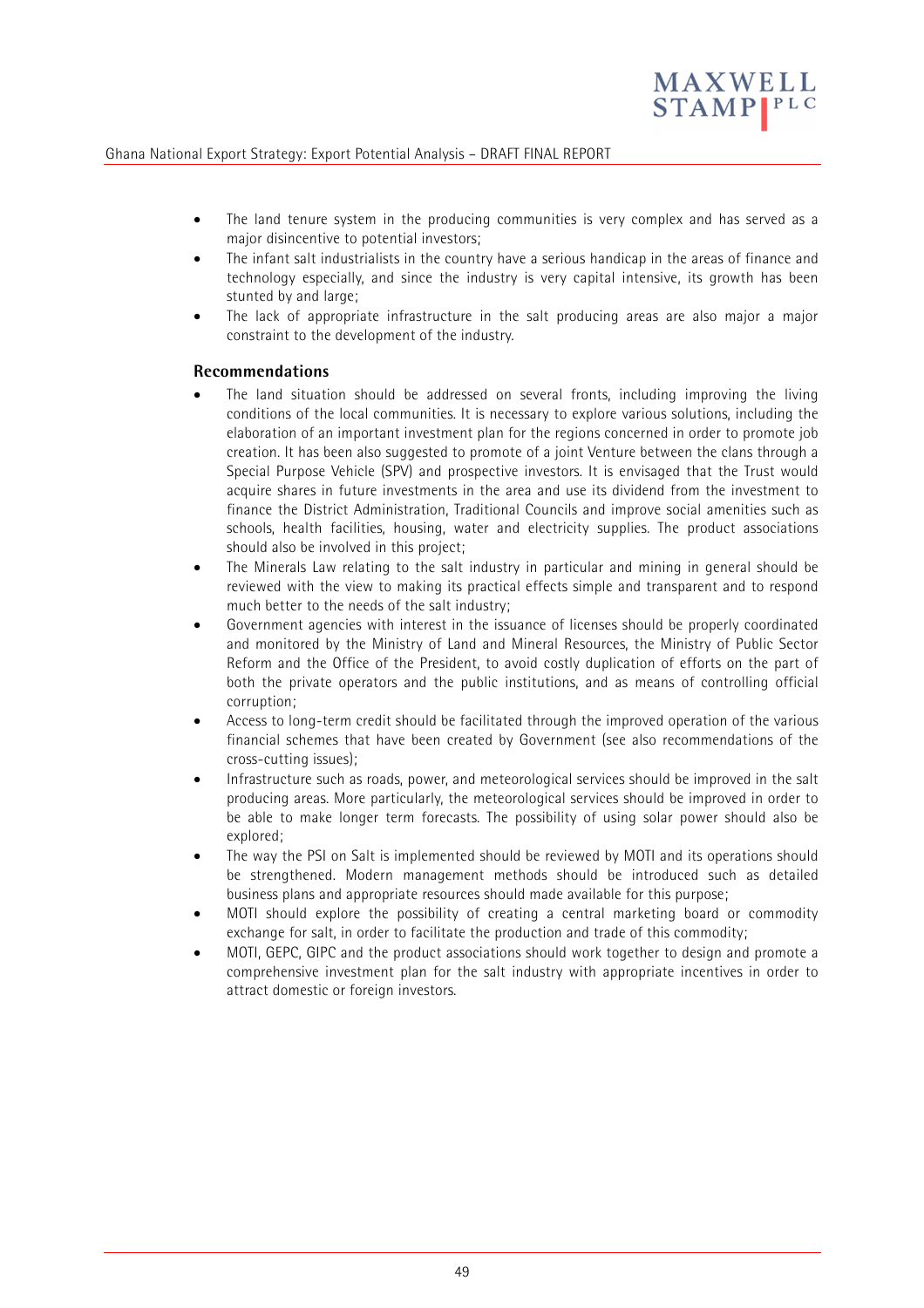

- The land tenure system in the producing communities is very complex and has served as a major disincentive to potential investors;
- The infant salt industrialists in the country have a serious handicap in the areas of finance and technology especially, and since the industry is very capital intensive, its growth has been stunted by and large;
- The lack of appropriate infrastructure in the salt producing areas are also major a major constraint to the development of the industry.

#### **Recommendations**

- The land situation should be addressed on several fronts, including improving the living conditions of the local communities. It is necessary to explore various solutions, including the elaboration of an important investment plan for the regions concerned in order to promote job creation. It has been also suggested to promote of a joint Venture between the clans through a Special Purpose Vehicle (SPV) and prospective investors. It is envisaged that the Trust would acquire shares in future investments in the area and use its dividend from the investment to finance the District Administration, Traditional Councils and improve social amenities such as schools, health facilities, housing, water and electricity supplies. The product associations should also be involved in this project;
- The Minerals Law relating to the salt industry in particular and mining in general should be reviewed with the view to making its practical effects simple and transparent and to respond much better to the needs of the salt industry;
- Government agencies with interest in the issuance of licenses should be properly coordinated and monitored by the Ministry of Land and Mineral Resources, the Ministry of Public Sector Reform and the Office of the President, to avoid costly duplication of efforts on the part of both the private operators and the public institutions, and as means of controlling official corruption;
- Access to long-term credit should be facilitated through the improved operation of the various financial schemes that have been created by Government (see also recommendations of the cross-cutting issues);
- Infrastructure such as roads, power, and meteorological services should be improved in the salt producing areas. More particularly, the meteorological services should be improved in order to be able to make longer term forecasts. The possibility of using solar power should also be explored;
- The way the PSI on Salt is implemented should be reviewed by MOTI and its operations should be strengthened. Modern management methods should be introduced such as detailed business plans and appropriate resources should made available for this purpose;
- MOTI should explore the possibility of creating a central marketing board or commodity exchange for salt, in order to facilitate the production and trade of this commodity;
- MOTI, GEPC, GIPC and the product associations should work together to design and promote a comprehensive investment plan for the salt industry with appropriate incentives in order to attract domestic or foreign investors.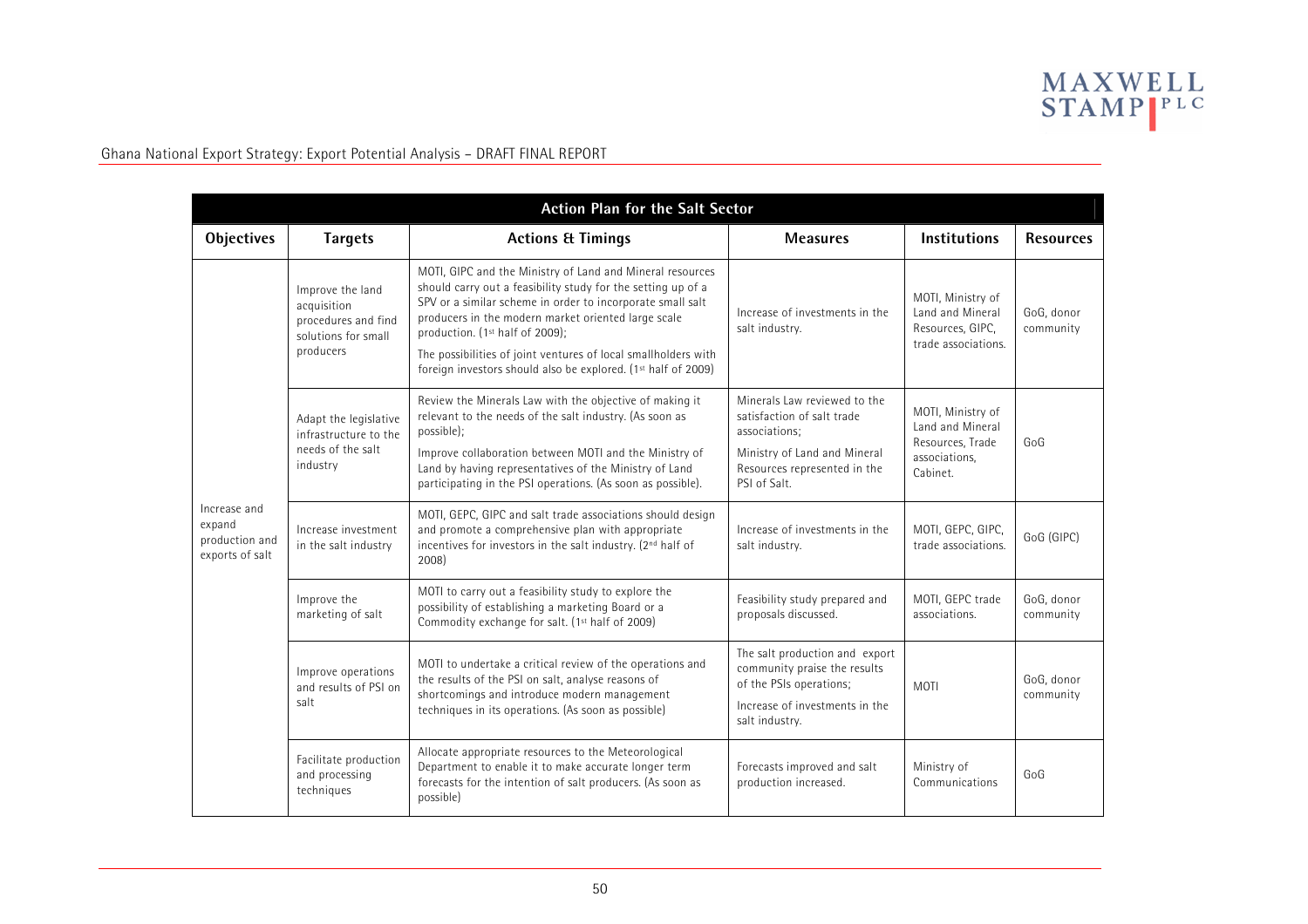

| <b>Action Plan for the Salt Sector</b>                      |                                                                                            |                                                                                                                                                                                                                                                                                                                                                                                                                      |                                                                                                                                                             |                                                                                        |                         |  |  |
|-------------------------------------------------------------|--------------------------------------------------------------------------------------------|----------------------------------------------------------------------------------------------------------------------------------------------------------------------------------------------------------------------------------------------------------------------------------------------------------------------------------------------------------------------------------------------------------------------|-------------------------------------------------------------------------------------------------------------------------------------------------------------|----------------------------------------------------------------------------------------|-------------------------|--|--|
| <b>Objectives</b>                                           | <b>Targets</b>                                                                             | <b>Actions &amp; Timings</b>                                                                                                                                                                                                                                                                                                                                                                                         | <b>Measures</b>                                                                                                                                             | <b>Institutions</b>                                                                    | <b>Resources</b>        |  |  |
| Increase and<br>expand<br>production and<br>exports of salt | Improve the land<br>acquisition<br>procedures and find<br>solutions for small<br>producers | MOTI, GIPC and the Ministry of Land and Mineral resources<br>should carry out a feasibility study for the setting up of a<br>SPV or a similar scheme in order to incorporate small salt<br>producers in the modern market oriented large scale<br>production. (1st half of 2009);<br>The possibilities of joint ventures of local smallholders with<br>foreign investors should also be explored. (1st half of 2009) | Increase of investments in the<br>salt industry.                                                                                                            | MOTI, Ministry of<br>Land and Mineral<br>Resources, GIPC,<br>trade associations.       | GoG, donor<br>community |  |  |
|                                                             | Adapt the legislative<br>infrastructure to the<br>needs of the salt<br>industry            | Review the Minerals Law with the objective of making it<br>relevant to the needs of the salt industry. (As soon as<br>possible);<br>Improve collaboration between MOTI and the Ministry of<br>Land by having representatives of the Ministry of Land<br>participating in the PSI operations. (As soon as possible).                                                                                                  | Minerals Law reviewed to the<br>satisfaction of salt trade<br>associations;<br>Ministry of Land and Mineral<br>Resources represented in the<br>PSI of Salt. | MOTI, Ministry of<br>Land and Mineral<br>Resources, Trade<br>associations,<br>Cabinet. | GoG                     |  |  |
|                                                             | Increase investment<br>in the salt industry                                                | MOTI, GEPC, GIPC and salt trade associations should design<br>and promote a comprehensive plan with appropriate<br>incentives for investors in the salt industry. (2 <sup>nd</sup> half of<br>2008)                                                                                                                                                                                                                  | Increase of investments in the<br>salt industry.                                                                                                            | MOTI, GEPC, GIPC,<br>trade associations.                                               | GoG (GIPC)              |  |  |
|                                                             | Improve the<br>marketing of salt                                                           | MOTI to carry out a feasibility study to explore the<br>possibility of establishing a marketing Board or a<br>Commodity exchange for salt. (1st half of 2009)                                                                                                                                                                                                                                                        | Feasibility study prepared and<br>proposals discussed.                                                                                                      | MOTI, GEPC trade<br>associations.                                                      | GoG, donor<br>community |  |  |
|                                                             | Improve operations<br>and results of PSI on<br>salt                                        | MOTI to undertake a critical review of the operations and<br>the results of the PSI on salt, analyse reasons of<br>shortcomings and introduce modern management<br>techniques in its operations. (As soon as possible)                                                                                                                                                                                               | The salt production and export<br>community praise the results<br>of the PSIs operations;<br>Increase of investments in the<br>salt industry.               | <b>MOTI</b>                                                                            | GoG, donor<br>community |  |  |
|                                                             | Facilitate production<br>and processing<br>techniques                                      | Allocate appropriate resources to the Meteorological<br>Department to enable it to make accurate longer term<br>forecasts for the intention of salt producers. (As soon as<br>possible)                                                                                                                                                                                                                              | Forecasts improved and salt<br>production increased.                                                                                                        | Ministry of<br>Communications                                                          | GoG                     |  |  |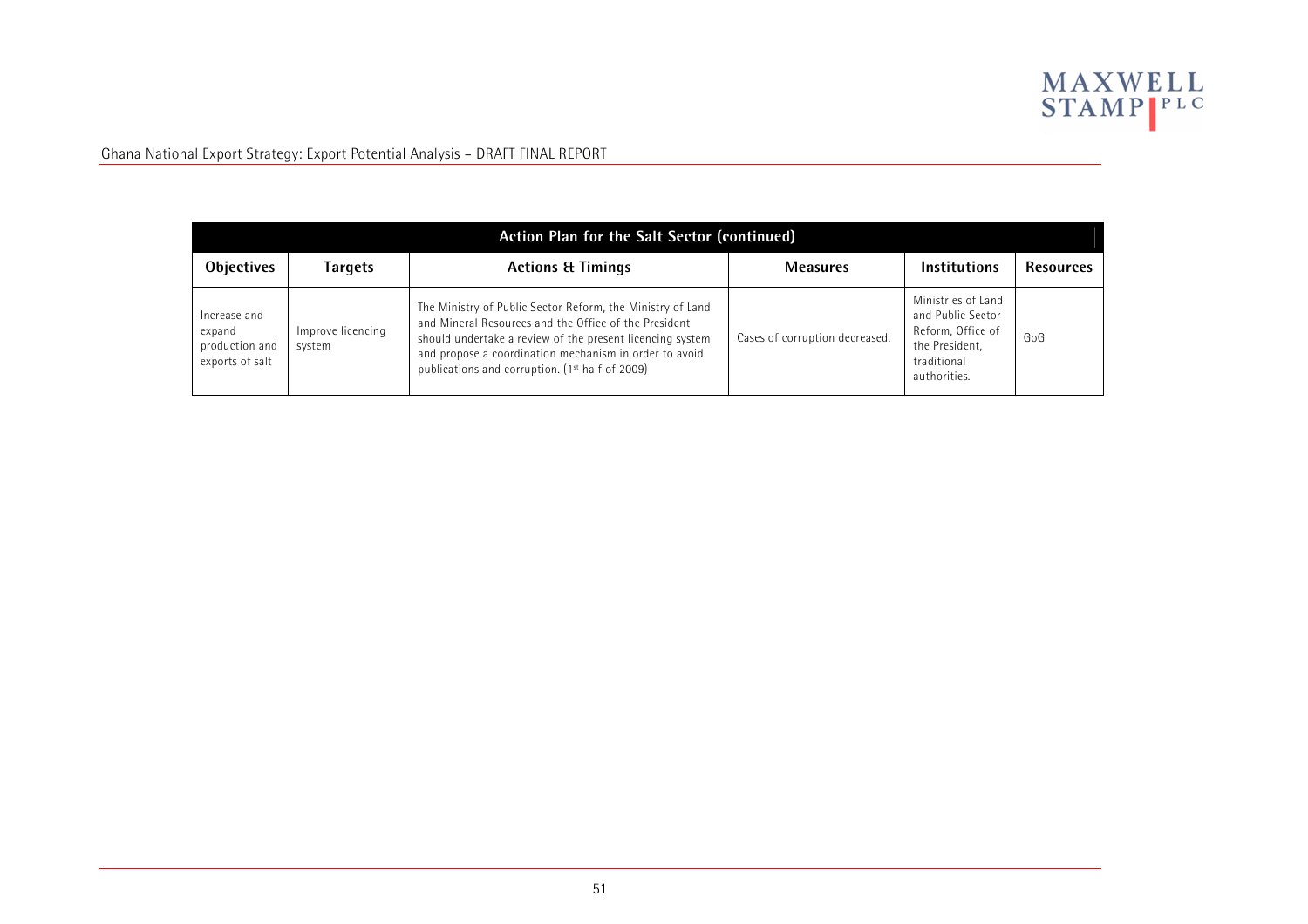

| <b>Action Plan for the Salt Sector (continued)</b>          |                             |                                                                                                                                                                                                                                                                                                           |                                |                                                                                                               |                  |  |  |
|-------------------------------------------------------------|-----------------------------|-----------------------------------------------------------------------------------------------------------------------------------------------------------------------------------------------------------------------------------------------------------------------------------------------------------|--------------------------------|---------------------------------------------------------------------------------------------------------------|------------------|--|--|
| <b>Objectives</b>                                           | Targets                     | <b>Actions &amp; Timings</b>                                                                                                                                                                                                                                                                              | <b>Measures</b>                | <b>Institutions</b>                                                                                           | <b>Resources</b> |  |  |
| Increase and<br>expand<br>production and<br>exports of salt | Improve licencing<br>system | The Ministry of Public Sector Reform, the Ministry of Land<br>and Mineral Resources and the Office of the President<br>should undertake a review of the present licencing system<br>and propose a coordination mechanism in order to avoid<br>publications and corruption. (1 <sup>st</sup> half of 2009) | Cases of corruption decreased. | Ministries of Land<br>and Public Sector<br>Reform, Office of<br>the President,<br>traditional<br>authorities. | GoG              |  |  |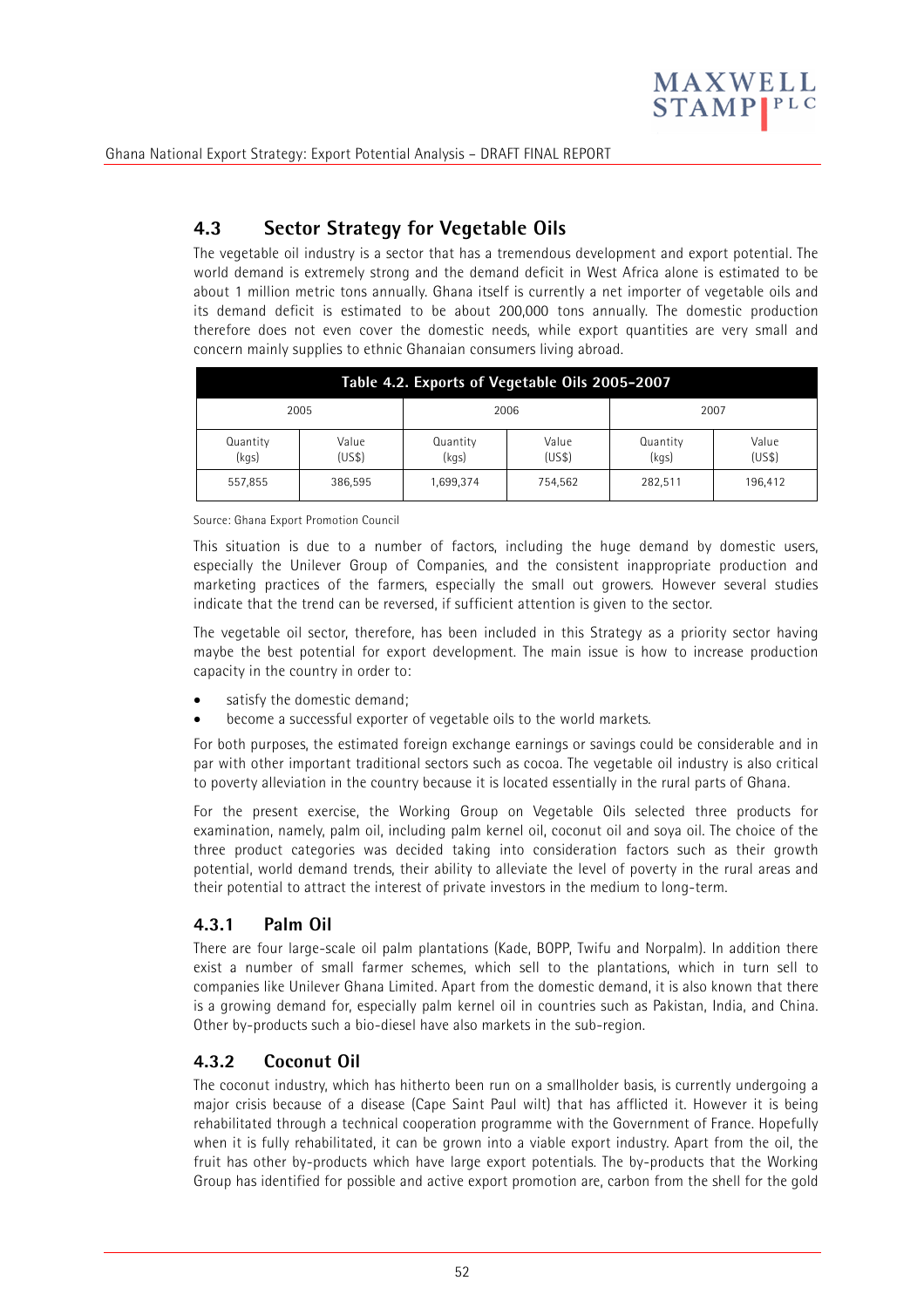

# **4.3 Sector Strategy for Vegetable Oils**

The vegetable oil industry is a sector that has a tremendous development and export potential. The world demand is extremely strong and the demand deficit in West Africa alone is estimated to be about 1 million metric tons annually. Ghana itself is currently a net importer of vegetable oils and its demand deficit is estimated to be about 200,000 tons annually. The domestic production therefore does not even cover the domestic needs, while export quantities are very small and concern mainly supplies to ethnic Ghanaian consumers living abroad.

| Table 4.2. Exports of Vegetable Oils 2005-2007 |                 |                   |                 |                   |                 |  |
|------------------------------------------------|-----------------|-------------------|-----------------|-------------------|-----------------|--|
| 2005                                           |                 |                   | 2006            | 2007              |                 |  |
| Quantity<br>(kgs)                              | Value<br>(US\$) | Quantity<br>(kgs) | Value<br>(US\$) | Quantity<br>(kgs) | Value<br>(US\$) |  |
| 557,855                                        | 386.595         | 1,699,374         | 754,562         | 282,511           | 196,412         |  |

#### Source: Ghana Export Promotion Council

This situation is due to a number of factors, including the huge demand by domestic users, especially the Unilever Group of Companies, and the consistent inappropriate production and marketing practices of the farmers, especially the small out growers. However several studies indicate that the trend can be reversed, if sufficient attention is given to the sector.

The vegetable oil sector, therefore, has been included in this Strategy as a priority sector having maybe the best potential for export development. The main issue is how to increase production capacity in the country in order to:

- satisfy the domestic demand;
- become a successful exporter of vegetable oils to the world markets.

For both purposes, the estimated foreign exchange earnings or savings could be considerable and in par with other important traditional sectors such as cocoa. The vegetable oil industry is also critical to poverty alleviation in the country because it is located essentially in the rural parts of Ghana.

For the present exercise, the Working Group on Vegetable Oils selected three products for examination, namely, palm oil, including palm kernel oil, coconut oil and soya oil. The choice of the three product categories was decided taking into consideration factors such as their growth potential, world demand trends, their ability to alleviate the level of poverty in the rural areas and their potential to attract the interest of private investors in the medium to long-term.

### **4.3.1 Palm Oil**

There are four large-scale oil palm plantations (Kade, BOPP, Twifu and Norpalm). In addition there exist a number of small farmer schemes, which sell to the plantations, which in turn sell to companies like Unilever Ghana Limited. Apart from the domestic demand, it is also known that there is a growing demand for, especially palm kernel oil in countries such as Pakistan, India, and China. Other by-products such a bio-diesel have also markets in the sub-region.

### **4.3.2 Coconut Oil**

The coconut industry, which has hitherto been run on a smallholder basis, is currently undergoing a major crisis because of a disease (Cape Saint Paul wilt) that has afflicted it. However it is being rehabilitated through a technical cooperation programme with the Government of France. Hopefully when it is fully rehabilitated, it can be grown into a viable export industry. Apart from the oil, the fruit has other by-products which have large export potentials. The by-products that the Working Group has identified for possible and active export promotion are, carbon from the shell for the gold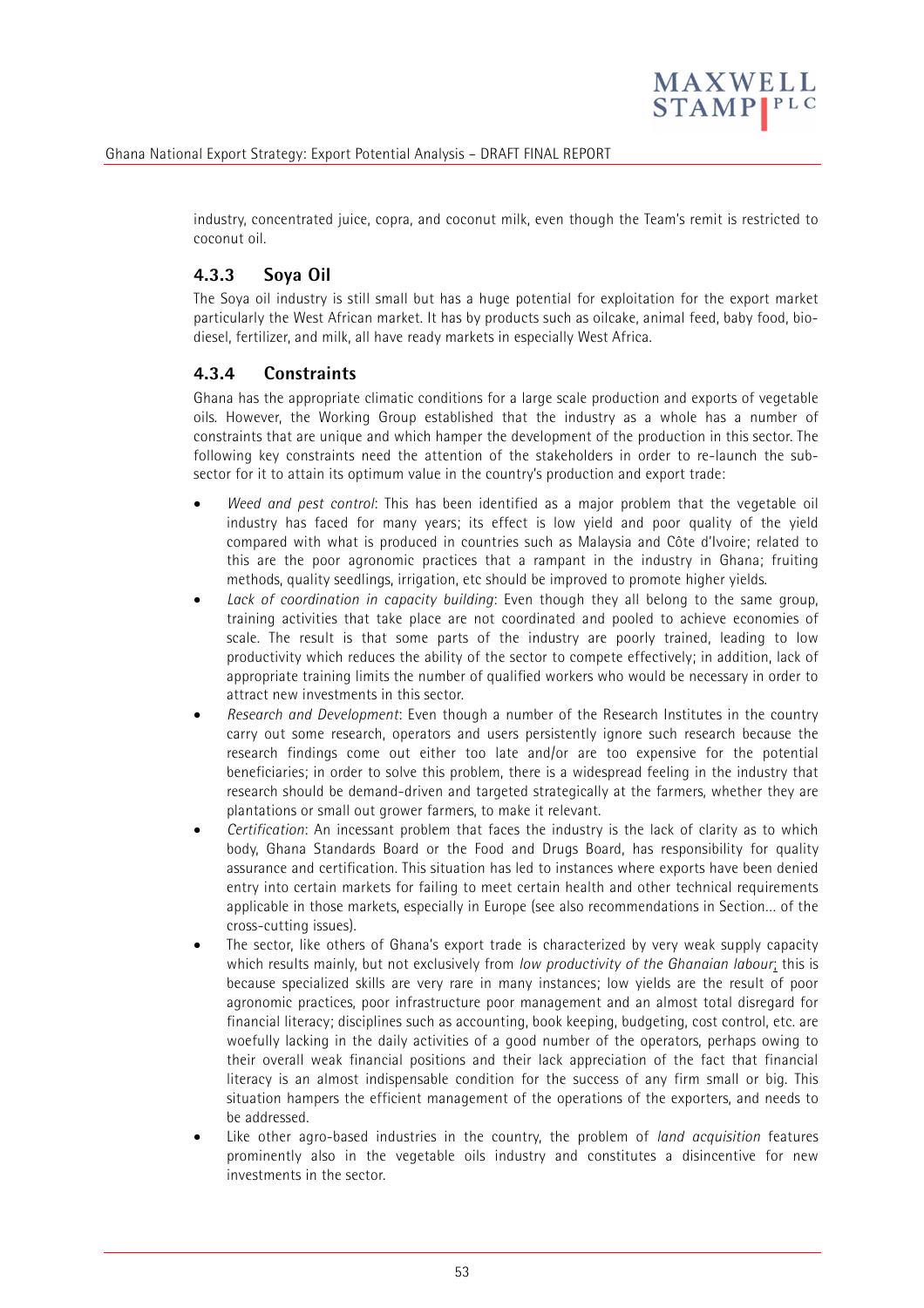

industry, concentrated juice, copra, and coconut milk, even though the Team's remit is restricted to coconut oil.

# **4.3.3 Soya Oil**

The Soya oil industry is still small but has a huge potential for exploitation for the export market particularly the West African market. It has by products such as oilcake, animal feed, baby food, biodiesel, fertilizer, and milk, all have ready markets in especially West Africa.

### **4.3.4 Constraints**

Ghana has the appropriate climatic conditions for a large scale production and exports of vegetable oils. However, the Working Group established that the industry as a whole has a number of constraints that are unique and which hamper the development of the production in this sector. The following key constraints need the attention of the stakeholders in order to re-launch the subsector for it to attain its optimum value in the country's production and export trade:

- *Weed and pest control*: This has been identified as a major problem that the vegetable oil industry has faced for many years; its effect is low yield and poor quality of the yield compared with what is produced in countries such as Malaysia and Côte d'Ivoire; related to this are the poor agronomic practices that a rampant in the industry in Ghana; fruiting methods, quality seedlings, irrigation, etc should be improved to promote higher yields.
- *Lack of coordination in capacity building*: Even though they all belong to the same group, training activities that take place are not coordinated and pooled to achieve economies of scale. The result is that some parts of the industry are poorly trained, leading to low productivity which reduces the ability of the sector to compete effectively; in addition, lack of appropriate training limits the number of qualified workers who would be necessary in order to attract new investments in this sector.
- *Research and Development*: Even though a number of the Research Institutes in the country carry out some research, operators and users persistently ignore such research because the research findings come out either too late and/or are too expensive for the potential beneficiaries; in order to solve this problem, there is a widespread feeling in the industry that research should be demand-driven and targeted strategically at the farmers, whether they are plantations or small out grower farmers, to make it relevant.
- *Certification*: An incessant problem that faces the industry is the lack of clarity as to which body, Ghana Standards Board or the Food and Drugs Board, has responsibility for quality assurance and certification. This situation has led to instances where exports have been denied entry into certain markets for failing to meet certain health and other technical requirements applicable in those markets, especially in Europe (see also recommendations in Section… of the cross-cutting issues).
- The sector, like others of Ghana's export trade is characterized by very weak supply capacity which results mainly, but not exclusively from *low productivity of the Ghanaian labour*; this is because specialized skills are very rare in many instances; low yields are the result of poor agronomic practices, poor infrastructure poor management and an almost total disregard for financial literacy; disciplines such as accounting, book keeping, budgeting, cost control, etc. are woefully lacking in the daily activities of a good number of the operators, perhaps owing to their overall weak financial positions and their lack appreciation of the fact that financial literacy is an almost indispensable condition for the success of any firm small or big. This situation hampers the efficient management of the operations of the exporters, and needs to be addressed.
- Like other agro-based industries in the country, the problem of *land acquisition* features prominently also in the vegetable oils industry and constitutes a disincentive for new investments in the sector.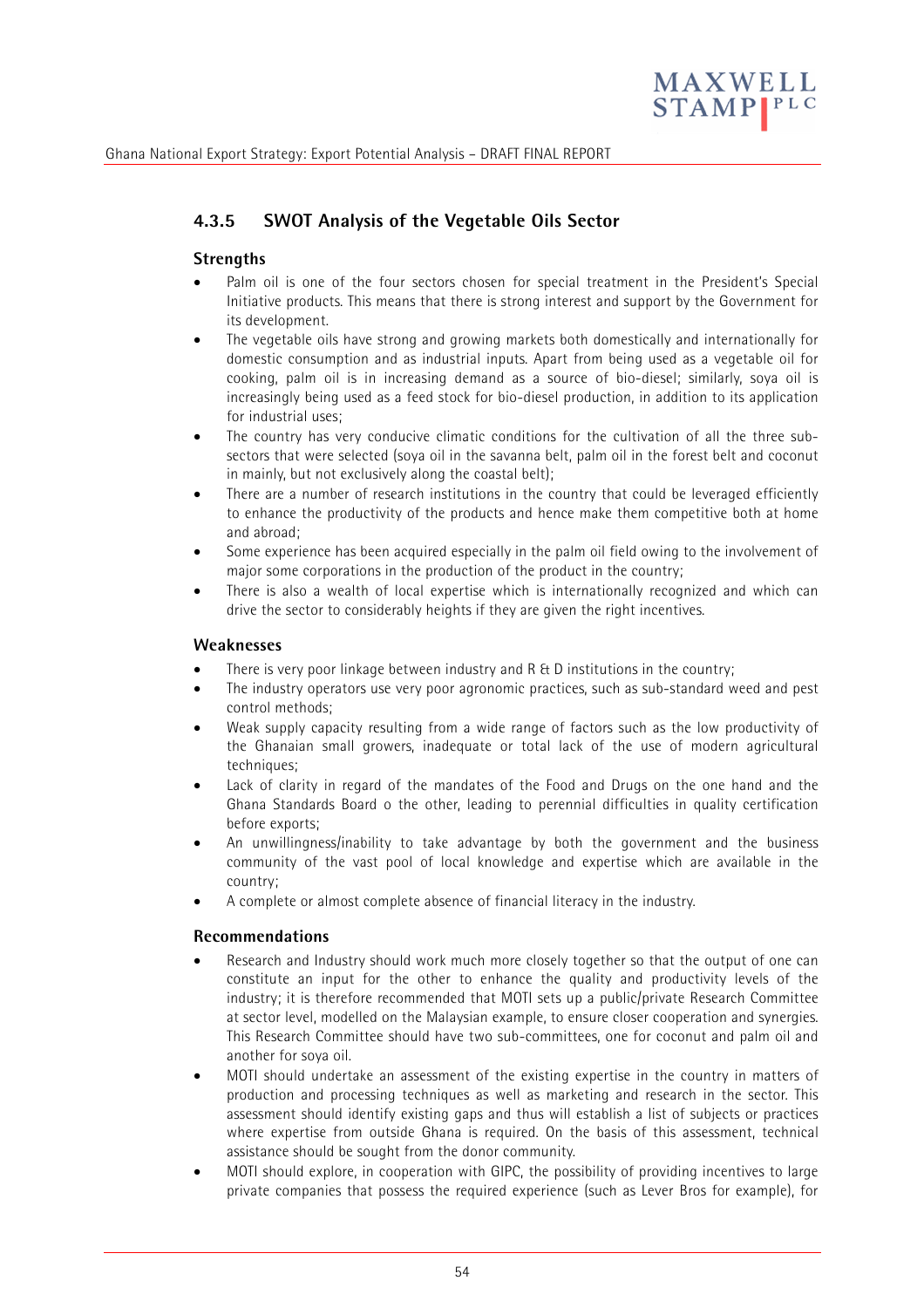

# **4.3.5 SWOT Analysis of the Vegetable Oils Sector**

#### **Strengths**

- Palm oil is one of the four sectors chosen for special treatment in the President's Special Initiative products. This means that there is strong interest and support by the Government for its development.
- The vegetable oils have strong and growing markets both domestically and internationally for domestic consumption and as industrial inputs. Apart from being used as a vegetable oil for cooking, palm oil is in increasing demand as a source of bio-diesel; similarly, soya oil is increasingly being used as a feed stock for bio-diesel production, in addition to its application for industrial uses;
- The country has very conducive climatic conditions for the cultivation of all the three subsectors that were selected (soya oil in the savanna belt, palm oil in the forest belt and coconut in mainly, but not exclusively along the coastal belt);
- There are a number of research institutions in the country that could be leveraged efficiently to enhance the productivity of the products and hence make them competitive both at home and abroad;
- Some experience has been acquired especially in the palm oil field owing to the involvement of major some corporations in the production of the product in the country;
- There is also a wealth of local expertise which is internationally recognized and which can drive the sector to considerably heights if they are given the right incentives.

#### **Weaknesses**

- There is very poor linkage between industry and R & D institutions in the country;
- The industry operators use very poor agronomic practices, such as sub-standard weed and pest control methods;
- Weak supply capacity resulting from a wide range of factors such as the low productivity of the Ghanaian small growers, inadequate or total lack of the use of modern agricultural techniques;
- Lack of clarity in regard of the mandates of the Food and Drugs on the one hand and the Ghana Standards Board o the other, leading to perennial difficulties in quality certification before exports;
- An unwillingness/inability to take advantage by both the government and the business community of the vast pool of local knowledge and expertise which are available in the country;
- A complete or almost complete absence of financial literacy in the industry.

#### **Recommendations**

- Research and Industry should work much more closely together so that the output of one can constitute an input for the other to enhance the quality and productivity levels of the industry; it is therefore recommended that MOTI sets up a public/private Research Committee at sector level, modelled on the Malaysian example, to ensure closer cooperation and synergies. This Research Committee should have two sub-committees, one for coconut and palm oil and another for soya oil.
- MOTI should undertake an assessment of the existing expertise in the country in matters of production and processing techniques as well as marketing and research in the sector. This assessment should identify existing gaps and thus will establish a list of subjects or practices where expertise from outside Ghana is required. On the basis of this assessment, technical assistance should be sought from the donor community.
- MOTI should explore, in cooperation with GIPC, the possibility of providing incentives to large private companies that possess the required experience (such as Lever Bros for example), for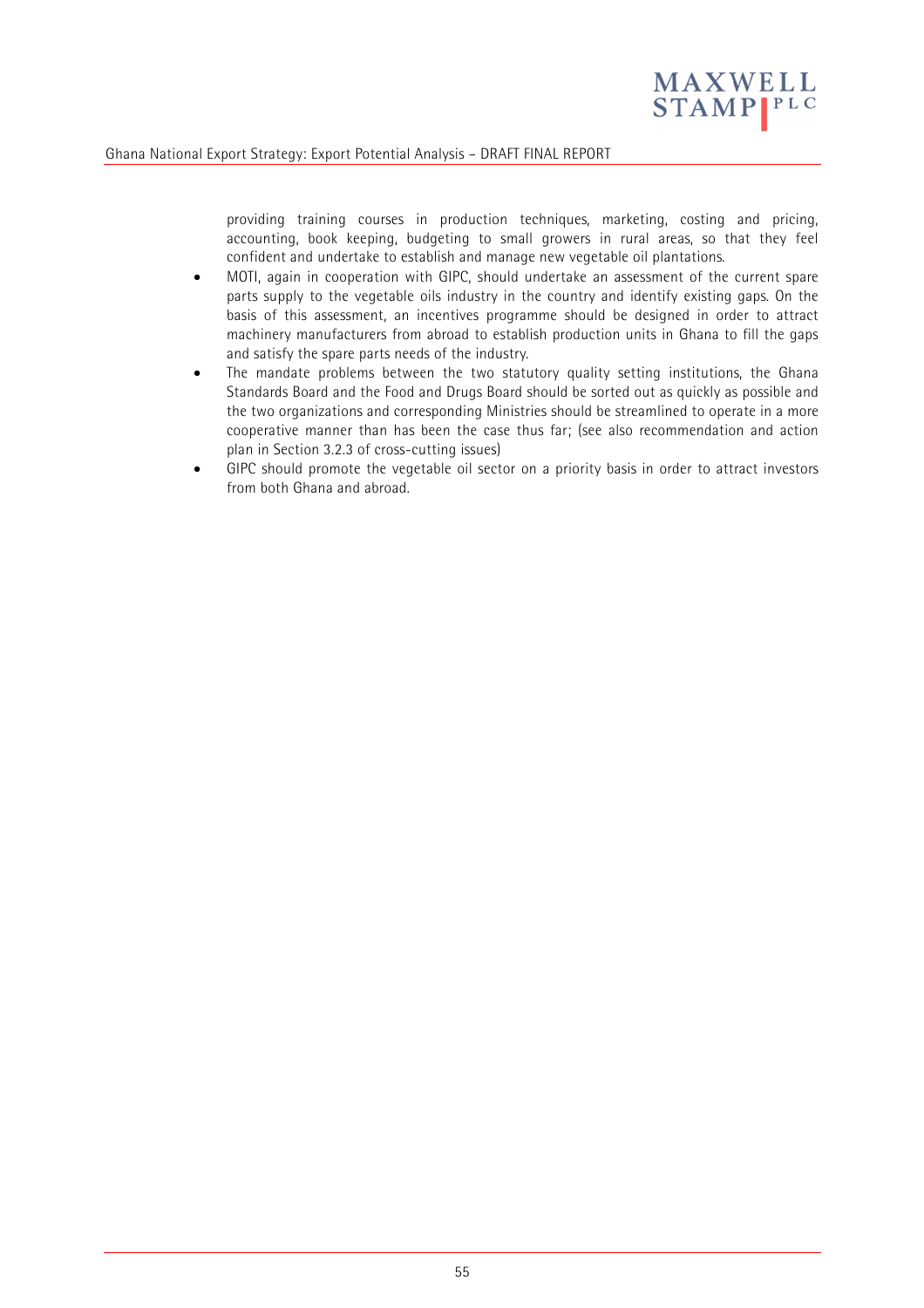

providing training courses in production techniques, marketing, costing and pricing, accounting, book keeping, budgeting to small growers in rural areas, so that they feel confident and undertake to establish and manage new vegetable oil plantations.

- MOTI, again in cooperation with GIPC, should undertake an assessment of the current spare parts supply to the vegetable oils industry in the country and identify existing gaps. On the basis of this assessment, an incentives programme should be designed in order to attract machinery manufacturers from abroad to establish production units in Ghana to fill the gaps and satisfy the spare parts needs of the industry.
- The mandate problems between the two statutory quality setting institutions, the Ghana Standards Board and the Food and Drugs Board should be sorted out as quickly as possible and the two organizations and corresponding Ministries should be streamlined to operate in a more cooperative manner than has been the case thus far; (see also recommendation and action plan in Section 3.2.3 of cross-cutting issues)
- GIPC should promote the vegetable oil sector on a priority basis in order to attract investors from both Ghana and abroad.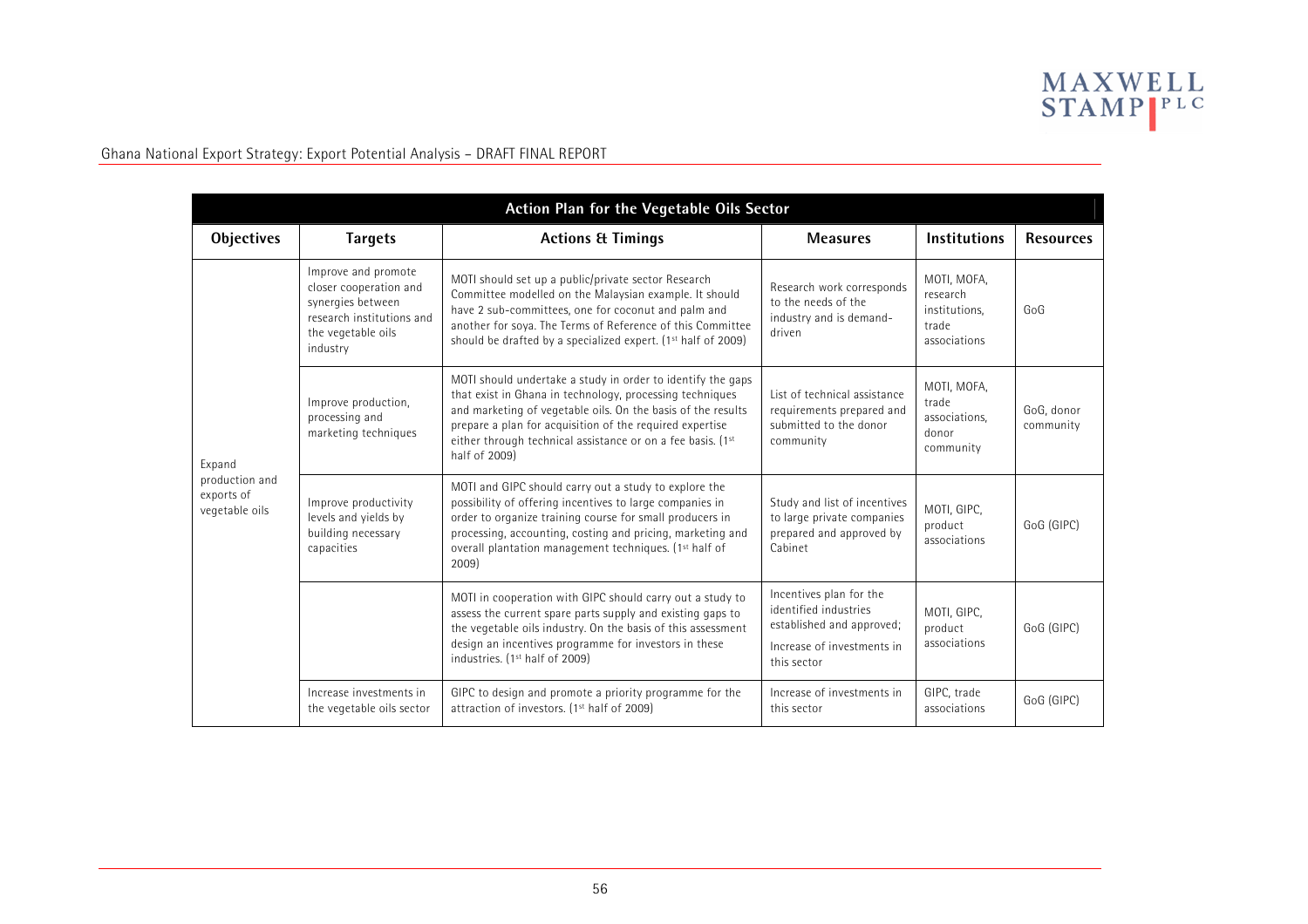

| Action Plan for the Vegetable Oils Sector                |                                                                                                                                   |                                                                                                                                                                                                                                                                                                                                     |                                                                                                                            |                                                                   |                         |  |
|----------------------------------------------------------|-----------------------------------------------------------------------------------------------------------------------------------|-------------------------------------------------------------------------------------------------------------------------------------------------------------------------------------------------------------------------------------------------------------------------------------------------------------------------------------|----------------------------------------------------------------------------------------------------------------------------|-------------------------------------------------------------------|-------------------------|--|
| <b>Objectives</b>                                        | <b>Targets</b>                                                                                                                    | <b>Actions &amp; Timings</b>                                                                                                                                                                                                                                                                                                        | <b>Measures</b>                                                                                                            | <b>Institutions</b>                                               | <b>Resources</b>        |  |
| Expand<br>production and<br>exports of<br>vegetable oils | Improve and promote<br>closer cooperation and<br>synergies between<br>research institutions and<br>the vegetable oils<br>industry | MOTI should set up a public/private sector Research<br>Committee modelled on the Malaysian example. It should<br>have 2 sub-committees, one for coconut and palm and<br>another for soya. The Terms of Reference of this Committee<br>should be drafted by a specialized expert. (1 <sup>st</sup> half of 2009)                     | Research work corresponds<br>to the needs of the<br>industry and is demand-<br>driven                                      | MOTI, MOFA,<br>research<br>institutions.<br>trade<br>associations | GoG                     |  |
|                                                          | Improve production,<br>processing and<br>marketing techniques                                                                     | MOTI should undertake a study in order to identify the gaps<br>that exist in Ghana in technology, processing techniques<br>and marketing of vegetable oils. On the basis of the results<br>prepare a plan for acquisition of the required expertise<br>either through technical assistance or on a fee basis. (1st<br>half of 2009) | List of technical assistance<br>requirements prepared and<br>submitted to the donor<br>community                           | MOTI, MOFA,<br>trade<br>associations,<br>donor<br>community       | GoG. donor<br>community |  |
|                                                          | Improve productivity<br>levels and yields by<br>building necessary<br>capacities                                                  | MOTI and GIPC should carry out a study to explore the<br>possibility of offering incentives to large companies in<br>order to organize training course for small producers in<br>processing, accounting, costing and pricing, marketing and<br>overall plantation management techniques. (1 <sup>st</sup> half of<br>2009)          | Study and list of incentives<br>to large private companies<br>prepared and approved by<br>Cabinet                          | MOTI, GIPC,<br>product<br>associations                            | GoG (GIPC)              |  |
|                                                          |                                                                                                                                   | MOTI in cooperation with GIPC should carry out a study to<br>assess the current spare parts supply and existing gaps to<br>the vegetable oils industry. On the basis of this assessment<br>design an incentives programme for investors in these<br>industries. (1 <sup>st</sup> half of 2009)                                      | Incentives plan for the<br>identified industries<br>established and approved;<br>Increase of investments in<br>this sector | MOTI, GIPC,<br>product<br>associations                            | GoG (GIPC)              |  |
|                                                          | Increase investments in<br>the vegetable oils sector                                                                              | GIPC to design and promote a priority programme for the<br>attraction of investors. (1 <sup>st</sup> half of 2009)                                                                                                                                                                                                                  | Increase of investments in<br>this sector                                                                                  | GIPC, trade<br>associations                                       | GoG (GIPC)              |  |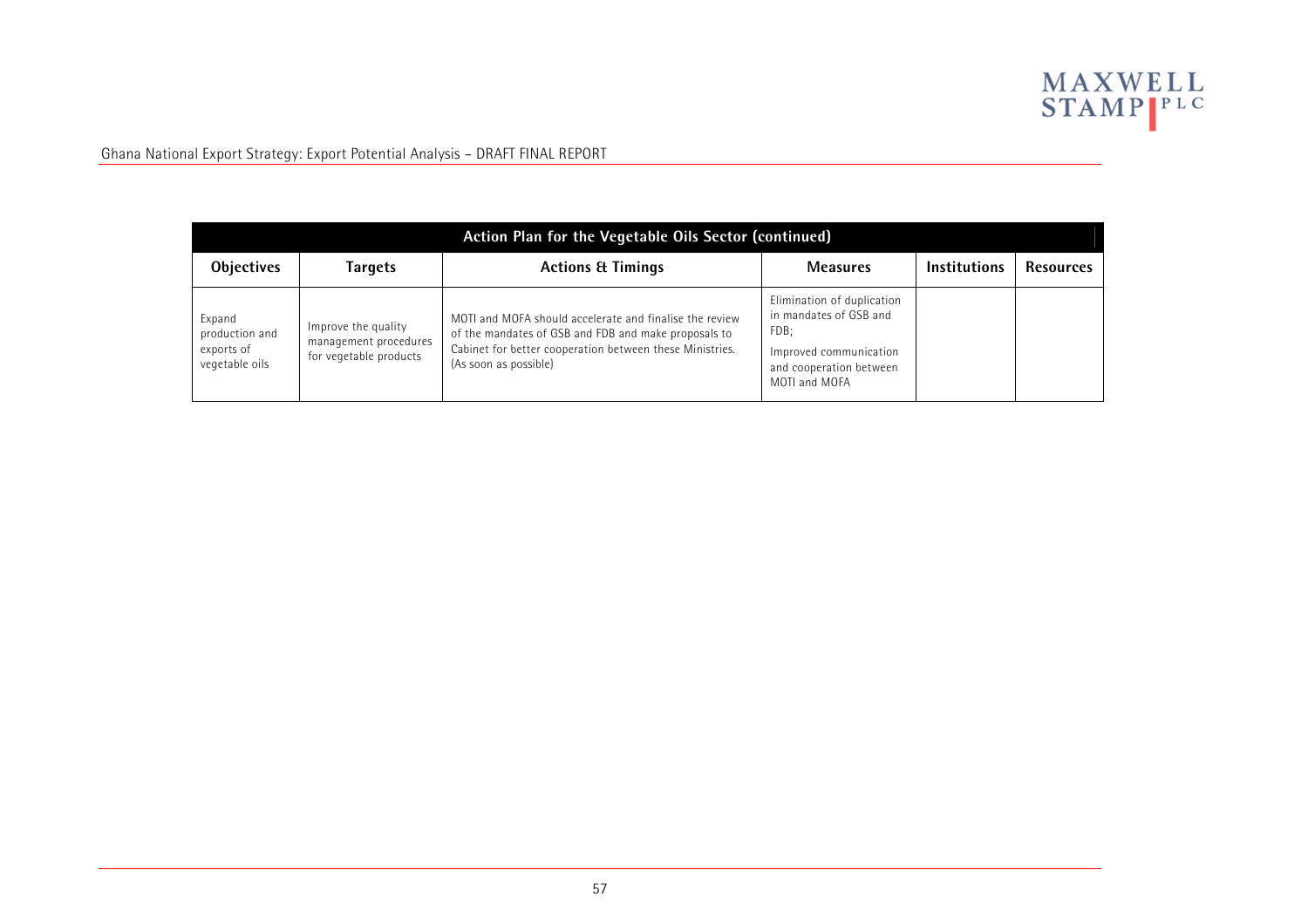

| Action Plan for the Vegetable Oils Sector (continued)    |                                                                        |                                                                                                                                                                                                      |                                                                                                                                    |                     |                  |  |  |
|----------------------------------------------------------|------------------------------------------------------------------------|------------------------------------------------------------------------------------------------------------------------------------------------------------------------------------------------------|------------------------------------------------------------------------------------------------------------------------------------|---------------------|------------------|--|--|
| <b>Objectives</b>                                        | Targets                                                                | <b>Actions &amp; Timings</b>                                                                                                                                                                         | <b>Measures</b>                                                                                                                    | <b>Institutions</b> | <b>Resources</b> |  |  |
| Expand<br>production and<br>exports of<br>vegetable oils | Improve the quality<br>management procedures<br>for vegetable products | MOTI and MOFA should accelerate and finalise the review<br>of the mandates of GSB and FDB and make proposals to<br>Cabinet for better cooperation between these Ministries.<br>(As soon as possible) | Elimination of duplication<br>in mandates of GSB and<br>FDB;<br>Improved communication<br>and cooperation between<br>MOTI and MOFA |                     |                  |  |  |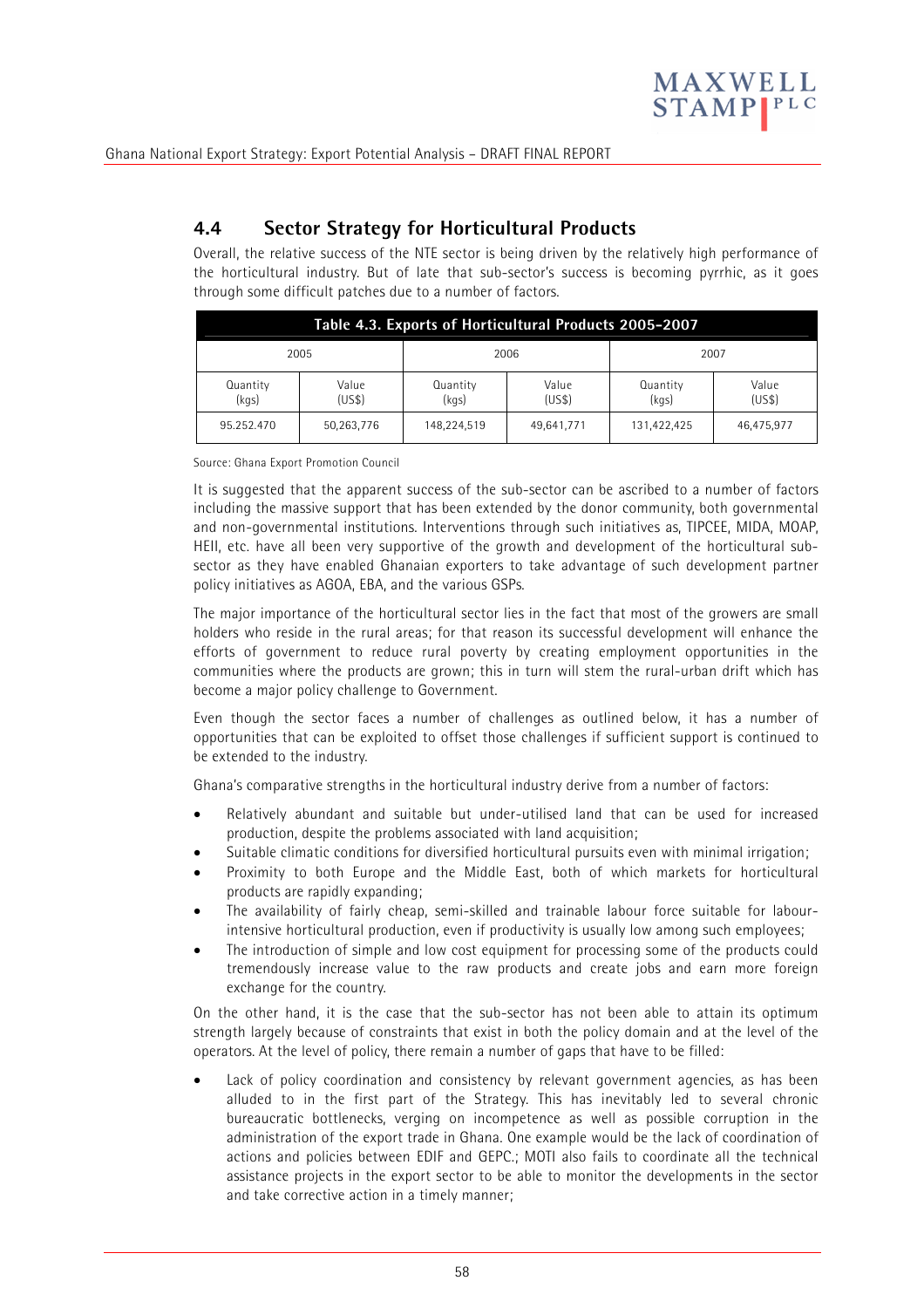

# **4.4 Sector Strategy for Horticultural Products**

Overall, the relative success of the NTE sector is being driven by the relatively high performance of the horticultural industry. But of late that sub-sector's success is becoming pyrrhic, as it goes through some difficult patches due to a number of factors.

| Table 4.3. Exports of Horticultural Products 2005-2007 |                |                   |                 |                   |                 |  |
|--------------------------------------------------------|----------------|-------------------|-----------------|-------------------|-----------------|--|
| 2005                                                   |                |                   | 2006<br>2007    |                   |                 |  |
| Quantity<br>(kgs)                                      | Value<br>(USS) | Quantity<br>(kgs) | Value<br>(US\$) | Quantity<br>(kqs) | Value<br>(US\$) |  |
| 95.252.470                                             | 50,263,776     | 148,224,519       | 49,641,771      | 131,422,425       | 46,475,977      |  |

Source: Ghana Export Promotion Council

It is suggested that the apparent success of the sub-sector can be ascribed to a number of factors including the massive support that has been extended by the donor community, both governmental and non-governmental institutions. Interventions through such initiatives as, TIPCEE, MIDA, MOAP, HEII, etc. have all been very supportive of the growth and development of the horticultural subsector as they have enabled Ghanaian exporters to take advantage of such development partner policy initiatives as AGOA, EBA, and the various GSPs.

The major importance of the horticultural sector lies in the fact that most of the growers are small holders who reside in the rural areas; for that reason its successful development will enhance the efforts of government to reduce rural poverty by creating employment opportunities in the communities where the products are grown; this in turn will stem the rural-urban drift which has become a major policy challenge to Government.

Even though the sector faces a number of challenges as outlined below, it has a number of opportunities that can be exploited to offset those challenges if sufficient support is continued to be extended to the industry.

Ghana's comparative strengths in the horticultural industry derive from a number of factors:

- Relatively abundant and suitable but under-utilised land that can be used for increased production, despite the problems associated with land acquisition;
- Suitable climatic conditions for diversified horticultural pursuits even with minimal irrigation;
- Proximity to both Europe and the Middle East, both of which markets for horticultural products are rapidly expanding;
- The availability of fairly cheap, semi-skilled and trainable labour force suitable for labourintensive horticultural production, even if productivity is usually low among such employees;
- The introduction of simple and low cost equipment for processing some of the products could tremendously increase value to the raw products and create jobs and earn more foreign exchange for the country.

On the other hand, it is the case that the sub-sector has not been able to attain its optimum strength largely because of constraints that exist in both the policy domain and at the level of the operators. At the level of policy, there remain a number of gaps that have to be filled:

Lack of policy coordination and consistency by relevant government agencies, as has been alluded to in the first part of the Strategy. This has inevitably led to several chronic bureaucratic bottlenecks, verging on incompetence as well as possible corruption in the administration of the export trade in Ghana. One example would be the lack of coordination of actions and policies between EDIF and GEPC.; MOTI also fails to coordinate all the technical assistance projects in the export sector to be able to monitor the developments in the sector and take corrective action in a timely manner;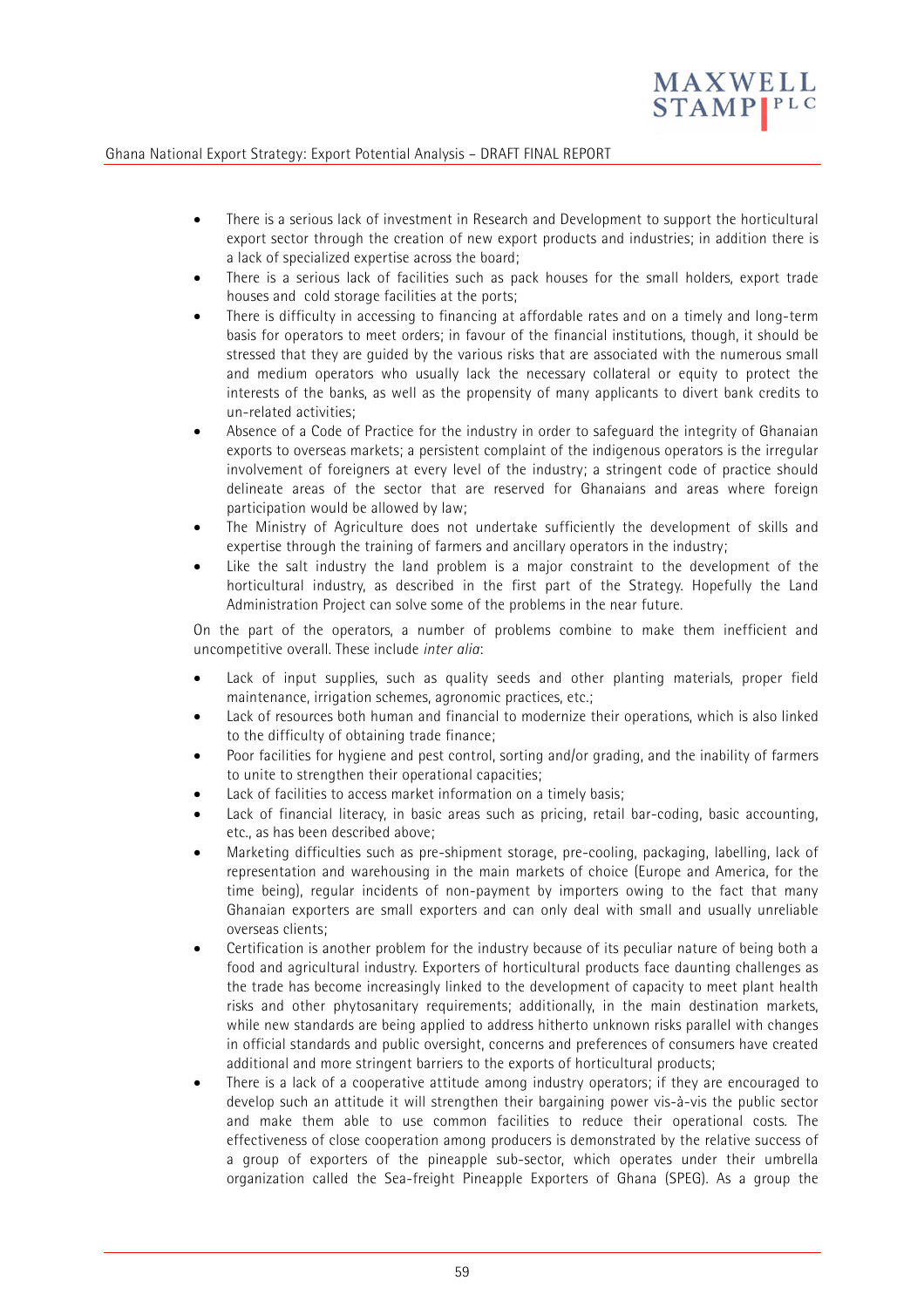

- There is a serious lack of investment in Research and Development to support the horticultural export sector through the creation of new export products and industries; in addition there is a lack of specialized expertise across the board;
- There is a serious lack of facilities such as pack houses for the small holders, export trade houses and cold storage facilities at the ports;
- There is difficulty in accessing to financing at affordable rates and on a timely and long-term basis for operators to meet orders; in favour of the financial institutions, though, it should be stressed that they are guided by the various risks that are associated with the numerous small and medium operators who usually lack the necessary collateral or equity to protect the interests of the banks, as well as the propensity of many applicants to divert bank credits to un-related activities;
- Absence of a Code of Practice for the industry in order to safeguard the integrity of Ghanaian exports to overseas markets; a persistent complaint of the indigenous operators is the irregular involvement of foreigners at every level of the industry; a stringent code of practice should delineate areas of the sector that are reserved for Ghanaians and areas where foreign participation would be allowed by law;
- The Ministry of Agriculture does not undertake sufficiently the development of skills and expertise through the training of farmers and ancillary operators in the industry;
- Like the salt industry the land problem is a major constraint to the development of the horticultural industry, as described in the first part of the Strategy. Hopefully the Land Administration Project can solve some of the problems in the near future.

On the part of the operators, a number of problems combine to make them inefficient and uncompetitive overall. These include *inter alia*:

- Lack of input supplies, such as quality seeds and other planting materials, proper field maintenance, irrigation schemes, agronomic practices, etc.;
- Lack of resources both human and financial to modernize their operations, which is also linked to the difficulty of obtaining trade finance;
- Poor facilities for hygiene and pest control, sorting and/or grading, and the inability of farmers to unite to strengthen their operational capacities;
- Lack of facilities to access market information on a timely basis;
- Lack of financial literacy, in basic areas such as pricing, retail bar-coding, basic accounting, etc., as has been described above;
- Marketing difficulties such as pre-shipment storage, pre-cooling, packaging, labelling, lack of representation and warehousing in the main markets of choice (Europe and America, for the time being), regular incidents of non-payment by importers owing to the fact that many Ghanaian exporters are small exporters and can only deal with small and usually unreliable overseas clients;
- Certification is another problem for the industry because of its peculiar nature of being both a food and agricultural industry. Exporters of horticultural products face daunting challenges as the trade has become increasingly linked to the development of capacity to meet plant health risks and other phytosanitary requirements; additionally, in the main destination markets, while new standards are being applied to address hitherto unknown risks parallel with changes in official standards and public oversight, concerns and preferences of consumers have created additional and more stringent barriers to the exports of horticultural products;
- There is a lack of a cooperative attitude among industry operators; if they are encouraged to develop such an attitude it will strengthen their bargaining power vis-à-vis the public sector and make them able to use common facilities to reduce their operational costs. The effectiveness of close cooperation among producers is demonstrated by the relative success of a group of exporters of the pineapple sub-sector, which operates under their umbrella organization called the Sea-freight Pineapple Exporters of Ghana (SPEG). As a group the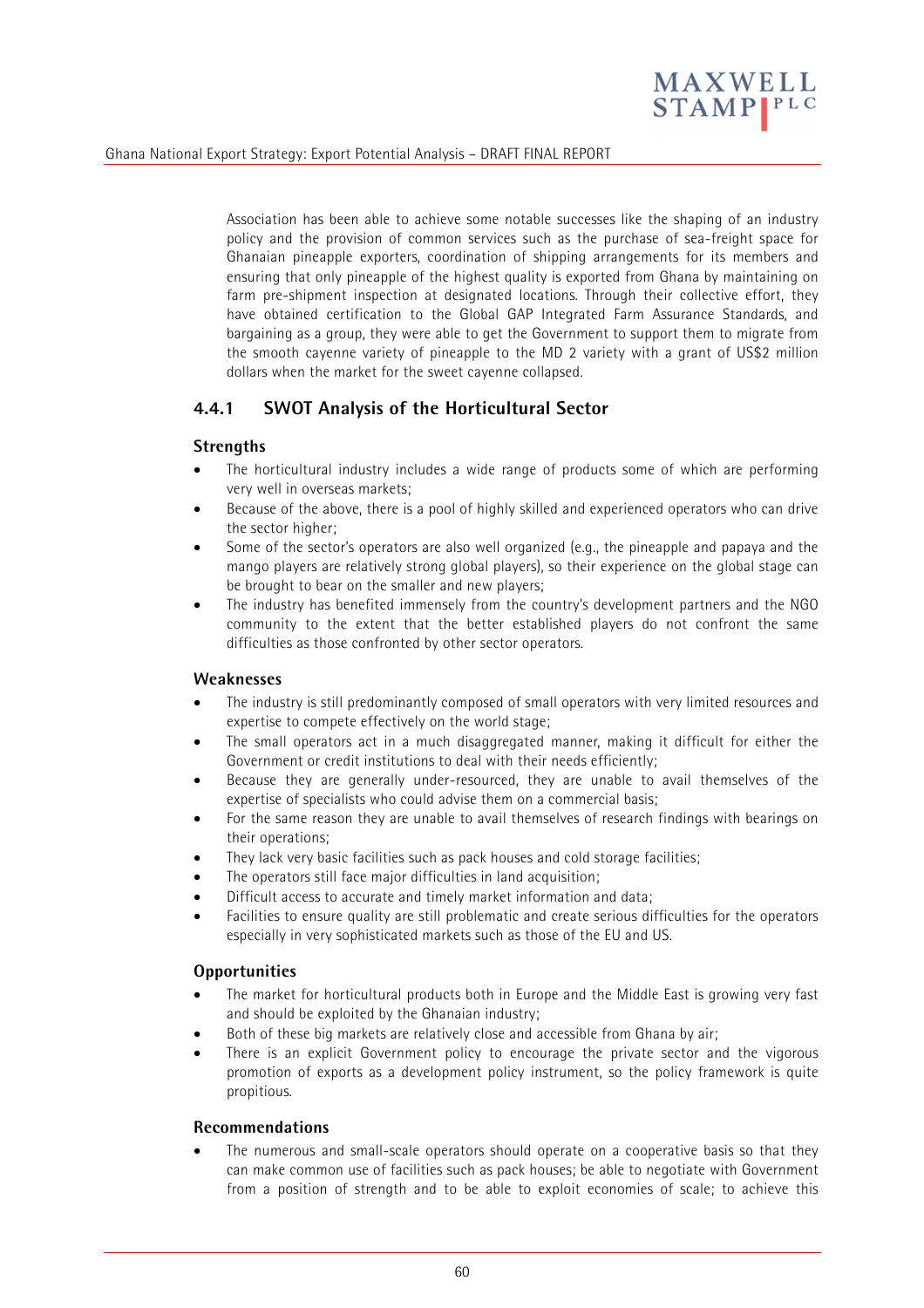

Association has been able to achieve some notable successes like the shaping of an industry policy and the provision of common services such as the purchase of sea-freight space for Ghanaian pineapple exporters, coordination of shipping arrangements for its members and ensuring that only pineapple of the highest quality is exported from Ghana by maintaining on farm pre-shipment inspection at designated locations. Through their collective effort, they have obtained certification to the Global GAP Integrated Farm Assurance Standards, and bargaining as a group, they were able to get the Government to support them to migrate from the smooth cayenne variety of pineapple to the MD 2 variety with a grant of US\$2 million dollars when the market for the sweet cayenne collapsed.

# **4.4.1 SWOT Analysis of the Horticultural Sector**

#### **Strengths**

- The horticultural industry includes a wide range of products some of which are performing very well in overseas markets;
- Because of the above, there is a pool of highly skilled and experienced operators who can drive the sector higher:
- Some of the sector's operators are also well organized (e.g., the pineapple and papaya and the mango players are relatively strong global players), so their experience on the global stage can be brought to bear on the smaller and new players;
- The industry has benefited immensely from the country's development partners and the NGO community to the extent that the better established players do not confront the same difficulties as those confronted by other sector operators.

#### **Weaknesses**

- The industry is still predominantly composed of small operators with very limited resources and expertise to compete effectively on the world stage;
- The small operators act in a much disaggregated manner, making it difficult for either the Government or credit institutions to deal with their needs efficiently;
- Because they are generally under-resourced, they are unable to avail themselves of the expertise of specialists who could advise them on a commercial basis;
- For the same reason they are unable to avail themselves of research findings with bearings on their operations;
- They lack very basic facilities such as pack houses and cold storage facilities;
- The operators still face major difficulties in land acquisition:
- Difficult access to accurate and timely market information and data;
- Facilities to ensure quality are still problematic and create serious difficulties for the operators especially in very sophisticated markets such as those of the EU and US.

### **Opportunities**

- The market for horticultural products both in Europe and the Middle East is growing very fast and should be exploited by the Ghanaian industry;
- Both of these big markets are relatively close and accessible from Ghana by air;
- There is an explicit Government policy to encourage the private sector and the vigorous promotion of exports as a development policy instrument, so the policy framework is quite propitious.

#### **Recommendations**

The numerous and small-scale operators should operate on a cooperative basis so that they can make common use of facilities such as pack houses; be able to negotiate with Government from a position of strength and to be able to exploit economies of scale; to achieve this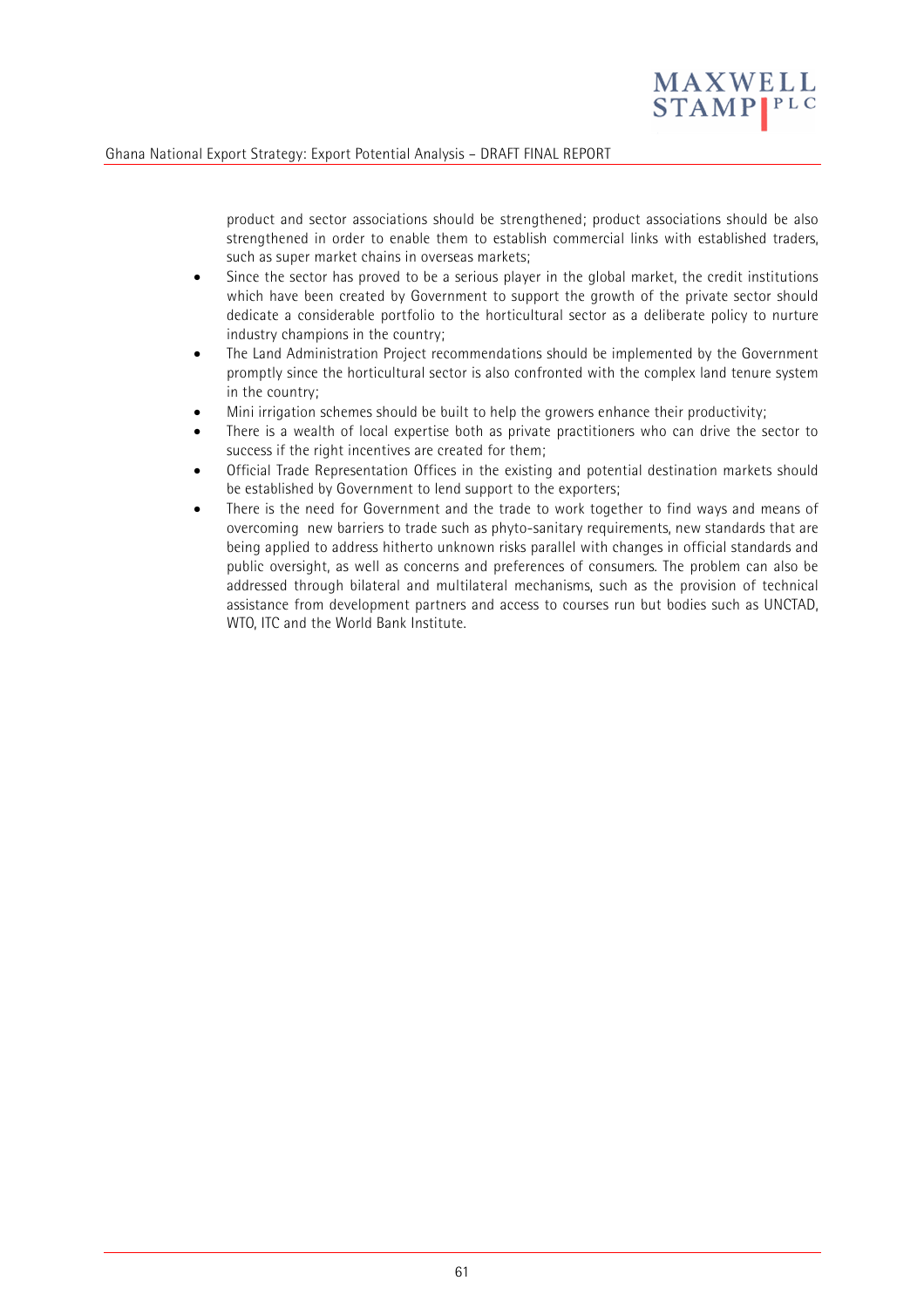

product and sector associations should be strengthened; product associations should be also strengthened in order to enable them to establish commercial links with established traders, such as super market chains in overseas markets;

- Since the sector has proved to be a serious player in the global market, the credit institutions which have been created by Government to support the growth of the private sector should dedicate a considerable portfolio to the horticultural sector as a deliberate policy to nurture industry champions in the country;
- The Land Administration Project recommendations should be implemented by the Government promptly since the horticultural sector is also confronted with the complex land tenure system in the country;
- Mini irrigation schemes should be built to help the growers enhance their productivity;
- There is a wealth of local expertise both as private practitioners who can drive the sector to success if the right incentives are created for them;
- Official Trade Representation Offices in the existing and potential destination markets should be established by Government to lend support to the exporters;
- There is the need for Government and the trade to work together to find ways and means of overcoming new barriers to trade such as phyto-sanitary requirements, new standards that are being applied to address hitherto unknown risks parallel with changes in official standards and public oversight, as well as concerns and preferences of consumers. The problem can also be addressed through bilateral and multilateral mechanisms, such as the provision of technical assistance from development partners and access to courses run but bodies such as UNCTAD, WTO, ITC and the World Bank Institute.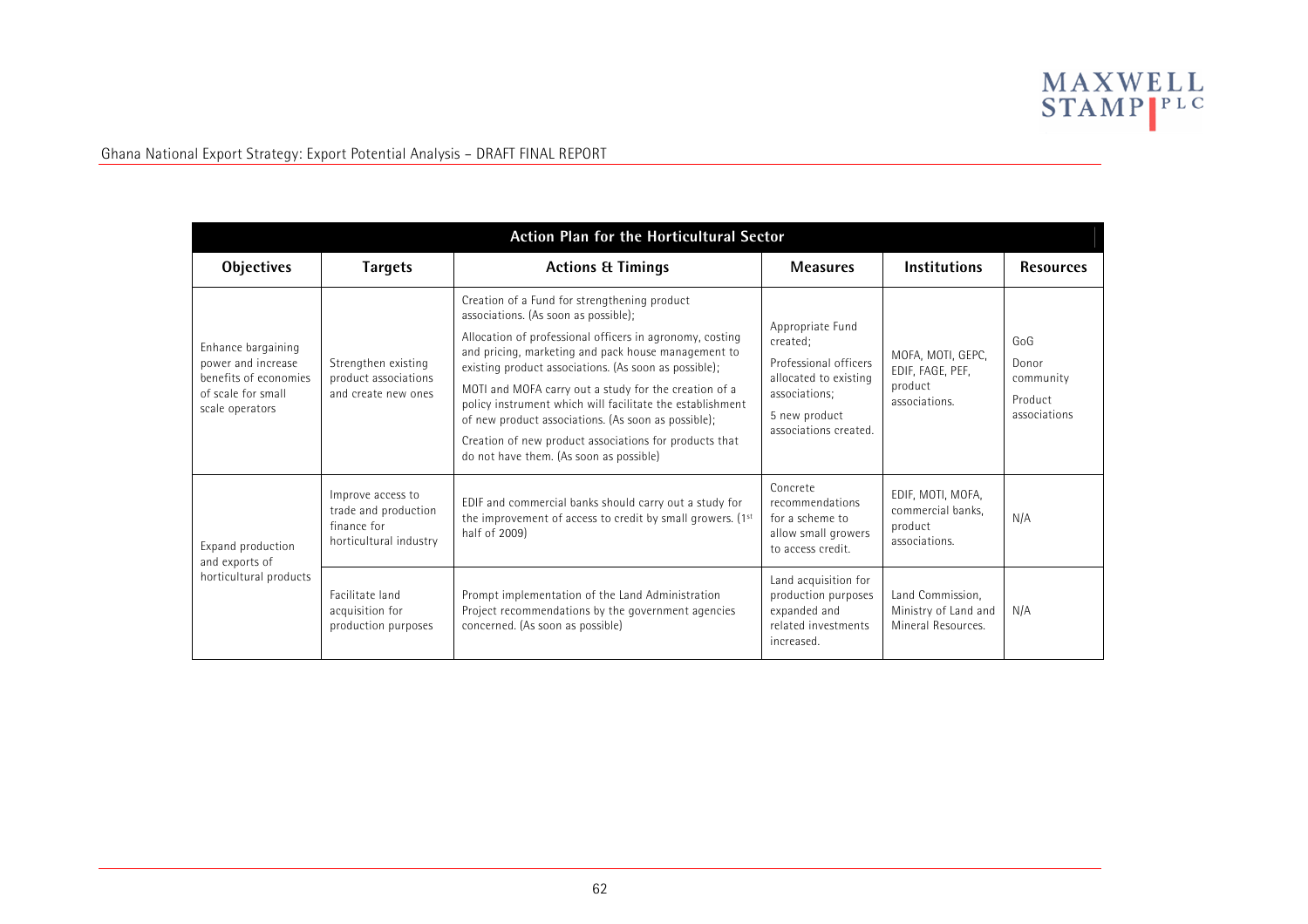

| <b>Action Plan for the Horticultural Sector</b>                                                            |                                                                                    |                                                                                                                                                                                                                                                                                                                                                                                                                                                                                                                                                    |                                                                                                                                           |                                                                    |                                                      |  |
|------------------------------------------------------------------------------------------------------------|------------------------------------------------------------------------------------|----------------------------------------------------------------------------------------------------------------------------------------------------------------------------------------------------------------------------------------------------------------------------------------------------------------------------------------------------------------------------------------------------------------------------------------------------------------------------------------------------------------------------------------------------|-------------------------------------------------------------------------------------------------------------------------------------------|--------------------------------------------------------------------|------------------------------------------------------|--|
| Objectives                                                                                                 | <b>Targets</b>                                                                     | <b>Actions &amp; Timings</b>                                                                                                                                                                                                                                                                                                                                                                                                                                                                                                                       | <b>Measures</b>                                                                                                                           | <b>Institutions</b>                                                | <b>Resources</b>                                     |  |
| Enhance bargaining<br>power and increase<br>benefits of economies<br>of scale for small<br>scale operators | Strengthen existing<br>product associations<br>and create new ones                 | Creation of a Fund for strengthening product<br>associations. (As soon as possible);<br>Allocation of professional officers in agronomy, costing<br>and pricing, marketing and pack house management to<br>existing product associations. (As soon as possible);<br>MOTI and MOFA carry out a study for the creation of a<br>policy instrument which will facilitate the establishment<br>of new product associations. (As soon as possible);<br>Creation of new product associations for products that<br>do not have them. (As soon as possible) | Appropriate Fund<br>created;<br>Professional officers<br>allocated to existing<br>associations;<br>5 new product<br>associations created. | MOFA, MOTI, GEPC,<br>EDIF, FAGE, PEF,<br>product<br>associations.  | GoG<br>Donor<br>community<br>Product<br>associations |  |
| Expand production<br>and exports of<br>horticultural products                                              | Improve access to<br>trade and production<br>finance for<br>horticultural industry | EDIF and commercial banks should carry out a study for<br>the improvement of access to credit by small growers. (1 <sup>st</sup><br>half of 2009)                                                                                                                                                                                                                                                                                                                                                                                                  | Concrete<br>recommendations<br>for a scheme to<br>allow small growers<br>to access credit.                                                | EDIF, MOTI, MOFA,<br>commercial banks.<br>product<br>associations. | N/A                                                  |  |
|                                                                                                            | Facilitate land<br>acquisition for<br>production purposes                          | Prompt implementation of the Land Administration<br>Project recommendations by the government agencies<br>concerned. (As soon as possible)                                                                                                                                                                                                                                                                                                                                                                                                         | Land acquisition for<br>production purposes<br>expanded and<br>related investments<br>increased.                                          | Land Commission,<br>Ministry of Land and<br>Mineral Resources.     | N/A                                                  |  |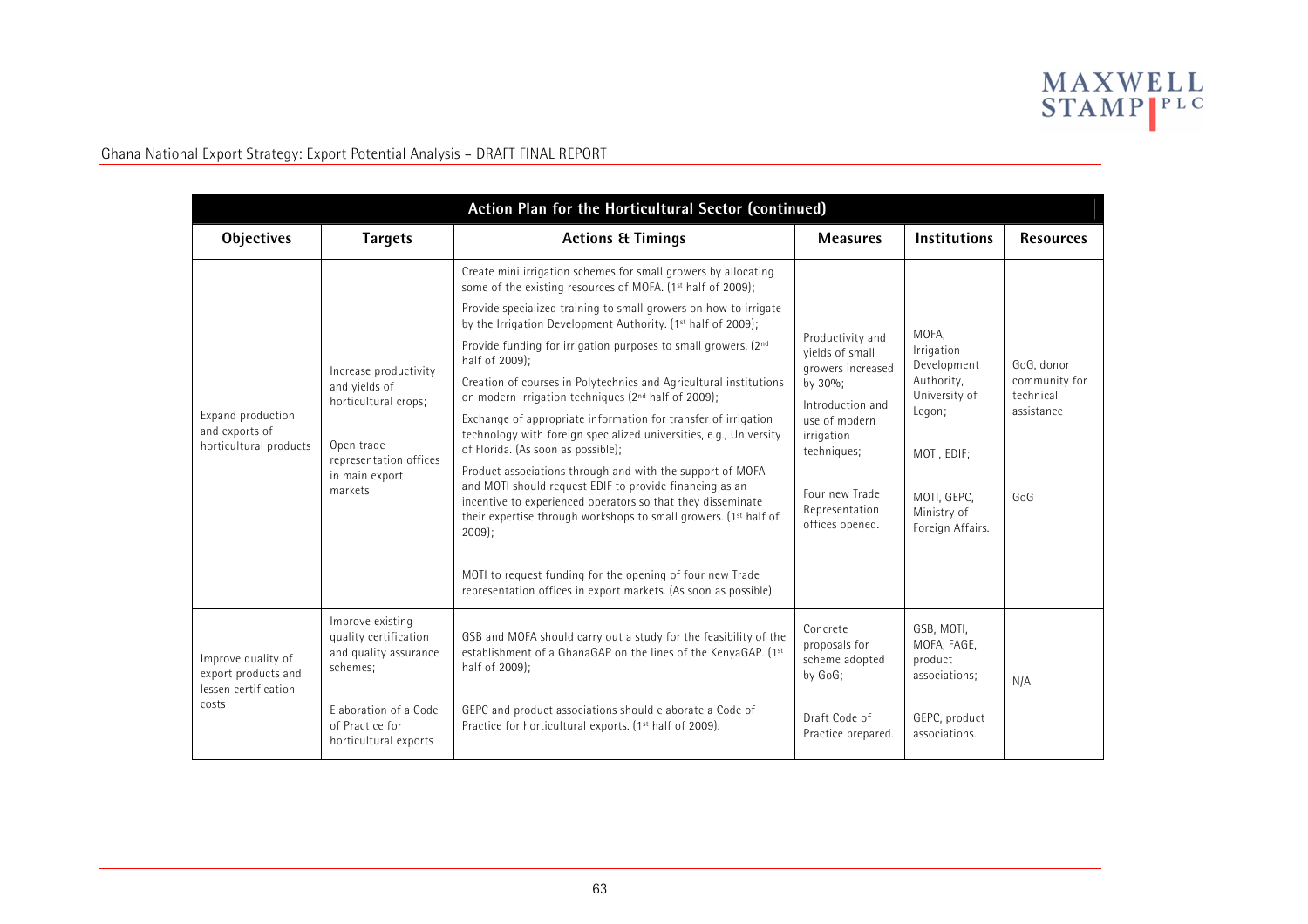

| Action Plan for the Horticultural Sector (continued)                       |                                                                                                                                     |                                                                                                                                                                                                                                                                     |                                                                                                   |                                                       |                            |  |
|----------------------------------------------------------------------------|-------------------------------------------------------------------------------------------------------------------------------------|---------------------------------------------------------------------------------------------------------------------------------------------------------------------------------------------------------------------------------------------------------------------|---------------------------------------------------------------------------------------------------|-------------------------------------------------------|----------------------------|--|
| <b>Objectives</b>                                                          | <b>Targets</b>                                                                                                                      | <b>Actions &amp; Timings</b>                                                                                                                                                                                                                                        | <b>Measures</b>                                                                                   | <b>Institutions</b>                                   | <b>Resources</b>           |  |
| Expand production<br>and exports of<br>horticultural products              |                                                                                                                                     | Create mini irrigation schemes for small growers by allocating<br>some of the existing resources of MOFA. (1 <sup>st</sup> half of 2009);                                                                                                                           |                                                                                                   |                                                       |                            |  |
|                                                                            |                                                                                                                                     | Provide specialized training to small growers on how to irrigate<br>by the Irrigation Development Authority. (1st half of 2009);                                                                                                                                    |                                                                                                   |                                                       |                            |  |
|                                                                            |                                                                                                                                     | Provide funding for irrigation purposes to small growers. (2nd<br>half of 2009);                                                                                                                                                                                    | Productivity and<br>vields of small<br>growers increased                                          | MOFA,<br>Irrigation<br>Development                    | GoG, donor                 |  |
|                                                                            | Increase productivity<br>and yields of<br>horticultural crops;<br>Open trade<br>representation offices<br>in main export<br>markets | Creation of courses in Polytechnics and Agricultural institutions<br>on modern irrigation techniques (2 <sup>nd</sup> half of 2009);                                                                                                                                | by 30%;<br>Introduction and                                                                       | Authority,<br>University of                           | community for<br>technical |  |
|                                                                            |                                                                                                                                     | Exchange of appropriate information for transfer of irrigation<br>technology with foreign specialized universities, e.g., University<br>of Florida. (As soon as possible);                                                                                          | use of modern<br>irrigation<br>techniques;<br>Four new Trade<br>Representation<br>offices opened. | Legon;<br>MOTI, EDIF;                                 | assistance                 |  |
|                                                                            |                                                                                                                                     | Product associations through and with the support of MOFA<br>and MOTI should request EDIF to provide financing as an<br>incentive to experienced operators so that they disseminate<br>their expertise through workshops to small growers. (1st half of<br>$2009$ : |                                                                                                   | MOTI, GEPC,<br>Ministry of<br>Foreign Affairs.        | GoG                        |  |
|                                                                            |                                                                                                                                     | MOTI to request funding for the opening of four new Trade<br>representation offices in export markets. (As soon as possible).                                                                                                                                       |                                                                                                   |                                                       |                            |  |
| Improve quality of<br>export products and<br>lessen certification<br>costs | Improve existing<br>quality certification<br>and quality assurance<br>schemes;                                                      | GSB and MOFA should carry out a study for the feasibility of the<br>establishment of a GhanaGAP on the lines of the KenyaGAP. (1st<br>half of 2009);                                                                                                                | Concrete<br>proposals for<br>scheme adopted<br>by GoG;                                            | GSB, MOTI,<br>MOFA, FAGE,<br>product<br>associations; | N/A                        |  |
|                                                                            | Elaboration of a Code<br>of Practice for<br>horticultural exports                                                                   | GEPC and product associations should elaborate a Code of<br>Practice for horticultural exports. (1 <sup>st</sup> half of 2009).                                                                                                                                     | Draft Code of<br>Practice prepared.                                                               | GEPC, product<br>associations.                        |                            |  |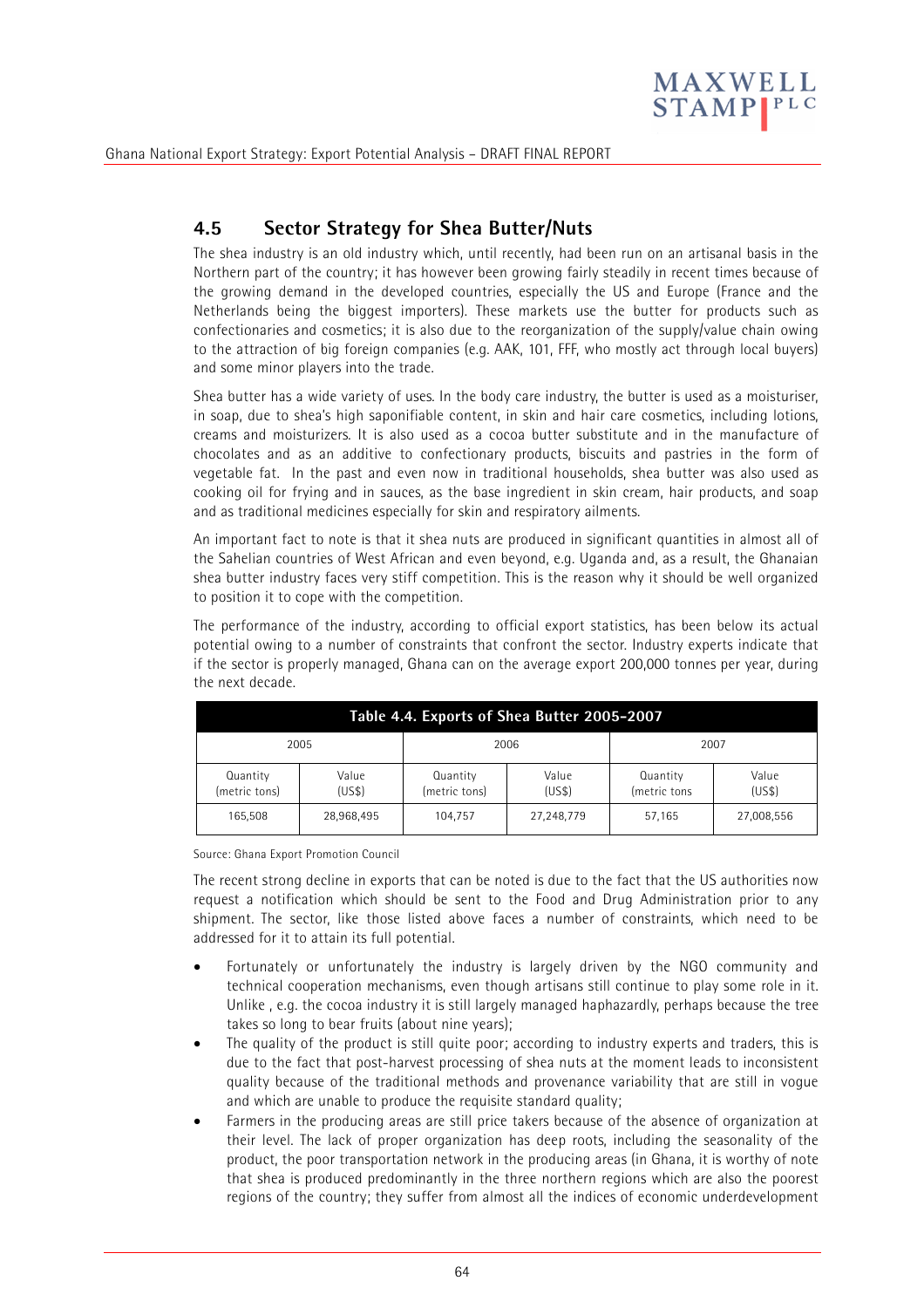

# **4.5 Sector Strategy for Shea Butter/Nuts**

The shea industry is an old industry which, until recently, had been run on an artisanal basis in the Northern part of the country; it has however been growing fairly steadily in recent times because of the growing demand in the developed countries, especially the US and Europe (France and the Netherlands being the biggest importers). These markets use the butter for products such as confectionaries and cosmetics; it is also due to the reorganization of the supply/value chain owing to the attraction of big foreign companies (e.g. AAK, 101, FFF, who mostly act through local buyers) and some minor players into the trade.

Shea butter has a wide variety of uses. In the body care industry, the butter is used as a moisturiser, in soap, due to shea's high saponifiable content, in skin and hair care cosmetics, including lotions, creams and moisturizers. It is also used as a cocoa butter substitute and in the manufacture of chocolates and as an additive to confectionary products, biscuits and pastries in the form of vegetable fat. In the past and even now in traditional households, shea butter was also used as cooking oil for frying and in sauces, as the base ingredient in skin cream, hair products, and soap and as traditional medicines especially for skin and respiratory ailments.

An important fact to note is that it shea nuts are produced in significant quantities in almost all of the Sahelian countries of West African and even beyond, e.g. Uganda and, as a result, the Ghanaian shea butter industry faces very stiff competition. This is the reason why it should be well organized to position it to cope with the competition.

The performance of the industry, according to official export statistics, has been below its actual potential owing to a number of constraints that confront the sector. Industry experts indicate that if the sector is properly managed, Ghana can on the average export 200,000 tonnes per year, during the next decade.

| Table 4.4. Exports of Shea Butter 2005-2007 |                 |                           |                 |                          |                 |  |
|---------------------------------------------|-----------------|---------------------------|-----------------|--------------------------|-----------------|--|
| 2005                                        |                 |                           | 2006<br>2007    |                          |                 |  |
| Quantity<br>(metric tons)                   | Value<br>(US\$) | Quantity<br>(metric tons) | Value<br>(US\$) | Quantity<br>(metric tons | Value<br>(US\$) |  |
| 165,508                                     | 28,968,495      | 104.757                   | 27,248,779      | 57,165                   | 27,008,556      |  |

Source: Ghana Export Promotion Council

The recent strong decline in exports that can be noted is due to the fact that the US authorities now request a notification which should be sent to the Food and Drug Administration prior to any shipment. The sector, like those listed above faces a number of constraints, which need to be addressed for it to attain its full potential.

- Fortunately or unfortunately the industry is largely driven by the NGO community and technical cooperation mechanisms, even though artisans still continue to play some role in it. Unlike , e.g. the cocoa industry it is still largely managed haphazardly, perhaps because the tree takes so long to bear fruits (about nine years);
- The quality of the product is still quite poor; according to industry experts and traders, this is due to the fact that post-harvest processing of shea nuts at the moment leads to inconsistent quality because of the traditional methods and provenance variability that are still in vogue and which are unable to produce the requisite standard quality;
- Farmers in the producing areas are still price takers because of the absence of organization at their level. The lack of proper organization has deep roots, including the seasonality of the product, the poor transportation network in the producing areas (in Ghana, it is worthy of note that shea is produced predominantly in the three northern regions which are also the poorest regions of the country; they suffer from almost all the indices of economic underdevelopment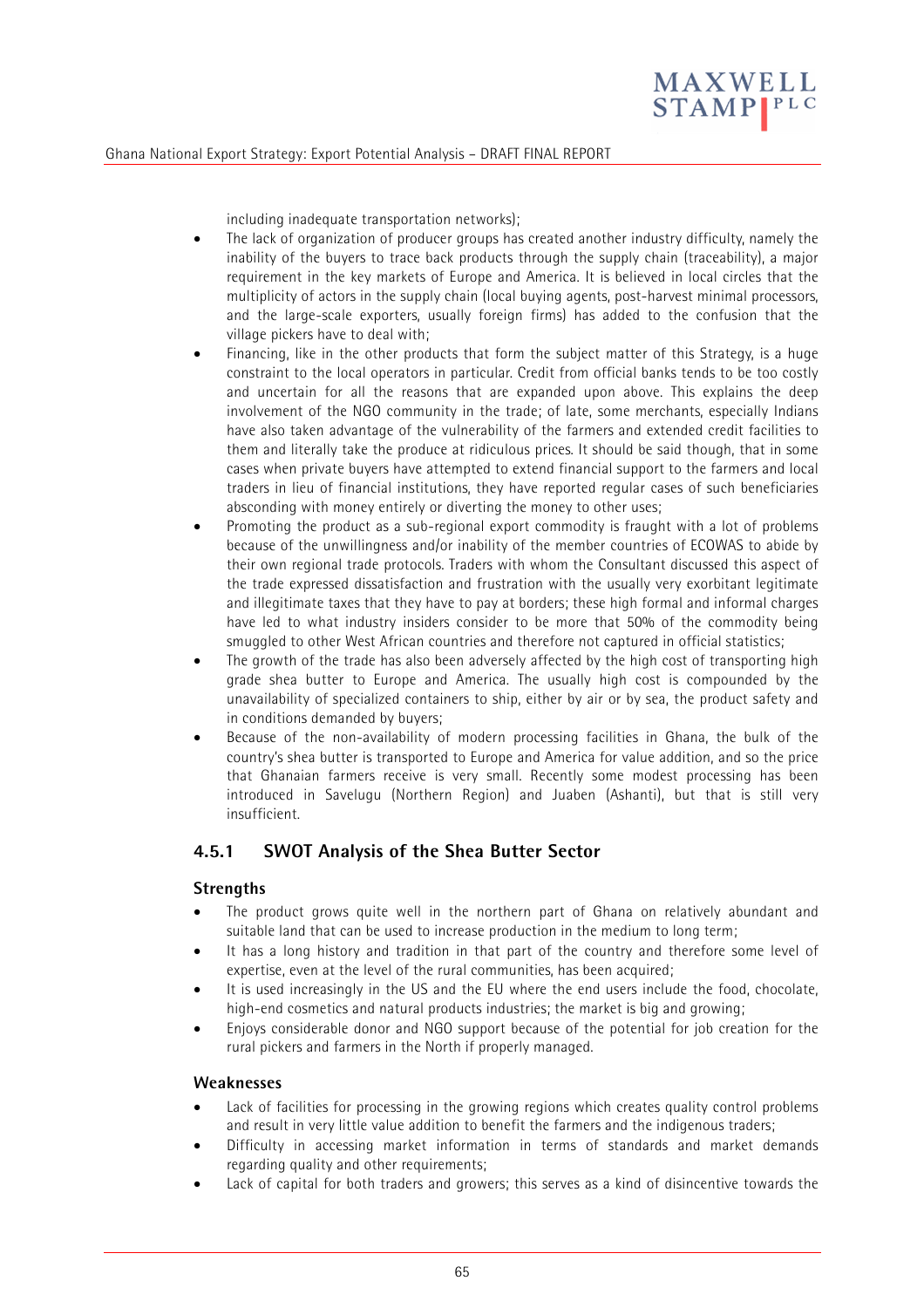

including inadequate transportation networks);

- The lack of organization of producer groups has created another industry difficulty, namely the inability of the buyers to trace back products through the supply chain (traceability), a major requirement in the key markets of Europe and America. It is believed in local circles that the multiplicity of actors in the supply chain (local buying agents, post-harvest minimal processors, and the large-scale exporters, usually foreign firms) has added to the confusion that the village pickers have to deal with;
- Financing, like in the other products that form the subject matter of this Strategy, is a huge constraint to the local operators in particular. Credit from official banks tends to be too costly and uncertain for all the reasons that are expanded upon above. This explains the deep involvement of the NGO community in the trade; of late, some merchants, especially Indians have also taken advantage of the vulnerability of the farmers and extended credit facilities to them and literally take the produce at ridiculous prices. It should be said though, that in some cases when private buyers have attempted to extend financial support to the farmers and local traders in lieu of financial institutions, they have reported regular cases of such beneficiaries absconding with money entirely or diverting the money to other uses;
- Promoting the product as a sub-regional export commodity is fraught with a lot of problems because of the unwillingness and/or inability of the member countries of ECOWAS to abide by their own regional trade protocols. Traders with whom the Consultant discussed this aspect of the trade expressed dissatisfaction and frustration with the usually very exorbitant legitimate and illegitimate taxes that they have to pay at borders; these high formal and informal charges have led to what industry insiders consider to be more that 50% of the commodity being smuggled to other West African countries and therefore not captured in official statistics;
- The growth of the trade has also been adversely affected by the high cost of transporting high grade shea butter to Europe and America. The usually high cost is compounded by the unavailability of specialized containers to ship, either by air or by sea, the product safety and in conditions demanded by buyers;
- Because of the non-availability of modern processing facilities in Ghana, the bulk of the country's shea butter is transported to Europe and America for value addition, and so the price that Ghanaian farmers receive is very small. Recently some modest processing has been introduced in Savelugu (Northern Region) and Juaben (Ashanti), but that is still very insufficient.

### **4.5.1 SWOT Analysis of the Shea Butter Sector**

#### **Strengths**

- The product grows quite well in the northern part of Ghana on relatively abundant and suitable land that can be used to increase production in the medium to long term;
- It has a long history and tradition in that part of the country and therefore some level of expertise, even at the level of the rural communities, has been acquired;
- It is used increasingly in the US and the EU where the end users include the food, chocolate, high-end cosmetics and natural products industries; the market is big and growing;
- Enjoys considerable donor and NGO support because of the potential for job creation for the rural pickers and farmers in the North if properly managed.

#### **Weaknesses**

- Lack of facilities for processing in the growing regions which creates quality control problems and result in very little value addition to benefit the farmers and the indigenous traders;
- Difficulty in accessing market information in terms of standards and market demands regarding quality and other requirements;
- Lack of capital for both traders and growers; this serves as a kind of disincentive towards the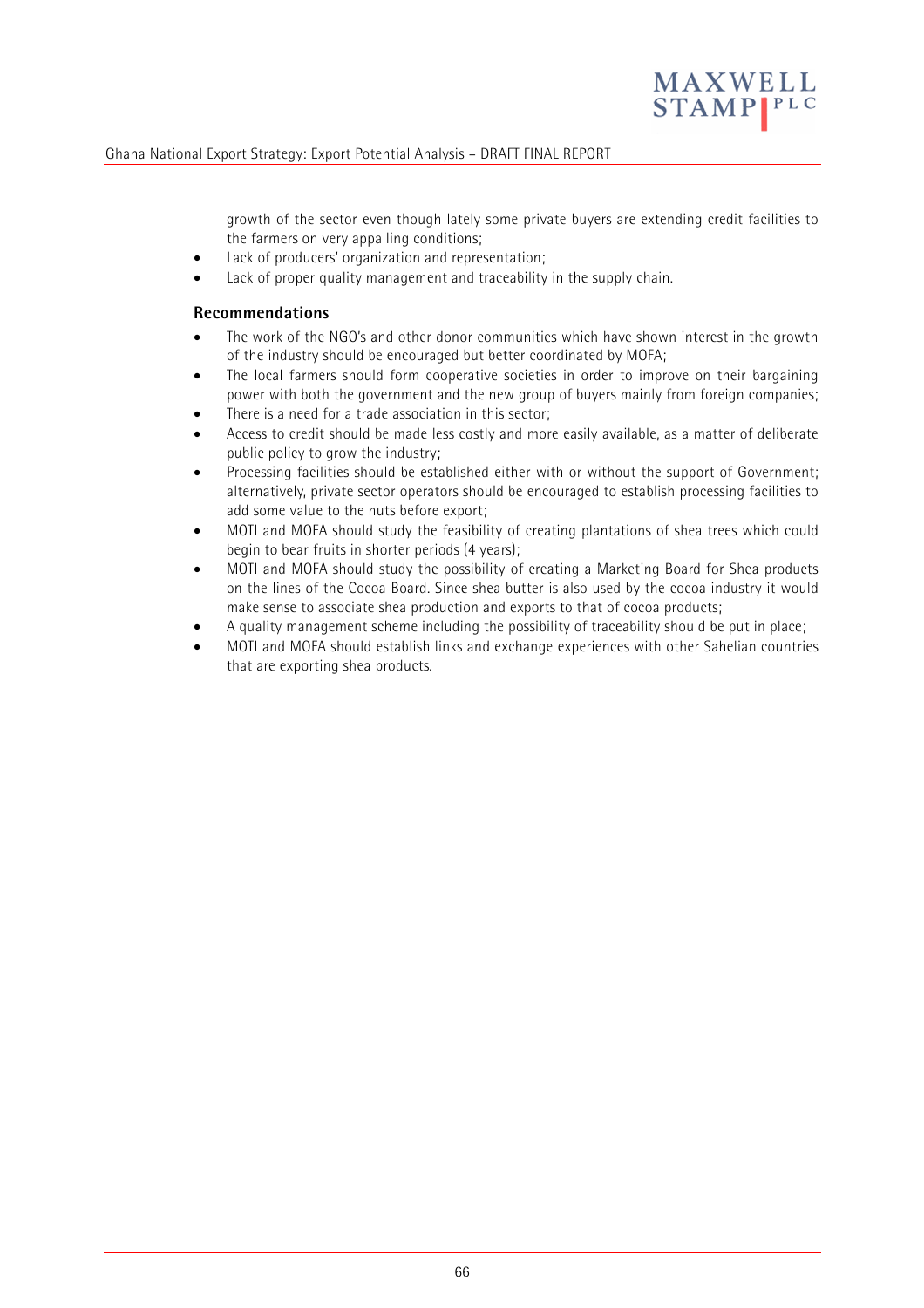

growth of the sector even though lately some private buyers are extending credit facilities to the farmers on very appalling conditions;

- Lack of producers' organization and representation;
- Lack of proper quality management and traceability in the supply chain.

#### **Recommendations**

- The work of the NGO's and other donor communities which have shown interest in the growth of the industry should be encouraged but better coordinated by MOFA;
- The local farmers should form cooperative societies in order to improve on their bargaining power with both the government and the new group of buyers mainly from foreign companies;
- There is a need for a trade association in this sector;
- Access to credit should be made less costly and more easily available, as a matter of deliberate public policy to grow the industry;
- Processing facilities should be established either with or without the support of Government; alternatively, private sector operators should be encouraged to establish processing facilities to add some value to the nuts before export;
- MOTI and MOFA should study the feasibility of creating plantations of shea trees which could begin to bear fruits in shorter periods (4 years);
- MOTI and MOFA should study the possibility of creating a Marketing Board for Shea products on the lines of the Cocoa Board. Since shea butter is also used by the cocoa industry it would make sense to associate shea production and exports to that of cocoa products;
- A quality management scheme including the possibility of traceability should be put in place;
- MOTI and MOFA should establish links and exchange experiences with other Sahelian countries that are exporting shea products.